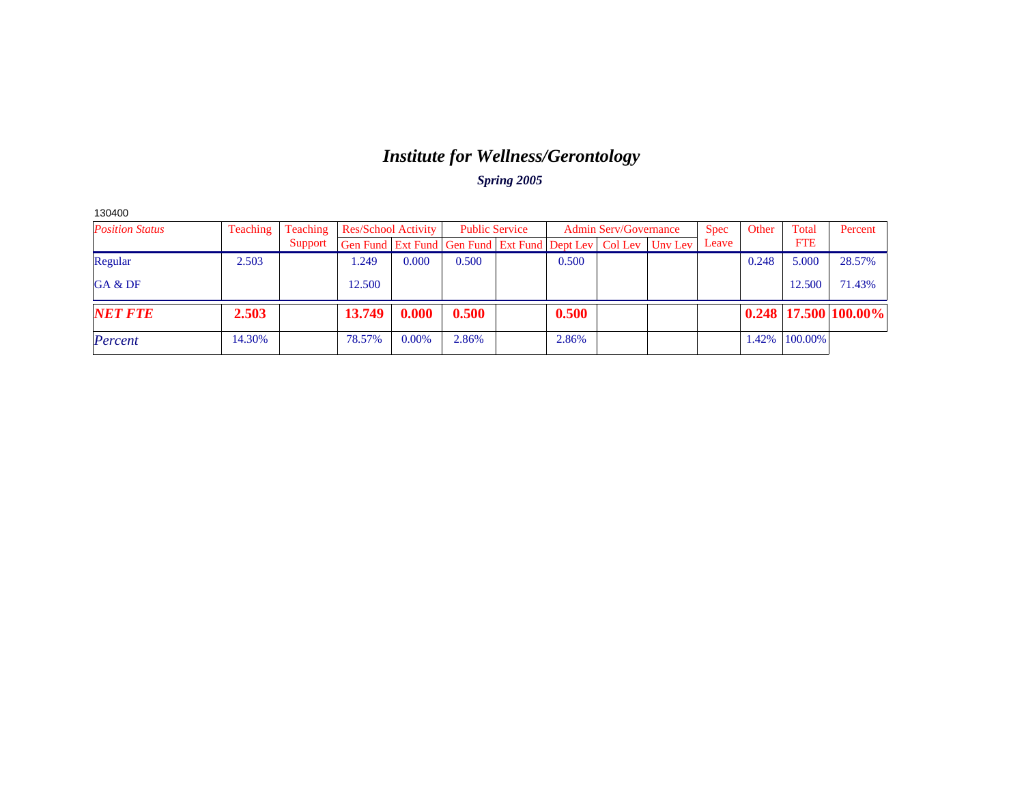# *Institute for Wellness/Gerontology*

| 130400                 |          |          |                                                                |          |       |                       |       |                              |         |             |       |            |                            |
|------------------------|----------|----------|----------------------------------------------------------------|----------|-------|-----------------------|-------|------------------------------|---------|-------------|-------|------------|----------------------------|
| <b>Position Status</b> | Teaching | Teaching | <b>Res/School Activity</b>                                     |          |       | <b>Public Service</b> |       | <b>Admin Serv/Governance</b> |         | <b>Spec</b> | Other | Total      | Percent                    |
|                        |          | Support  | Gen Fund   Ext Fund   Gen Fund   Ext Fund   Dept Lev   Col Lev |          |       |                       |       |                              | Unv Lev | Leave       |       | <b>FTE</b> |                            |
| Regular                | 2.503    |          | .249                                                           | 0.000    | 0.500 |                       | 0.500 |                              |         |             | 0.248 | 5.000      | 28.57%                     |
| GA & DF                |          |          | 12.500                                                         |          |       |                       |       |                              |         |             |       | 12.500     | 71.43%                     |
| <b>NET FTE</b>         | 2.503    |          | 13.749                                                         | 0.000    | 0.500 |                       | 0.500 |                              |         |             |       |            | $0.248$   17.500   100.00% |
| Percent                | 14.30%   |          | 78.57%                                                         | $0.00\%$ | 2.86% |                       | 2.86% |                              |         |             | 1.42% | 100.00%    |                            |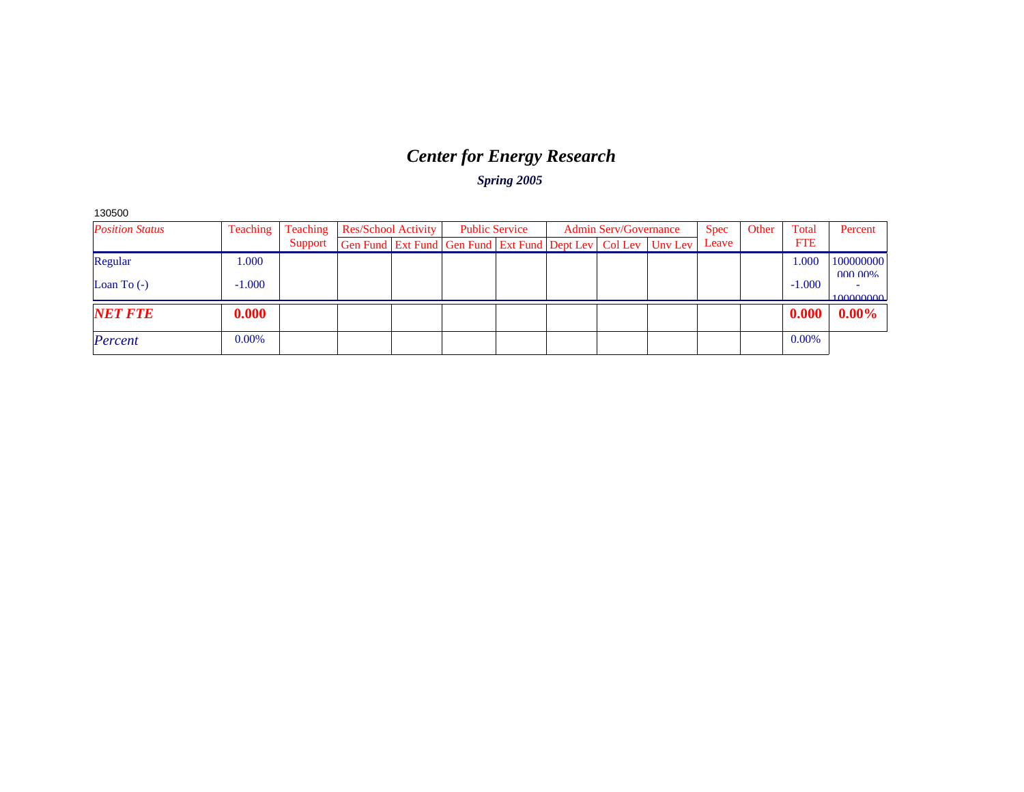# *Center for Energy Research*

| 130500                 |          |                            |                                                              |                       |  |                              |             |       |       |            |                      |
|------------------------|----------|----------------------------|--------------------------------------------------------------|-----------------------|--|------------------------------|-------------|-------|-------|------------|----------------------|
| <b>Position Status</b> | Teaching | <b>Res/School Activity</b> |                                                              | <b>Public Service</b> |  | <b>Admin Serv/Governance</b> | <b>Spec</b> | Other | Total | Percent    |                      |
|                        |          | Support                    | Gen Fund Ext Fund Gen Fund Ext Fund Dept Lev Col Lev Unv Lev |                       |  |                              |             | Leave |       | <b>FTE</b> |                      |
| Regular                | 1.000    |                            |                                                              |                       |  |                              |             |       |       | 1.000      | 100000000            |
| Loan To $(-)$          | $-1.000$ |                            |                                                              |                       |  |                              |             |       |       | $-1.000$   | 000,00%<br>100000000 |
| <b>NET FTE</b>         | 0.000    |                            |                                                              |                       |  |                              |             |       |       | 0.000      | $0.00\%$             |
| Percent                | 0.00%    |                            |                                                              |                       |  |                              |             |       |       | 0.00%      |                      |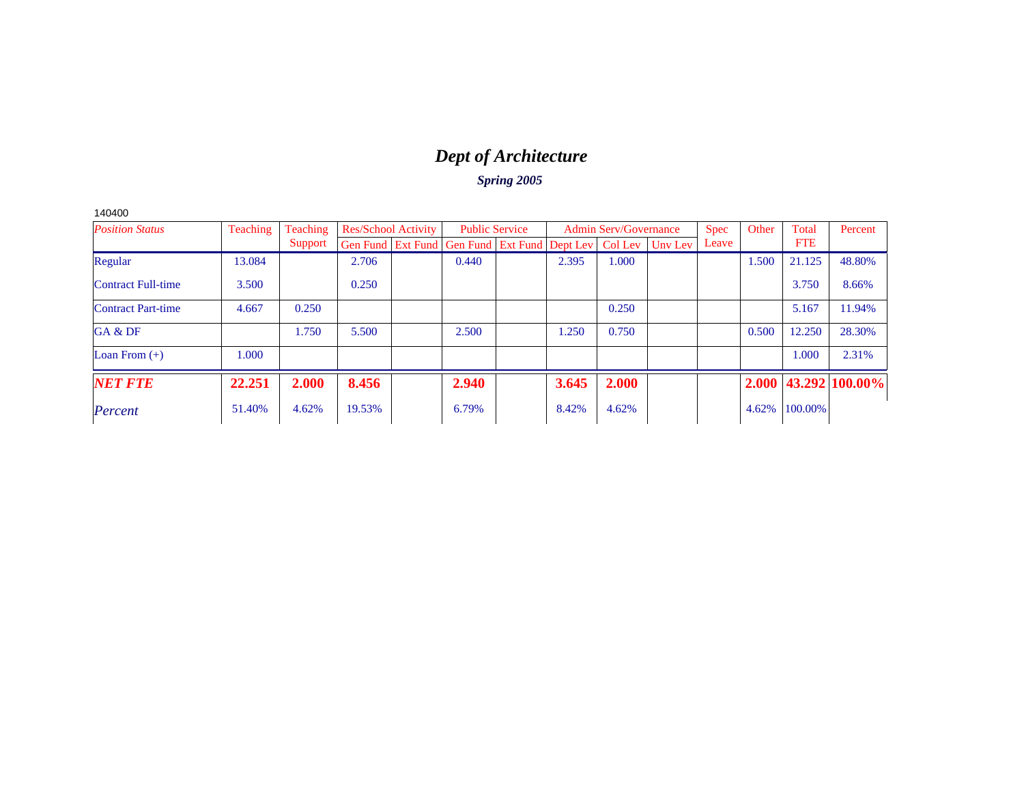# *Dept of Architecture*

| 40400 |  |
|-------|--|
|-------|--|

| <b>Position Status</b>    | Teaching<br>Teaching |         | <b>Res/School Activity</b> |  | <b>Public Service</b>                                          |  | <b>Admin Serv/Governance</b> |       |         | <b>Spec</b> | Other | Total      | Percent                    |
|---------------------------|----------------------|---------|----------------------------|--|----------------------------------------------------------------|--|------------------------------|-------|---------|-------------|-------|------------|----------------------------|
|                           |                      | Support |                            |  | Gen Fund   Ext Fund   Gen Fund   Ext Fund   Dept Lev   Col Lev |  |                              |       | Uny Lev | Leave       |       | <b>FTE</b> |                            |
| Regular                   | 13.084               |         | 2.706                      |  | 0.440                                                          |  | 2.395                        | 1.000 |         |             | 1.500 | 21.125     | 48.80%                     |
| <b>Contract Full-time</b> | 3.500                |         | 0.250                      |  |                                                                |  |                              |       |         |             |       | 3.750      | 8.66%                      |
| <b>Contract Part-time</b> | 4.667                | 0.250   |                            |  |                                                                |  |                              | 0.250 |         |             |       | 5.167      | 11.94%                     |
| GA & DF                   |                      | 1.750   | 5.500                      |  | 2.500                                                          |  | 1.250                        | 0.750 |         |             | 0.500 | 12.250     | 28.30%                     |
| Loan From $(+)$           | 1.000                |         |                            |  |                                                                |  |                              |       |         |             |       | 1.000      | 2.31%                      |
| <b>NET FTE</b>            | 22.251               | 2.000   | 8.456                      |  | 2.940                                                          |  | 3.645                        | 2.000 |         |             |       |            | $2.000$   43.292   100.00% |
| Percent                   | 51.40%               | 4.62%   | 19.53%                     |  | 6.79%                                                          |  | 8.42%                        | 4.62% |         |             | 4.62% | 100.00%    |                            |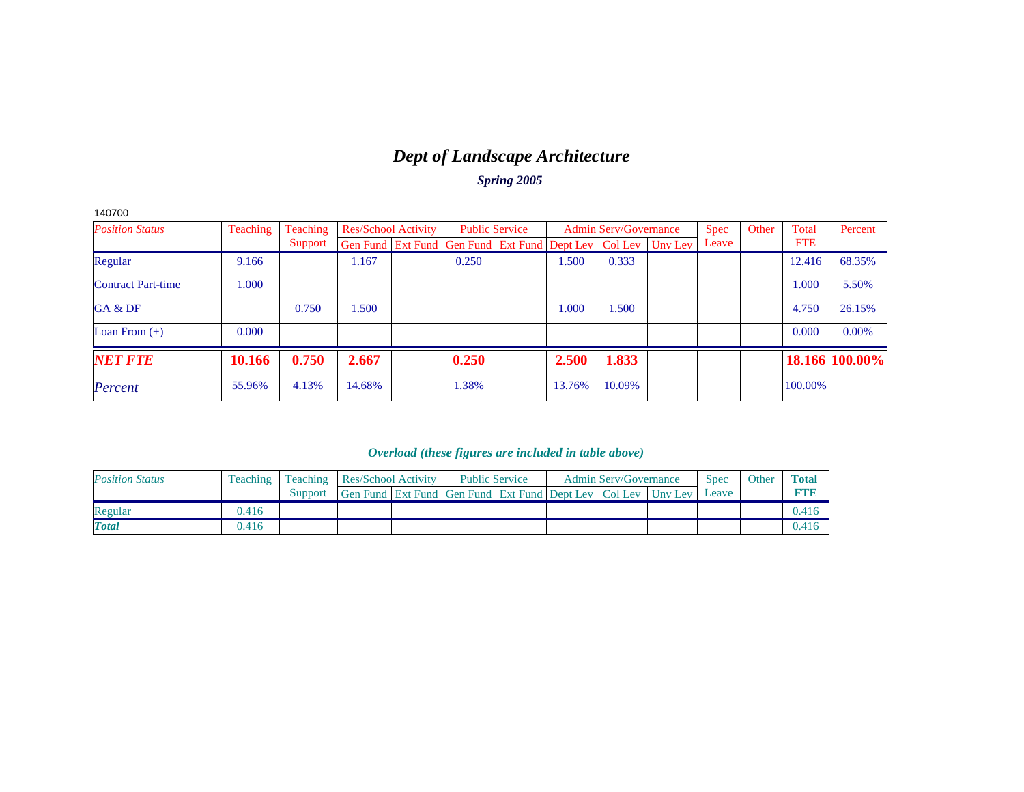# *Dept of Landscape Architecture*

*Spring 2005*

| 140700                    |          |          |        |                            |                                                                  |        |                              |             |       |            |                |
|---------------------------|----------|----------|--------|----------------------------|------------------------------------------------------------------|--------|------------------------------|-------------|-------|------------|----------------|
| <b>Position Status</b>    | Teaching | Teaching |        | <b>Res/School Activity</b> | <b>Public Service</b>                                            |        | <b>Admin Serv/Governance</b> | <b>Spec</b> | Other | Total      | Percent        |
|                           |          | Support  |        |                            | Gen Fund Ext Fund Gen Fund Ext Fund Dept Lev   Col Lev   Unv Lev |        |                              | Leave       |       | <b>FTE</b> |                |
| Regular                   | 9.166    |          | 1.167  |                            | 0.250                                                            | 1.500  | 0.333                        |             |       | 12.416     | 68.35%         |
| <b>Contract Part-time</b> | 1.000    |          |        |                            |                                                                  |        |                              |             |       | 1.000      | 5.50%          |
| GA & DF                   |          | 0.750    | 1.500  |                            |                                                                  | 1.000  | 1.500                        |             |       | 4.750      | 26.15%         |
| Loan From $(+)$           | 0.000    |          |        |                            |                                                                  |        |                              |             |       | 0.000      | 0.00%          |
| <b>NET FTE</b>            | 10.166   | 0.750    | 2.667  |                            | 0.250                                                            | 2.500  | 1.833                        |             |       |            | 18.166 100.00% |
| Percent                   | 55.96%   | 4.13%    | 14.68% |                            | 1.38%                                                            | 13.76% | 10.09%                       |             |       | 100.00%    |                |

| <b>Position Status</b> |       | <b>Teaching</b> Teaching | <b>Res/School Activity</b>                                   |  | <b>Public Service</b> |  | <b>Admin Serv/Governance</b> | <b>Spec</b> | Other | <b>Total</b> |
|------------------------|-------|--------------------------|--------------------------------------------------------------|--|-----------------------|--|------------------------------|-------------|-------|--------------|
|                        |       | Support                  | Gen Fund Ext Fund Gen Fund Ext Fund Dept Lev Col Lev Unv Lev |  |                       |  |                              | Leave       |       |              |
| Regular                | 0.416 |                          |                                                              |  |                       |  |                              |             |       | 0.416        |
| <b>Total</b>           | 0.416 |                          |                                                              |  |                       |  |                              |             |       | 0.416        |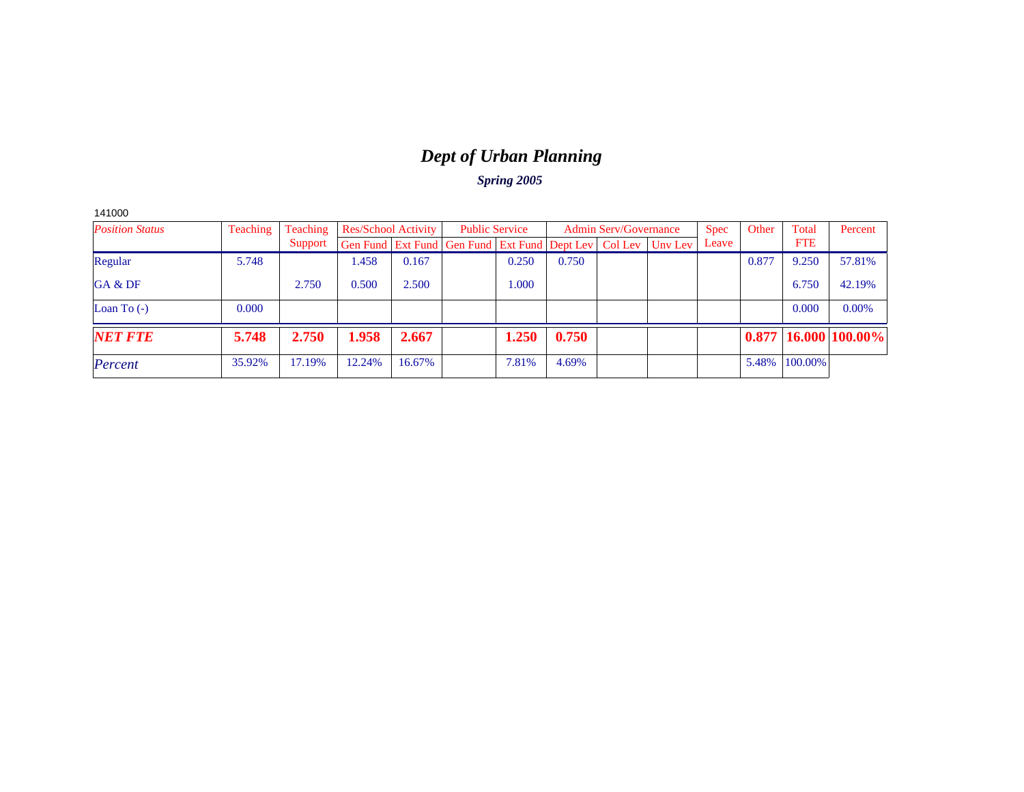# *Dept of Urban Planning*

|  | 41000 |
|--|-------|
|--|-------|

| <b>Position Status</b> | Teaching | Teaching |                                                                          | Res/School Activity |  | <b>Public Service</b> |       | <b>Admin Serv/Governance</b> |  |       | Other | Total      | Percent                    |
|------------------------|----------|----------|--------------------------------------------------------------------------|---------------------|--|-----------------------|-------|------------------------------|--|-------|-------|------------|----------------------------|
|                        |          | Support  | Gen Fund   Ext Fund   Gen Fund   Ext Fund   Dept Lev   Col Lev   Uny Lev |                     |  |                       |       |                              |  | Leave |       | <b>FTE</b> |                            |
| Regular                | 5.748    |          | .458                                                                     | 0.167               |  | 0.250                 | 0.750 |                              |  |       | 0.877 | 9.250      | 57.81%                     |
| GA & DF                |          | 2.750    | 0.500                                                                    | 2.500               |  | 1.000                 |       |                              |  |       |       | 6.750      | 42.19%                     |
| Loan To $(-)$          | 0.000    |          |                                                                          |                     |  |                       |       |                              |  |       |       | 0.000      | 0.00%                      |
| <b>NET FTE</b>         | 5.748    | 2.750    | 1.958                                                                    | 2.667               |  | 1.250                 | 0.750 |                              |  |       |       |            | $0.877$   16.000   100.00% |
| Percent                | 35.92%   | 17.19%   | 12.24%                                                                   | 16.67%              |  | 7.81%                 | 4.69% |                              |  |       | 5.48% | 100.00%    |                            |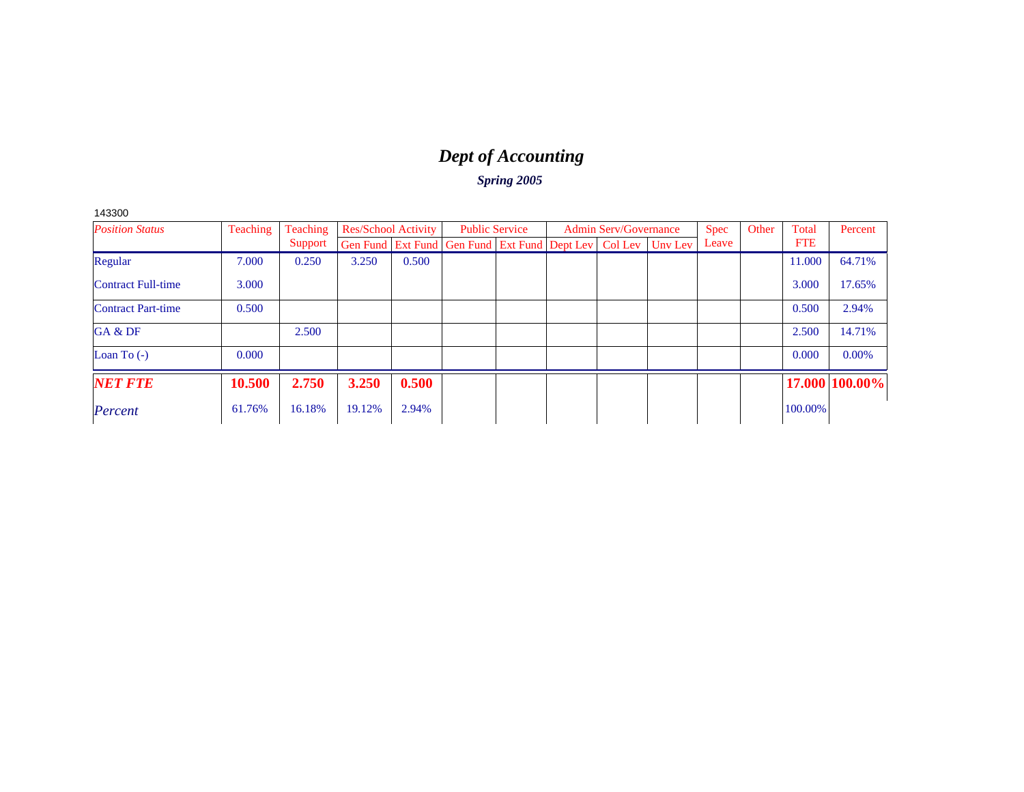# *Dept of Accounting*

*Spring 2005*

143300

| <b>Position Status</b>    | Teaching | Teaching | <b>Res/School Activity</b> |       | <b>Public Service</b>                                                    |  | <b>Admin Serv/Governance</b> | <b>Spec</b> | Other | Total      | Percent        |
|---------------------------|----------|----------|----------------------------|-------|--------------------------------------------------------------------------|--|------------------------------|-------------|-------|------------|----------------|
|                           |          | Support  |                            |       | Gen Fund   Ext Fund   Gen Fund   Ext Fund   Dept Lev   Col Lev   Unv Lev |  |                              | Leave       |       | <b>FTE</b> |                |
| Regular                   | 7.000    | 0.250    | 3.250                      | 0.500 |                                                                          |  |                              |             |       | 11.000     | 64.71%         |
| <b>Contract Full-time</b> | 3.000    |          |                            |       |                                                                          |  |                              |             |       | 3.000      | 17.65%         |
| <b>Contract Part-time</b> | 0.500    |          |                            |       |                                                                          |  |                              |             |       | 0.500      | 2.94%          |
| GA & DF                   |          | 2.500    |                            |       |                                                                          |  |                              |             |       | 2.500      | 14.71%         |
| Loan To $(-)$             | 0.000    |          |                            |       |                                                                          |  |                              |             |       | 0.000      | $0.00\%$       |
| <b>NET FTE</b>            | 10.500   | 2.750    | 3.250                      | 0.500 |                                                                          |  |                              |             |       |            | 17.000 100.00% |
| Percent                   | 61.76%   | 16.18%   | 19.12%                     | 2.94% |                                                                          |  |                              |             |       | 100.00%    |                |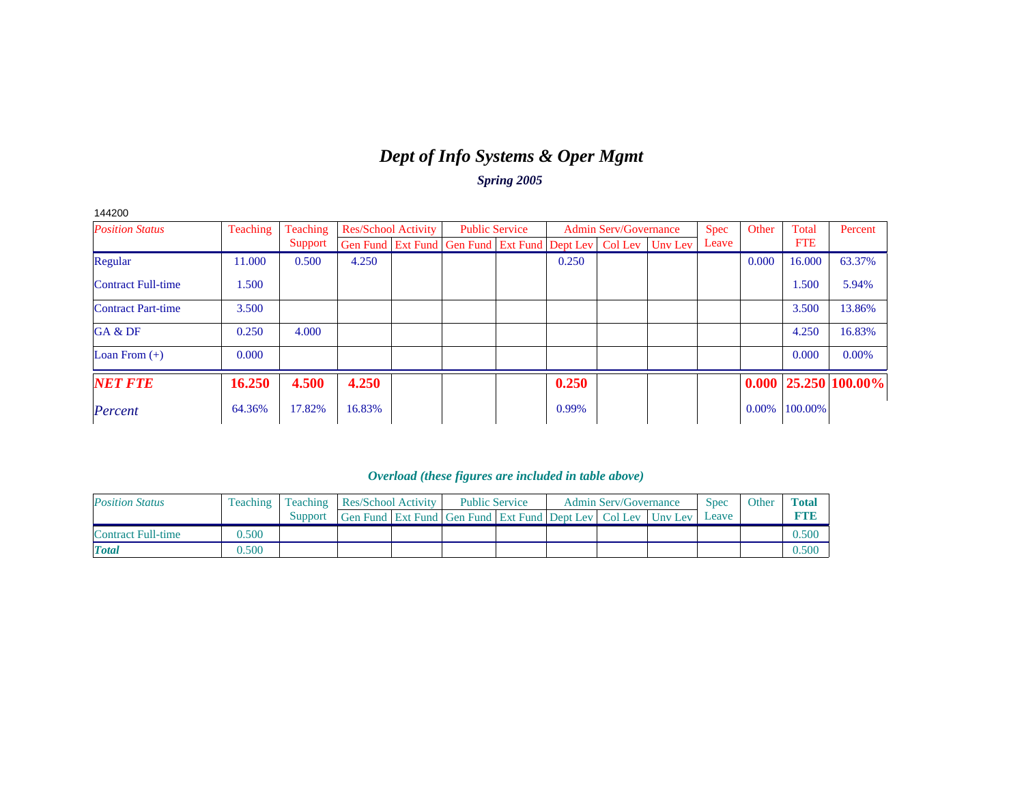### *Dept of Info Systems & Oper Mgmt Spring 2005*

144200*Position Status*Teaching Teaching Support Res/School Activity Gen Fund | Ext Fund Public Service Gen Fund | Ext Fund Admin Serv/Governance Dept Lev Col Lev Unv Lev Spec Leave **Other**  Total FTE Percent Regular 11.000 0.500 4.250 0.1 0.250 0.250 0.250 0.250 0.000 0.63.37% Contract Full-time 1.5000 and 1.500 for  $1.500 \pm 5.94\%$ Contract Part-time 3.5000  $\vert$  1  $\vert$  1  $\vert$  1  $\vert$  1  $\vert$  1  $\vert$  1  $\vert$  1  $\vert$  3.500  $\vert$  13.86% GA & DFF and the set of the set of the set of the set of the set of the set of the set of the set of the set of the set of the set of the set of the set of the set of the set of the set of the set of the set of the set of the set 16.83% Loan From (+) 0.000 0.000 0.00% *NET FTE* **16.250 4.500 4.250 0.250 0.000 25.250 100.00%***Percent* $t$  64.36% 17.82% 16.83% 0.99% 0.99% 0.00% 100.00% 0.000% 0.000 0.00% 0.000 0.000 0.000 0.000 0.000 0.000 0.000 0.000 0.000 0.000 0.000 0.000 0.000 0.000 0.000 0.000 0.000 0.000 0.000 0.000 0.000 0.000 0.000 0.000 0.000 0

| <b>Position Status</b> | <b>Teaching</b> |         | <b>Teaching Res/School Activity</b>                                      |  | <b>Public Service</b> |  | <b>Admin Serv/Governance</b> | Spec  | Other | <b>Total</b> |
|------------------------|-----------------|---------|--------------------------------------------------------------------------|--|-----------------------|--|------------------------------|-------|-------|--------------|
|                        |                 | Support | Gen Fund   Ext Fund   Gen Fund   Ext Fund   Dept Lev   Col Lev   Uny Lev |  |                       |  |                              | Leave |       |              |
| Contract Full-time     | 0.500           |         |                                                                          |  |                       |  |                              |       |       |              |
| <b>Total</b>           | 0.500           |         |                                                                          |  |                       |  |                              |       |       |              |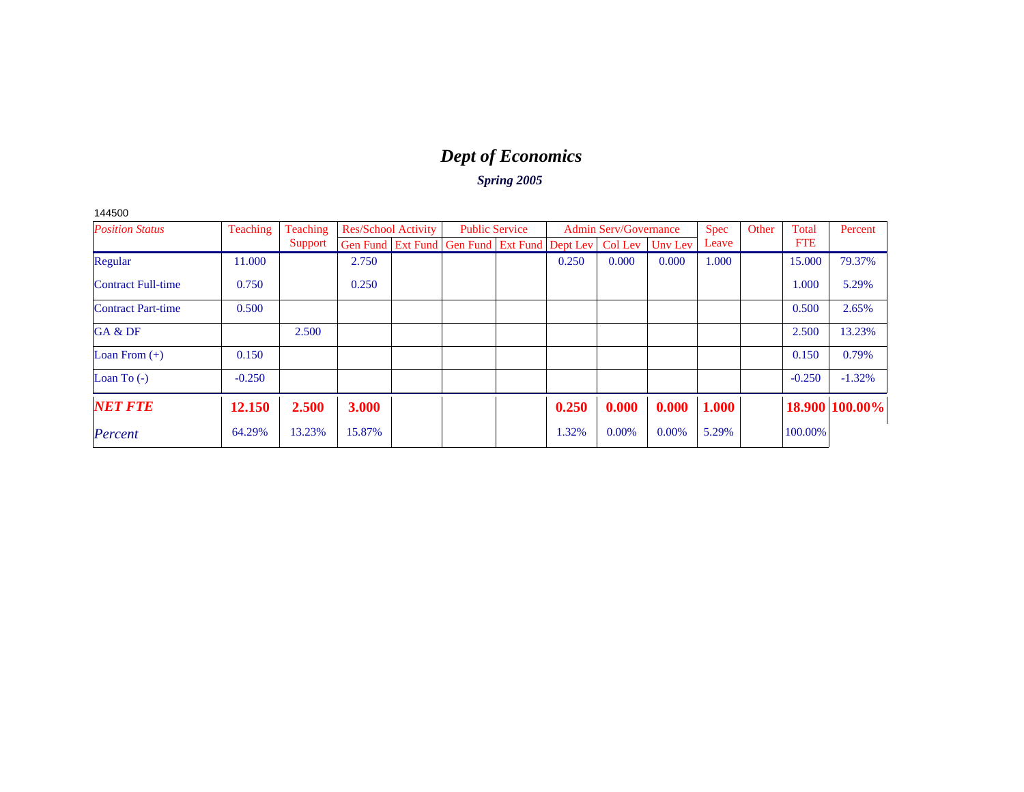# *Dept of Economics*

| I5C<br>)ſ<br>4 |
|----------------|
|----------------|

| <b>Position Status</b>    | Teaching<br>Teaching |         | <b>Res/School Activity</b> |  | <b>Public Service</b>                                          |  | <b>Admin Serv/Governance</b> |       |         | Spec  | Other | Total      | Percent        |
|---------------------------|----------------------|---------|----------------------------|--|----------------------------------------------------------------|--|------------------------------|-------|---------|-------|-------|------------|----------------|
|                           |                      | Support |                            |  | Gen Fund   Ext Fund   Gen Fund   Ext Fund   Dept Lev   Col Lev |  |                              |       | Unv Lev | Leave |       | <b>FTE</b> |                |
| Regular                   | 11.000               |         | 2.750                      |  |                                                                |  | 0.250                        | 0.000 | 0.000   | 1.000 |       | 15,000     | 79.37%         |
| <b>Contract Full-time</b> | 0.750                |         | 0.250                      |  |                                                                |  |                              |       |         |       |       | 1.000      | 5.29%          |
| <b>Contract Part-time</b> | 0.500                |         |                            |  |                                                                |  |                              |       |         |       |       | 0.500      | 2.65%          |
| GA & DF                   |                      | 2.500   |                            |  |                                                                |  |                              |       |         |       |       | 2.500      | 13.23%         |
| Loan From $(+)$           | 0.150                |         |                            |  |                                                                |  |                              |       |         |       |       | 0.150      | 0.79%          |
| Loan To $(-)$             | $-0.250$             |         |                            |  |                                                                |  |                              |       |         |       |       | $-0.250$   | $-1.32%$       |
| <b>NET FTE</b>            | 12.150               | 2.500   | 3.000                      |  |                                                                |  | 0.250                        | 0.000 | 0.000   | 1.000 |       |            | 18.900 100.00% |
| Percent                   | 64.29%               | 13.23%  | 15.87%                     |  |                                                                |  | 1.32%                        | 0.00% | 0.00%   | 5.29% |       | 100.00%    |                |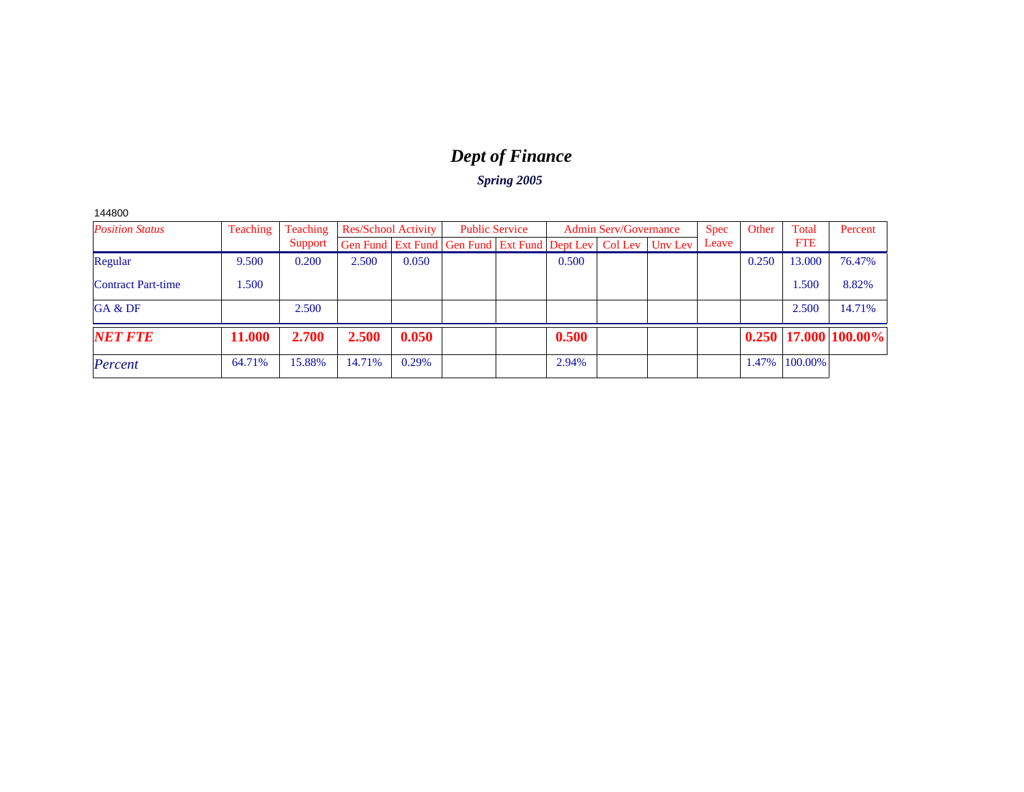# *Dept of Finance*

*Spring 2005*

144800

| <b>Position Status</b>    | Teaching      | Teaching | <b>Res/School Activity</b>                                         |       | <b>Public Service</b> |       | <b>Admin Serv/Governance</b> | <b>Spec</b> | Other | Total      | Percent                    |
|---------------------------|---------------|----------|--------------------------------------------------------------------|-------|-----------------------|-------|------------------------------|-------------|-------|------------|----------------------------|
|                           |               | Support  | <b>Gen Fund Ext Fund Gen Fund Ext Fund Dept Lev Colley Uny Lev</b> |       |                       |       |                              | Leave       |       | <b>FTE</b> |                            |
| Regular                   | 9.500         | 0.200    | 2.500                                                              | 0.050 |                       | 0.500 |                              |             | 0.250 | 13.000     | 76.47%                     |
| <b>Contract Part-time</b> | .500          |          |                                                                    |       |                       |       |                              |             |       | 1.500      | 8.82%                      |
| GA & DF                   |               | 2.500    |                                                                    |       |                       |       |                              |             |       | 2.500      | 14.71%                     |
| <b>NET FTE</b>            | <b>11.000</b> | 2.700    | 2.500                                                              | 0.050 |                       | 0.500 |                              |             |       |            | $0.250$   17.000   100.00% |
| Percent                   | 64.71%        | 15.88%   | 14.71%                                                             | 0.29% |                       | 2.94% |                              |             | 1.47% | 100.00%    |                            |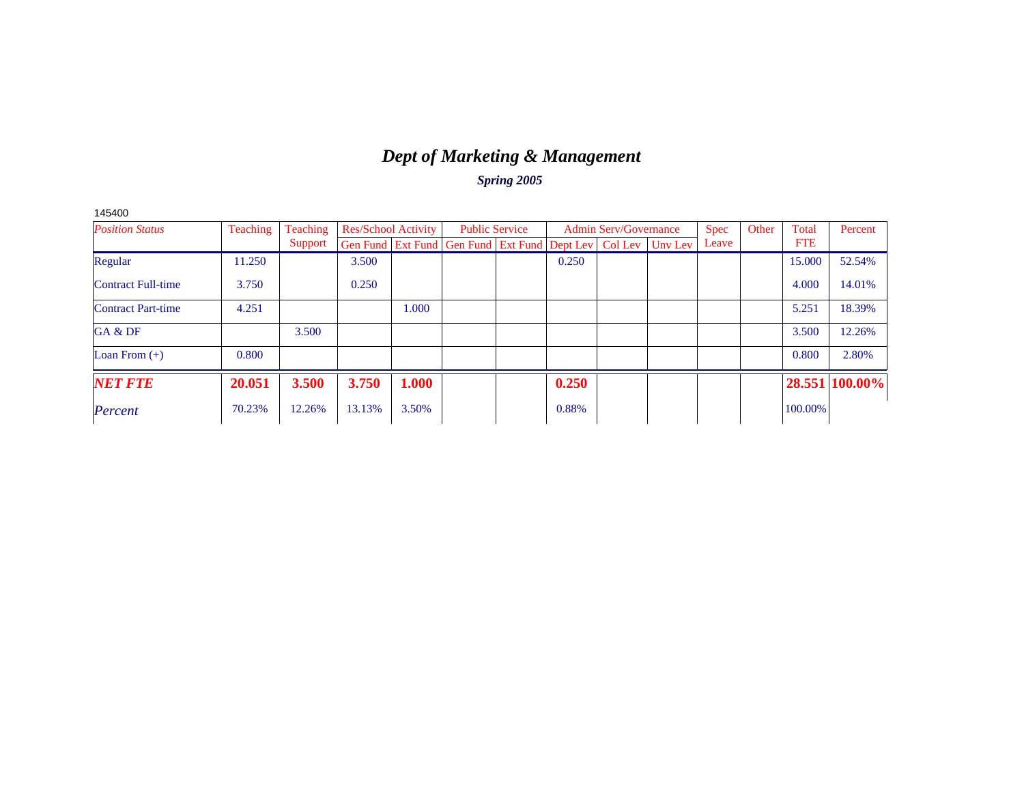# *Dept of Marketing & Management*

*Spring 2005*

| <b>Position Status</b>    | Teaching | Teaching | <b>Res/School Activity</b> |       | <b>Public Service</b>                                |       | <b>Admin Serv/Governance</b> |         | <b>Spec</b> | Other | Total      | Percent |
|---------------------------|----------|----------|----------------------------|-------|------------------------------------------------------|-------|------------------------------|---------|-------------|-------|------------|---------|
|                           |          | Support  |                            |       | Gen Fund Ext Fund Gen Fund Ext Fund Dept Lev Col Lev |       |                              | Unv Lev | Leave       |       | <b>FTE</b> |         |
| Regular                   | 11.250   |          | 3.500                      |       |                                                      | 0.250 |                              |         |             |       | 15.000     | 52.54%  |
| Contract Full-time        | 3.750    |          | 0.250                      |       |                                                      |       |                              |         |             |       | 4.000      | 14.01%  |
| <b>Contract Part-time</b> | 4.251    |          |                            | 1.000 |                                                      |       |                              |         |             |       | 5.251      | 18.39%  |
| GA & DF                   |          | 3.500    |                            |       |                                                      |       |                              |         |             |       | 3.500      | 12.26%  |
| Loan From $(+)$           | 0.800    |          |                            |       |                                                      |       |                              |         |             |       | 0.800      | 2.80%   |
| <b>NET FTE</b>            | 20.051   | 3.500    | 3.750                      | 1.000 |                                                      | 0.250 |                              |         |             |       | 28.551     | 100.00% |
| Percent                   | 70.23%   | 12.26%   | 13.13%                     | 3.50% |                                                      | 0.88% |                              |         |             |       | 100.00%    |         |

145400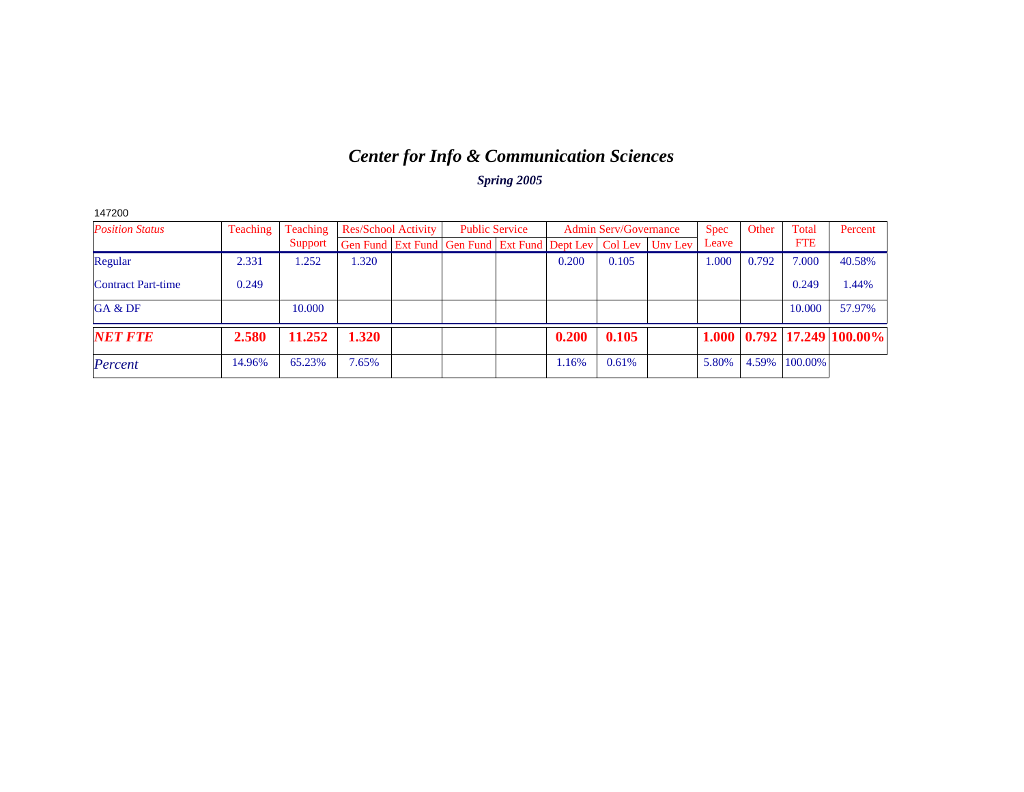# *Center for Info & Communication Sciences*

| 147200                    |                 |          |                                                      |                       |       |                              |         |             |       |            |                                              |
|---------------------------|-----------------|----------|------------------------------------------------------|-----------------------|-------|------------------------------|---------|-------------|-------|------------|----------------------------------------------|
| <b>Position Status</b>    | <b>Teaching</b> | Teaching | <b>Res/School Activity</b>                           | <b>Public Service</b> |       | <b>Admin Serv/Governance</b> |         | <b>Spec</b> | Other | Total      | Percent                                      |
|                           |                 | Support  | Gen Fund Ext Fund Gen Fund Ext Fund Dept Lev Col Lev |                       |       |                              | Unv Lev | Leave       |       | <b>FTE</b> |                                              |
| Regular                   | 2.331           | 1.252    | .320                                                 |                       | 0.200 | 0.105                        |         | 1.000       | 0.792 | 7.000      | 40.58%                                       |
| <b>Contract Part-time</b> | 0.249           |          |                                                      |                       |       |                              |         |             |       | 0.249      | 1.44%                                        |
| GA & DF                   |                 | 10.000   |                                                      |                       |       |                              |         |             |       | 10.000     | 57.97%                                       |
| <b>NET FTE</b>            | 2.580           | 11.252   | 1.320                                                |                       | 0.200 | 0.105                        |         |             |       |            | $1.000 \mid 0.792 \mid 17.249 \mid 100.00\%$ |
| Percent                   | 14.96%          | 65.23%   | 7.65%                                                |                       | 1.16% | 0.61%                        |         | 5.80%       | 4.59% | 100.00%    |                                              |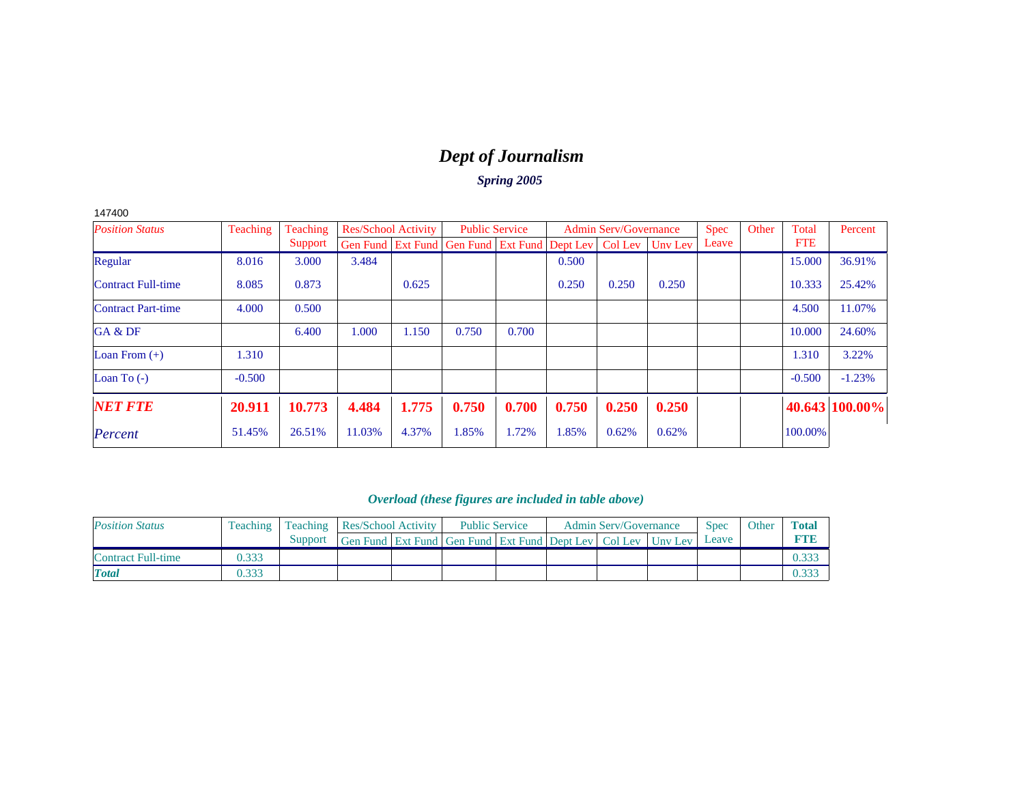# *Dept of Journalism*

*Spring 2005*

|--|--|

| <b>Position Status</b>    | Teaching | Teaching |        | <b>Res/School Activity</b> |                                                                | <b>Public Service</b> |       | <b>Admin Serv/Governance</b> |         | <b>Spec</b> | Other | Total      | Percent        |
|---------------------------|----------|----------|--------|----------------------------|----------------------------------------------------------------|-----------------------|-------|------------------------------|---------|-------------|-------|------------|----------------|
|                           |          | Support  |        |                            | Gen Fund   Ext Fund   Gen Fund   Ext Fund   Dept Lev   Col Lev |                       |       |                              | Unv Lev | Leave       |       | <b>FTE</b> |                |
| Regular                   | 8.016    | 3.000    | 3.484  |                            |                                                                |                       | 0.500 |                              |         |             |       | 15,000     | 36.91%         |
| <b>Contract Full-time</b> | 8.085    | 0.873    |        | 0.625                      |                                                                |                       | 0.250 | 0.250                        | 0.250   |             |       | 10.333     | 25.42%         |
| <b>Contract Part-time</b> | 4.000    | 0.500    |        |                            |                                                                |                       |       |                              |         |             |       | 4.500      | 11.07%         |
| GA & DF                   |          | 6.400    | 000.1  | 1.150                      | 0.750                                                          | 0.700                 |       |                              |         |             |       | 10.000     | 24.60%         |
| Loan From $(+)$           | 1.310    |          |        |                            |                                                                |                       |       |                              |         |             |       | 1.310      | 3.22%          |
| Loan To $(-)$             | $-0.500$ |          |        |                            |                                                                |                       |       |                              |         |             |       | $-0.500$   | $-1.23%$       |
| <b>NET FTE</b>            | 20.911   | 10.773   | 4.484  | 1.775                      | 0.750                                                          | 0.700                 | 0.750 | 0.250                        | 0.250   |             |       |            | 40.643 100.00% |
| Percent                   | 51.45%   | 26.51%   | 11.03% | 4.37%                      | 1.85%                                                          | 1.72%                 | 1.85% | 0.62%                        | 0.62%   |             |       | 100.00%    |                |

| <b>Position Status</b> | Teaching | Teaching | Res/School Activity                                          | <b>Public Service</b> |  | <b>Admin Serv/Governance</b> | <b>Spec</b> | Other | <b>Total</b> |
|------------------------|----------|----------|--------------------------------------------------------------|-----------------------|--|------------------------------|-------------|-------|--------------|
|                        |          | Support  | Gen Fund Ext Fund Gen Fund Ext Fund Dept Lev Col Lev Unv Lev |                       |  |                              | Leave       |       | <b>FTIE</b>  |
| Contract Full-time     | 0.333    |          |                                                              |                       |  |                              |             |       | 0.333        |
| <b>T</b> otal          | 0.333    |          |                                                              |                       |  |                              |             |       | 0.333        |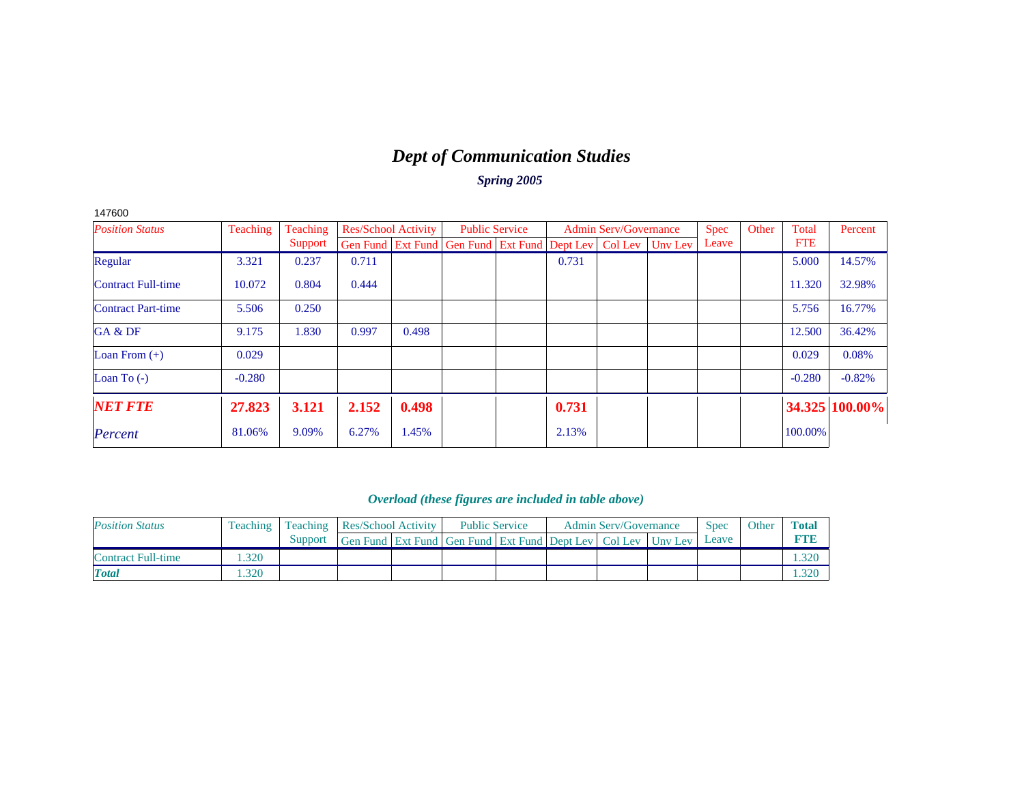# *Dept of Communication Studies*

*Spring 2005*

| 147600                    |          |          |                            |       |                                                                |       |                              |         |             |       |            |                |
|---------------------------|----------|----------|----------------------------|-------|----------------------------------------------------------------|-------|------------------------------|---------|-------------|-------|------------|----------------|
| <b>Position Status</b>    | Teaching | Teaching | <b>Res/School Activity</b> |       | <b>Public Service</b>                                          |       | <b>Admin Serv/Governance</b> |         | <b>Spec</b> | Other | Total      | Percent        |
|                           |          | Support  |                            |       | Gen Fund   Ext Fund   Gen Fund   Ext Fund   Dept Lev   Col Lev |       |                              | Unv Lev | Leave       |       | <b>FTE</b> |                |
| Regular                   | 3.321    | 0.237    | 0.711                      |       |                                                                | 0.731 |                              |         |             |       | 5.000      | 14.57%         |
| <b>Contract Full-time</b> | 10.072   | 0.804    | 0.444                      |       |                                                                |       |                              |         |             |       | 11.320     | 32.98%         |
| <b>Contract Part-time</b> | 5.506    | 0.250    |                            |       |                                                                |       |                              |         |             |       | 5.756      | 16.77%         |
| GA & DF                   | 9.175    | 1.830    | 0.997                      | 0.498 |                                                                |       |                              |         |             |       | 12.500     | 36.42%         |
| Loan From $(+)$           | 0.029    |          |                            |       |                                                                |       |                              |         |             |       | 0.029      | 0.08%          |
| Loan To $(-)$             | $-0.280$ |          |                            |       |                                                                |       |                              |         |             |       | $-0.280$   | $-0.82%$       |
| <b>NET FTE</b>            | 27.823   | 3.121    | 2.152                      | 0.498 |                                                                | 0.731 |                              |         |             |       |            | 34.325 100.00% |
| Percent                   | 81.06%   | 9.09%    | 6.27%                      | 1.45% |                                                                | 2.13% |                              |         |             |       | 100.00%    |                |

| <b>Position Status</b> | Teaching | <b>Teaching Res/School Activity</b> |                                                                  | <b>Public Service</b> |  | <b>Admin Serv/Governance</b> | <b>Spec</b> | Other | Total |
|------------------------|----------|-------------------------------------|------------------------------------------------------------------|-----------------------|--|------------------------------|-------------|-------|-------|
|                        |          | Support                             | Gen Fund Ext Fund Gen Fund Ext Fund Dept Lev   Col Lev   Uny Lev |                       |  |                              | Leave       |       |       |
| Contract Full-time     | .320     |                                     |                                                                  |                       |  |                              |             |       | .320  |
| <b>Total</b>           | .320     |                                     |                                                                  |                       |  |                              |             |       | .320  |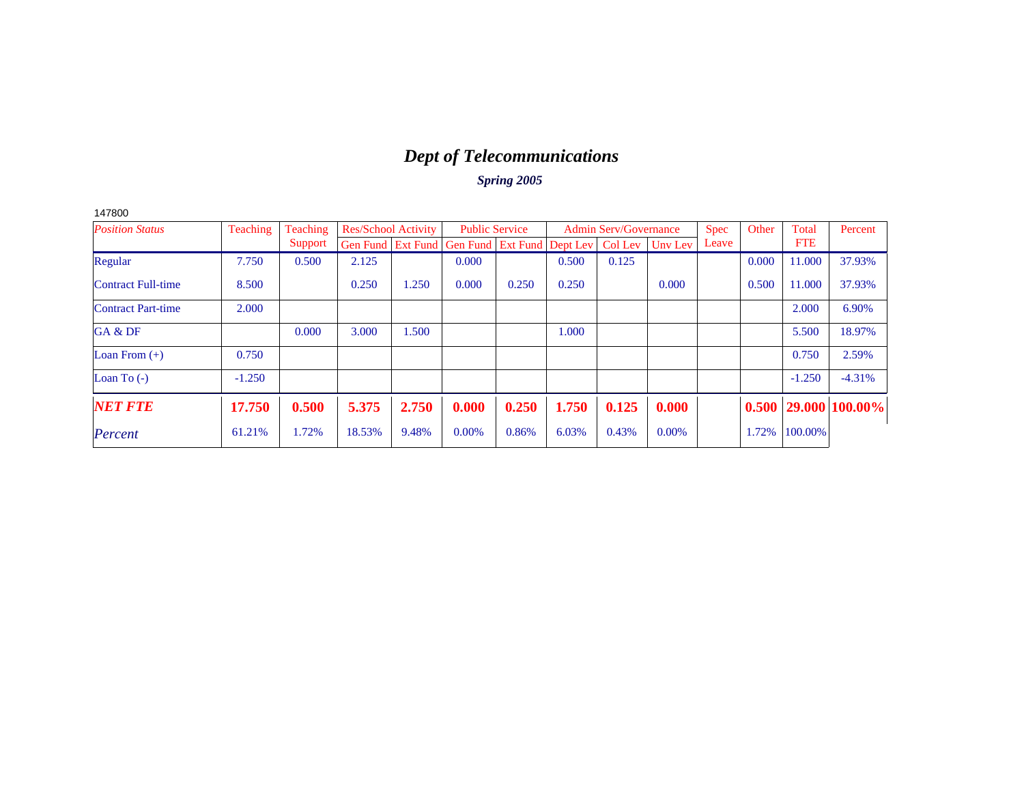# *Dept of Telecommunications*

| <b>Position Status</b>    | <b>Teaching</b> | Teaching | <b>Res/School Activity</b> |       | <b>Public Service</b>                                          |       |       | <b>Admin Serv/Governance</b> |         | <b>Spec</b> | Other | Total      | Percent                    |
|---------------------------|-----------------|----------|----------------------------|-------|----------------------------------------------------------------|-------|-------|------------------------------|---------|-------------|-------|------------|----------------------------|
|                           |                 | Support  |                            |       | Gen Fund   Ext Fund   Gen Fund   Ext Fund   Dept Lev   Col Lev |       |       |                              | Unv Lev | Leave       |       | <b>FTE</b> |                            |
| Regular                   | 7.750           | 0.500    | 2.125                      |       | 0.000                                                          |       | 0.500 | 0.125                        |         |             | 0.000 | 11.000     | 37.93%                     |
| <b>Contract Full-time</b> | 8.500           |          | 0.250                      | 1.250 | 0.000                                                          | 0.250 | 0.250 |                              | 0.000   |             | 0.500 | 11.000     | 37.93%                     |
| <b>Contract Part-time</b> | 2.000           |          |                            |       |                                                                |       |       |                              |         |             |       | 2.000      | 6.90%                      |
| GA & DF                   |                 | 0.000    | 3.000                      | 1.500 |                                                                |       | 1.000 |                              |         |             |       | 5.500      | 18.97%                     |
| Loan From $(+)$           | 0.750           |          |                            |       |                                                                |       |       |                              |         |             |       | 0.750      | 2.59%                      |
| Loan To $(-)$             | $-1.250$        |          |                            |       |                                                                |       |       |                              |         |             |       | $-1.250$   | $-4.31%$                   |
| <b>NET FTE</b>            | 17.750          | 0.500    | 5.375                      | 2.750 | 0.000                                                          | 0.250 | 1.750 | 0.125                        | 0.000   |             |       |            | $0.500$   29.000   100.00% |
| Percent                   | 61.21%          | 1.72%    | 18.53%                     | 9.48% | $0.00\%$                                                       | 0.86% | 6.03% | 0.43%                        | 0.00%   |             | 1.72% | 100.00%    |                            |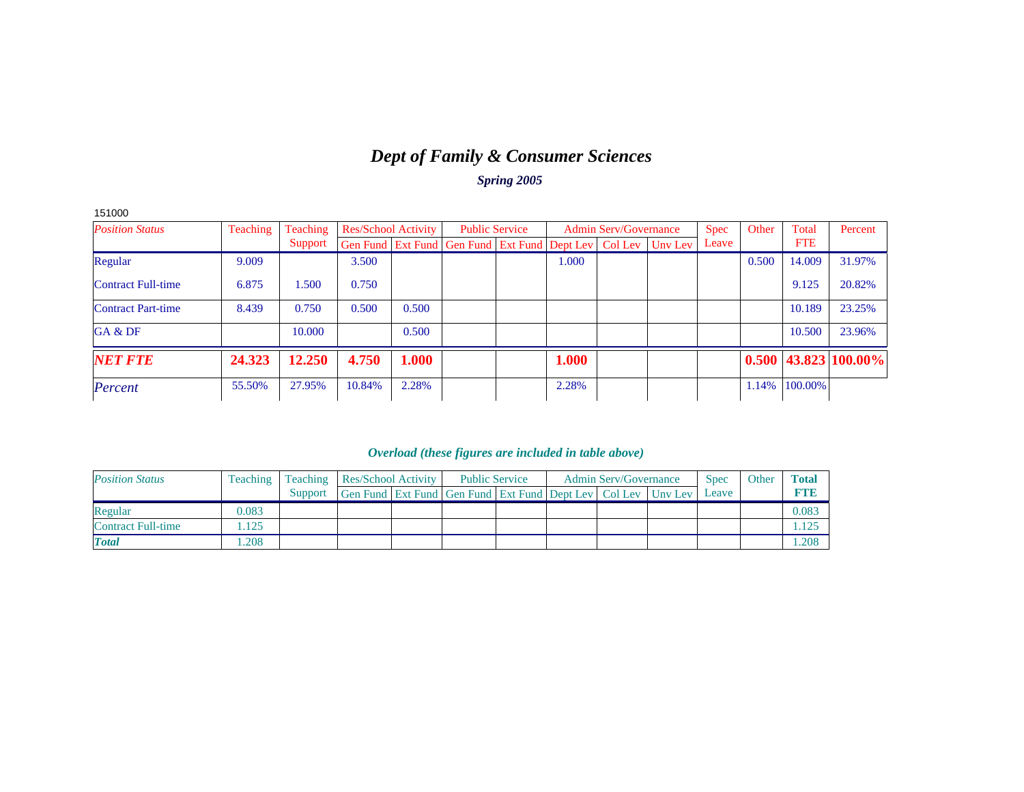# *Dept of Family & Consumer Sciences*

*Spring 2005*

| 151000                    |          |          |                            |       |                                                                  |       |                              |             |       |            |                            |
|---------------------------|----------|----------|----------------------------|-------|------------------------------------------------------------------|-------|------------------------------|-------------|-------|------------|----------------------------|
| <b>Position Status</b>    | Teaching | Teaching | <b>Res/School Activity</b> |       | <b>Public Service</b>                                            |       | <b>Admin Serv/Governance</b> | <b>Spec</b> | Other | Total      | Percent                    |
|                           |          | Support  |                            |       | Gen Fund Ext Fund Gen Fund Ext Fund Dept Lev   Col Lev   Unv Lev |       |                              | Leave       |       | <b>FTE</b> |                            |
| Regular                   | 9.009    |          | 3.500                      |       |                                                                  | 1.000 |                              |             | 0.500 | 14.009     | 31.97%                     |
| <b>Contract Full-time</b> | 6.875    | .500     | 0.750                      |       |                                                                  |       |                              |             |       | 9.125      | 20.82%                     |
| <b>Contract Part-time</b> | 8.439    | 0.750    | 0.500                      | 0.500 |                                                                  |       |                              |             |       | 10.189     | 23.25%                     |
| GA & DF                   |          | 10.000   |                            | 0.500 |                                                                  |       |                              |             |       | 10.500     | 23.96%                     |
| <b>NET FTE</b>            | 24.323   | 12.250   | 4.750                      | 1.000 |                                                                  | 1.000 |                              |             |       |            | $0.500$   43.823   100.00% |
| Percent                   | 55.50%   | 27.95%   | 10.84%                     | 2.28% |                                                                  | 2.28% |                              |             | 1.14% | 100.00%    |                            |

| <b>Position Status</b>    | <b>Teaching</b> | <b>Teaching Res/School Activity</b> |                                                                  | <b>Public Service</b> |  | <b>Admin Serv/Governance</b> | <b>Spec</b> | Other | <b>Total</b> |
|---------------------------|-----------------|-------------------------------------|------------------------------------------------------------------|-----------------------|--|------------------------------|-------------|-------|--------------|
|                           |                 | Support                             | Gen Fund Ext Fund Gen Fund Ext Fund Dept Lev   Col Lev   Unv Lev |                       |  |                              | Leave       |       | <b>RTVB</b>  |
| Regular                   | 0.083           |                                     |                                                                  |                       |  |                              |             |       | 0.083        |
| <b>Contract Full-time</b> | .125            |                                     |                                                                  |                       |  |                              |             |       |              |
| <b>Total</b>              | .208            |                                     |                                                                  |                       |  |                              |             |       | 1.208        |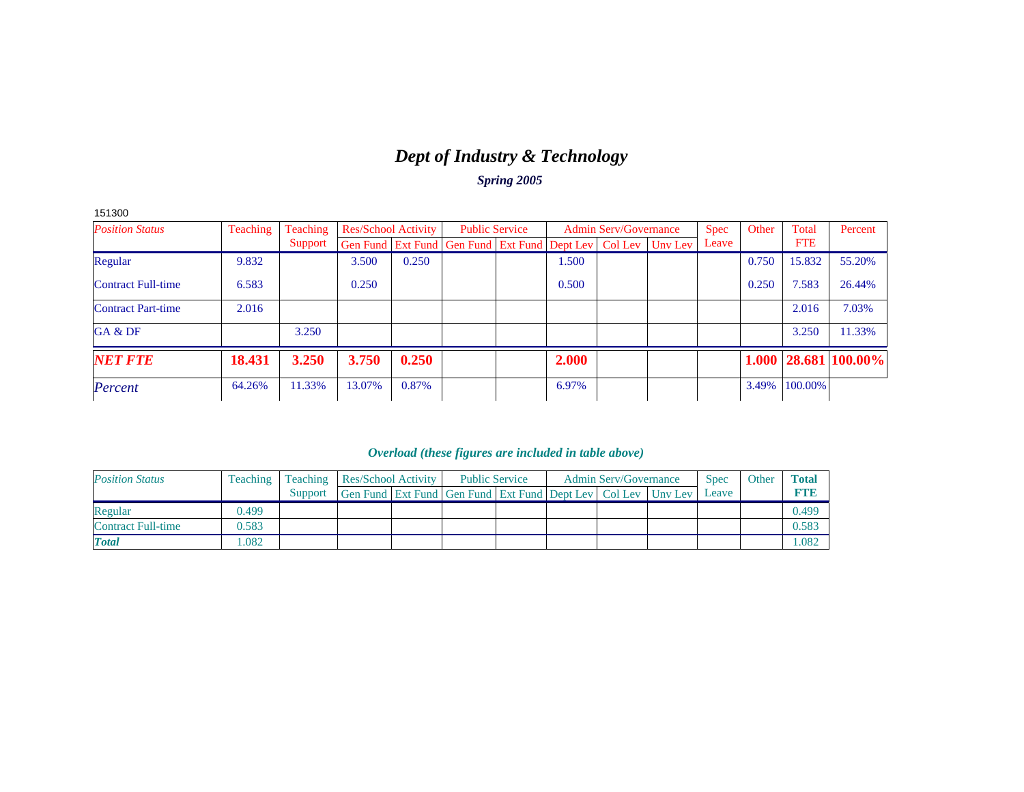# *Dept of Industry & Technology*

*Spring 2005*

| 151300                    |          |          |        |                            |                                                                          |       |                              |             |       |            |                            |
|---------------------------|----------|----------|--------|----------------------------|--------------------------------------------------------------------------|-------|------------------------------|-------------|-------|------------|----------------------------|
| <b>Position Status</b>    | Teaching | Teaching |        | <b>Res/School Activity</b> | <b>Public Service</b>                                                    |       | <b>Admin Serv/Governance</b> | <b>Spec</b> | Other | Total      | Percent                    |
|                           |          | Support  |        |                            | Gen Fund   Ext Fund   Gen Fund   Ext Fund   Dept Lev   Col Lev   Unv Lev |       |                              | Leave       |       | <b>FTE</b> |                            |
| Regular                   | 9.832    |          | 3.500  | 0.250                      |                                                                          | 1.500 |                              |             | 0.750 | 15.832     | 55.20%                     |
| <b>Contract Full-time</b> | 6.583    |          | 0.250  |                            |                                                                          | 0.500 |                              |             | 0.250 | 7.583      | 26.44%                     |
| <b>Contract Part-time</b> | 2.016    |          |        |                            |                                                                          |       |                              |             |       | 2.016      | 7.03%                      |
| GA & DF                   |          | 3.250    |        |                            |                                                                          |       |                              |             |       | 3.250      | 11.33%                     |
| <b>NET FTE</b>            | 18.431   | 3.250    | 3.750  | 0.250                      |                                                                          | 2.000 |                              |             |       |            | $1.000  28.681  100.00\% $ |
| Percent                   | 64.26%   | 11.33%   | 13.07% | 0.87%                      |                                                                          | 6.97% |                              |             | 3.49% | 100.00%    |                            |

| <b>Position Status</b>    | <b>Teaching</b> | <b>Teaching Res/School Activity</b> |  | <b>Public Service</b>                                            |  | <b>Admin Serv/Governance</b> | <b>Spec</b> | Other | <b>Total</b> |
|---------------------------|-----------------|-------------------------------------|--|------------------------------------------------------------------|--|------------------------------|-------------|-------|--------------|
|                           |                 | Support                             |  | Gen Fund Ext Fund Gen Fund Ext Fund Dept Lev   Col Lev   Unv Lev |  |                              | Leave       |       | <b>RTVB</b>  |
| Regular                   | 0.499           |                                     |  |                                                                  |  |                              |             |       | 0.499        |
| <b>Contract Full-time</b> | 0.583           |                                     |  |                                                                  |  |                              |             |       | 0.583        |
| <b>Total</b>              | .082            |                                     |  |                                                                  |  |                              |             |       | 1.082        |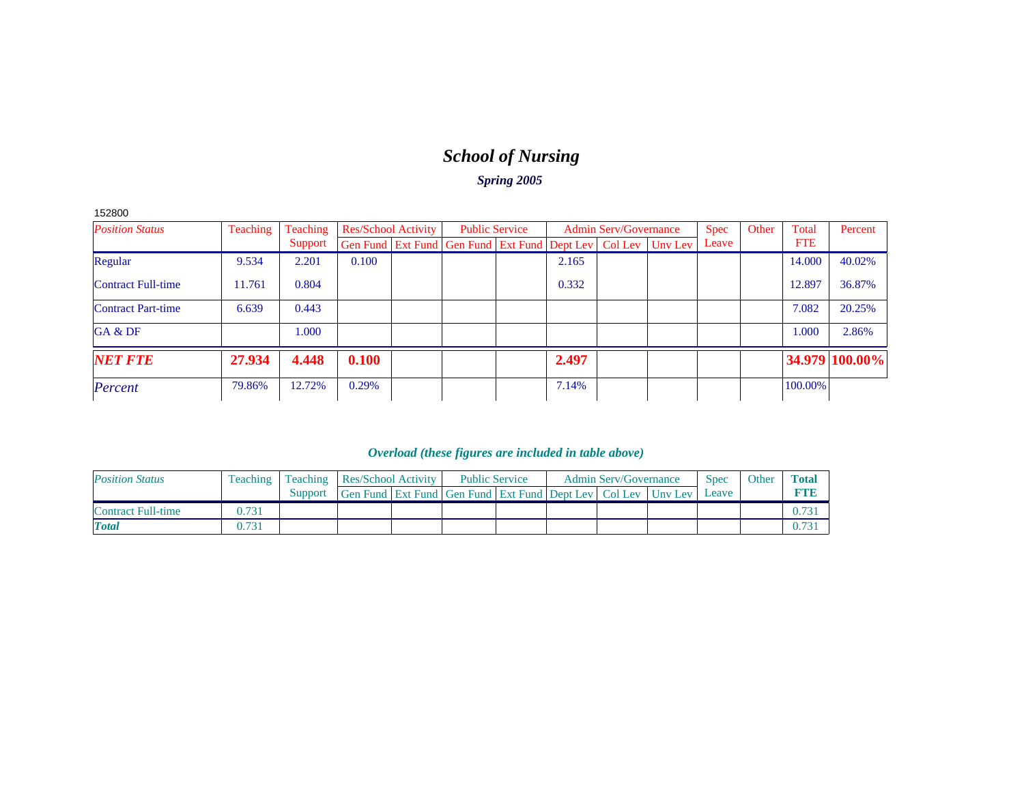# *School of Nursing*

*Spring 2005*

152800

| <b>Position Status</b>    | <b>Teaching</b> | Teaching |       | <b>Res/School Activity</b> |                                                                          | <b>Public Service</b> |       | <b>Admin Serv/Governance</b> | <b>Spec</b> | Other | Total      | Percent        |
|---------------------------|-----------------|----------|-------|----------------------------|--------------------------------------------------------------------------|-----------------------|-------|------------------------------|-------------|-------|------------|----------------|
|                           |                 | Support  |       |                            | Gen Fund   Ext Fund   Gen Fund   Ext Fund   Dept Lev   Col Lev   Unv Lev |                       |       |                              | Leave       |       | <b>FTE</b> |                |
| Regular                   | 9.534           | 2.201    | 0.100 |                            |                                                                          |                       | 2.165 |                              |             |       | 14.000     | 40.02%         |
| <b>Contract Full-time</b> | 11.761          | 0.804    |       |                            |                                                                          |                       | 0.332 |                              |             |       | 12.897     | 36.87%         |
| <b>Contract Part-time</b> | 6.639           | 0.443    |       |                            |                                                                          |                       |       |                              |             |       | 7.082      | 20.25%         |
| GA & DF                   |                 | 1.000    |       |                            |                                                                          |                       |       |                              |             |       | 1.000      | 2.86%          |
| <b>NET FTE</b>            | 27.934          | 4.448    | 0.100 |                            |                                                                          |                       | 2.497 |                              |             |       |            | 34.979 100.00% |
| Percent                   | 79.86%          | 12.72%   | 0.29% |                            |                                                                          |                       | 7.14% |                              |             |       | 100.00%    |                |

| <b>Position Status</b>    | <b>Teaching</b> | <b>Teaching Res/School Activity</b> |                                                                  | <b>Public Service</b> |  | <b>Admin Serv/Governance</b> | Spec  | Other | <b>Total</b> |
|---------------------------|-----------------|-------------------------------------|------------------------------------------------------------------|-----------------------|--|------------------------------|-------|-------|--------------|
|                           |                 | Support                             | Gen Fund Ext Fund Gen Fund Ext Fund Dept Lev   Col Lev   Unv Lev |                       |  |                              | Leave |       |              |
| <b>Contract Full-time</b> | 0.731           |                                     |                                                                  |                       |  |                              |       |       |              |
| <b>Total</b>              | 0.731           |                                     |                                                                  |                       |  |                              |       |       |              |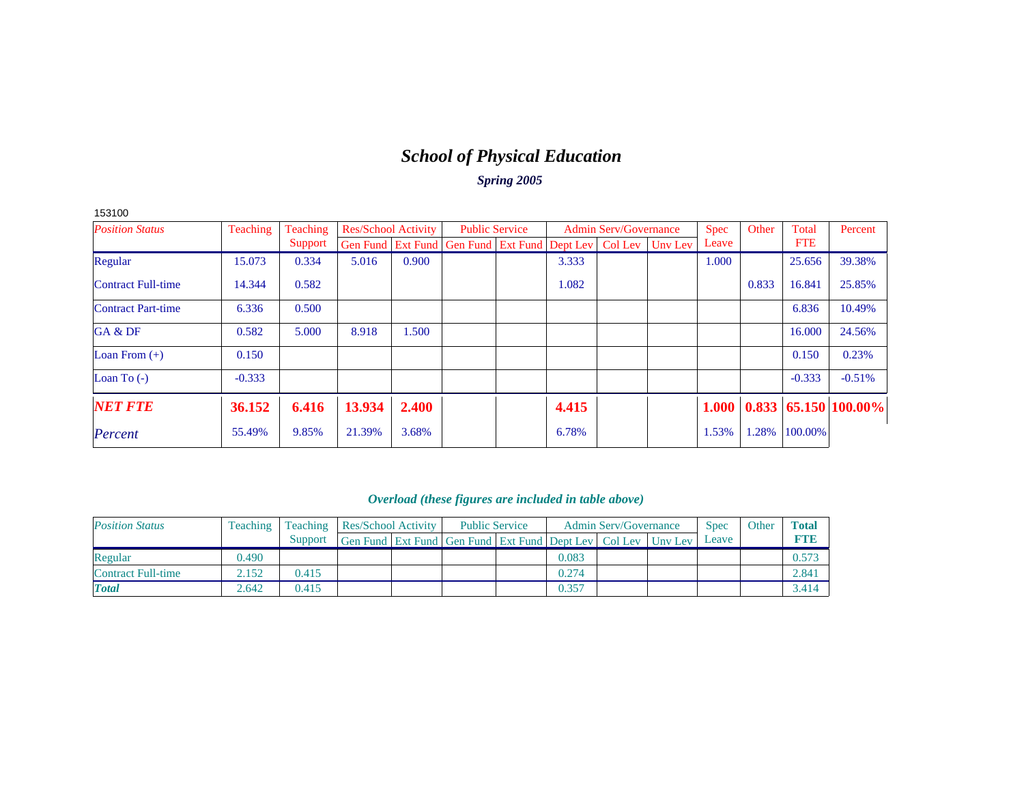# *School of Physical Education*

*Spring 2005*

| <b>Position Status</b>    | Teaching | Teaching | Res/School Activity |       | <b>Public Service</b>                                            |       | <b>Admin Serv/Governance</b> | <b>Spec</b> | Other | Total      | Percent                     |
|---------------------------|----------|----------|---------------------|-------|------------------------------------------------------------------|-------|------------------------------|-------------|-------|------------|-----------------------------|
|                           |          | Support  |                     |       | Gen Fund Ext Fund Gen Fund Ext Fund Dept Lev   Col Lev   Unv Lev |       |                              | Leave       |       | <b>FTE</b> |                             |
| Regular                   | 15.073   | 0.334    | 5.016               | 0.900 |                                                                  | 3.333 |                              | 1.000       |       | 25.656     | 39.38%                      |
| <b>Contract Full-time</b> | 14.344   | 0.582    |                     |       |                                                                  | 1.082 |                              |             | 0.833 | 16.841     | 25.85%                      |
| <b>Contract Part-time</b> | 6.336    | 0.500    |                     |       |                                                                  |       |                              |             |       | 6.836      | 10.49%                      |
| GA & DF                   | 0.582    | 5.000    | 8.918               | 1.500 |                                                                  |       |                              |             |       | 16.000     | 24.56%                      |
| Loan From $(+)$           | 0.150    |          |                     |       |                                                                  |       |                              |             |       | 0.150      | 0.23%                       |
| Loan To $(-)$             | $-0.333$ |          |                     |       |                                                                  |       |                              |             |       | $-0.333$   | $-0.51%$                    |
| <b>NET FTE</b>            | 36.152   | 6.416    | 13.934              | 2.400 |                                                                  | 4.415 |                              | 1.000       |       |            | $0.833   65.150   100.00\%$ |
| Percent                   | 55.49%   | 9.85%    | 21.39%              | 3.68% |                                                                  | 6.78% |                              | 1.53%       | 1.28% | 100.00%    |                             |

### *Overload (these figures are included in table above)*

| <b>Position Status</b> | Teaching | Teaching | Res/School Activity | <b>Public Service</b>                                            |  |       | <b>Admin Serv/Governance</b> | <b>Spec</b> | Other | <b>Total</b> |
|------------------------|----------|----------|---------------------|------------------------------------------------------------------|--|-------|------------------------------|-------------|-------|--------------|
|                        |          | Support  |                     | Gen Fund Ext Fund Gen Fund Ext Fund Dept Lev   Col Lev   Unv Lev |  |       |                              | Leave       |       | FTIE         |
| Regular                | 0.490    |          |                     |                                                                  |  | 0.083 |                              |             |       | 0.573        |
| Contract Full-time     | 2.152    | 0.415    |                     |                                                                  |  | 0.274 |                              |             |       | 2.841        |
| <b>Total</b>           | 2.642    | 0.415    |                     |                                                                  |  | 0.357 |                              |             |       | 3.414        |

153100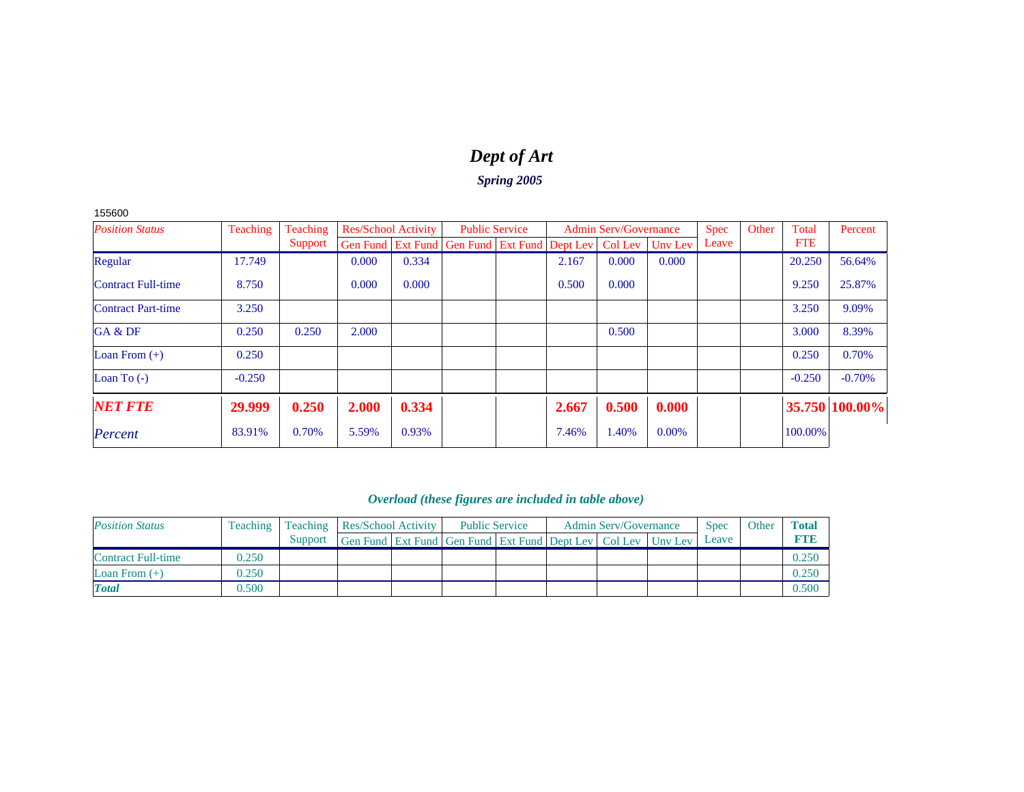# *Dept of Art*

### *Spring 2005*

155600

| <b>Position Status</b>    | <b>Teaching</b> | Teaching | <b>Res/School Activity</b> |       | <b>Public Service</b>                                          |       | <b>Admin Serv/Governance</b> |         | <b>Spec</b> | Other | Total      | Percent        |
|---------------------------|-----------------|----------|----------------------------|-------|----------------------------------------------------------------|-------|------------------------------|---------|-------------|-------|------------|----------------|
|                           |                 | Support  |                            |       | Gen Fund   Ext Fund   Gen Fund   Ext Fund   Dept Lev   Col Lev |       |                              | Unv Lev | Leave       |       | <b>FTE</b> |                |
| Regular                   | 17.749          |          | 0.000                      | 0.334 |                                                                | 2.167 | 0.000                        | 0.000   |             |       | 20.250     | 56.64%         |
| <b>Contract Full-time</b> | 8.750           |          | 0.000                      | 0.000 |                                                                | 0.500 | 0.000                        |         |             |       | 9.250      | 25.87%         |
| <b>Contract Part-time</b> | 3.250           |          |                            |       |                                                                |       |                              |         |             |       | 3.250      | 9.09%          |
| GA & DF                   | 0.250           | 0.250    | 2.000                      |       |                                                                |       | 0.500                        |         |             |       | 3.000      | 8.39%          |
| Loan From $(+)$           | 0.250           |          |                            |       |                                                                |       |                              |         |             |       | 0.250      | 0.70%          |
| Loan To $(-)$             | $-0.250$        |          |                            |       |                                                                |       |                              |         |             |       | $-0.250$   | $-0.70%$       |
| <b>NET FTE</b>            | 29.999          | 0.250    | 2.000                      | 0.334 |                                                                | 2.667 | 0.500                        | 0.000   |             |       |            | 35.750 100.00% |
| Percent                   | 83.91%          | 0.70%    | 5.59%                      | 0.93% |                                                                | 7.46% | 1.40%                        | 0.00%   |             |       | 100.00%    |                |

| <b>Position Status</b>    | <b>Teaching</b> |         | Teaching Res/School Activity                                             | <b>Public Service</b> | <b>Admin Serv/Governance</b> |  |  | <b>Spec</b> | Other | <b>Total</b> |
|---------------------------|-----------------|---------|--------------------------------------------------------------------------|-----------------------|------------------------------|--|--|-------------|-------|--------------|
|                           |                 | Support | Gen Fund   Ext Fund   Gen Fund   Ext Fund   Dept Lev   Col Lev   Unv Lev |                       |                              |  |  | Leave       |       | FTF          |
| <b>Contract Full-time</b> | 0.250           |         |                                                                          |                       |                              |  |  |             |       | 0.250        |
| Loan From $(+)$           | 0.250           |         |                                                                          |                       |                              |  |  |             |       | 0.250        |
| <b>Total</b>              | 0.500           |         |                                                                          |                       |                              |  |  |             |       | 0.500        |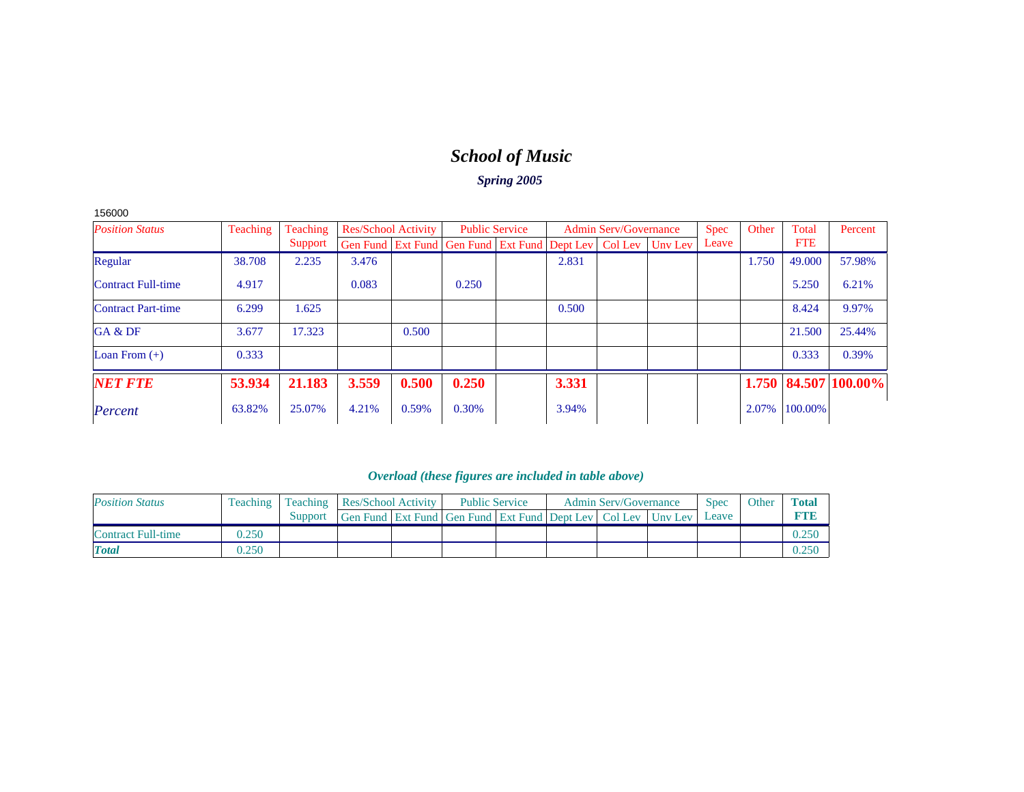# *School of Music*

### *Spring 2005*

| 156000 |  |
|--------|--|
|--------|--|

| <b>Position Status</b>    | Teaching | Teaching | <b>Res/School Activity</b> |       | <b>Public Service</b>                                                    |       | <b>Admin Serv/Governance</b> | <b>Spec</b> | Other | Total      | Percent              |
|---------------------------|----------|----------|----------------------------|-------|--------------------------------------------------------------------------|-------|------------------------------|-------------|-------|------------|----------------------|
|                           |          | Support  |                            |       | Gen Fund   Ext Fund   Gen Fund   Ext Fund   Dept Lev   Col Lev   Unv Lev |       |                              | Leave       |       | <b>FTE</b> |                      |
| Regular                   | 38.708   | 2.235    | 3.476                      |       |                                                                          | 2.831 |                              |             | 1.750 | 49,000     | 57.98%               |
| <b>Contract Full-time</b> | 4.917    |          | 0.083                      |       | 0.250                                                                    |       |                              |             |       | 5.250      | 6.21%                |
| <b>Contract Part-time</b> | 6.299    | 1.625    |                            |       |                                                                          | 0.500 |                              |             |       | 8.424      | 9.97%                |
| GA & DF                   | 3.677    | 17.323   |                            | 0.500 |                                                                          |       |                              |             |       | 21.500     | 25.44%               |
| Loan From $(+)$           | 0.333    |          |                            |       |                                                                          |       |                              |             |       | 0.333      | 0.39%                |
| <b>NET FTE</b>            | 53.934   | 21.183   | 3.559                      | 0.500 | 0.250                                                                    | 3.331 |                              |             |       |            | 1.750 84.507 100.00% |
| Percent                   | 63.82%   | 25.07%   | 4.21%                      | 0.59% | 0.30%                                                                    | 3.94% |                              |             | 2.07% | 100.00%    |                      |

| <b>Position Status</b>    | <b>Teaching</b> | <b>Teaching Res/School Activity</b> |                                                                          | <b>Public Service</b> |  | <b>Admin Serv/Governance</b> | <b>Spec</b> | Other | <b>Total</b> |
|---------------------------|-----------------|-------------------------------------|--------------------------------------------------------------------------|-----------------------|--|------------------------------|-------------|-------|--------------|
|                           |                 | Support                             | Gen Fund   Ext Fund   Gen Fund   Ext Fund   Dept Lev   Col Lev   Uny Lev |                       |  |                              | Leave       |       |              |
| <b>Contract Full-time</b> | 0.250           |                                     |                                                                          |                       |  |                              |             |       |              |
| <b>Total</b>              | 0.250           |                                     |                                                                          |                       |  |                              |             |       |              |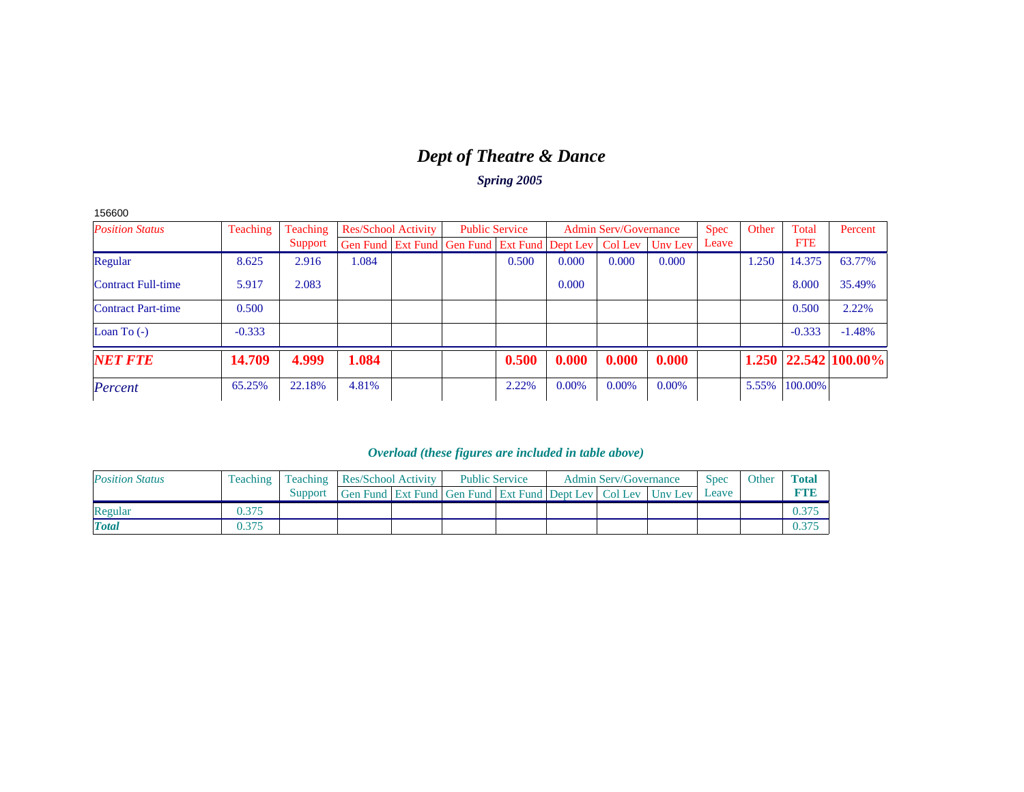# *Dept of Theatre & Dance*

*Spring 2005*

|  | 156600 |
|--|--------|
|--|--------|

| <b>Position Status</b>    | Teaching | Teaching | <b>Res/School Activity</b> |                                                                | <b>Public Service</b> |          | <b>Admin Serv/Governance</b> |         | <b>Spec</b> | Other | Total      | Percent                    |
|---------------------------|----------|----------|----------------------------|----------------------------------------------------------------|-----------------------|----------|------------------------------|---------|-------------|-------|------------|----------------------------|
|                           |          | Support  |                            | Gen Fund   Ext Fund   Gen Fund   Ext Fund   Dept Lev   Col Lev |                       |          |                              | Unv Lev | Leave       |       | <b>FTE</b> |                            |
| Regular                   | 8.625    | 2.916    | 0.084                      |                                                                | 0.500                 | 0.000    | 0.000                        | 0.000   |             | 1.250 | 14.375     | 63.77%                     |
| <b>Contract Full-time</b> | 5.917    | 2.083    |                            |                                                                |                       | 0.000    |                              |         |             |       | 8.000      | 35.49%                     |
| <b>Contract Part-time</b> | 0.500    |          |                            |                                                                |                       |          |                              |         |             |       | 0.500      | 2.22%                      |
| Loan To $(-)$             | $-0.333$ |          |                            |                                                                |                       |          |                              |         |             |       | $-0.333$   | $-1.48%$                   |
| <b>NET FTE</b>            | 14.709   | 4.999    | 1.084                      |                                                                | 0.500                 | 0.000    | 0.000                        | 0.000   |             |       |            | $1.250$   22.542   100.00% |
| Percent                   | 65.25%   | 22.18%   | 4.81%                      |                                                                | 2.22%                 | $0.00\%$ | 0.00%                        | 0.00%   |             | 5.55% | 100.00%    |                            |

| <b>Position Status</b> | Teaching | <b>Teaching Res/School Activity</b> |                                                                  | <b>Public Service</b> |  | <b>Admin Serv/Governance</b> | Spec  | Other | <b>Total</b> |
|------------------------|----------|-------------------------------------|------------------------------------------------------------------|-----------------------|--|------------------------------|-------|-------|--------------|
|                        |          | Support                             | Gen Fund Ext Fund Gen Fund Ext Fund Dept Lev   Col Lev   Uny Lev |                       |  |                              | Leave |       |              |
| Regular                | 0.375    |                                     |                                                                  |                       |  |                              |       |       |              |
| <b>Total</b>           | 0.375    |                                     |                                                                  |                       |  |                              |       |       | 0.375        |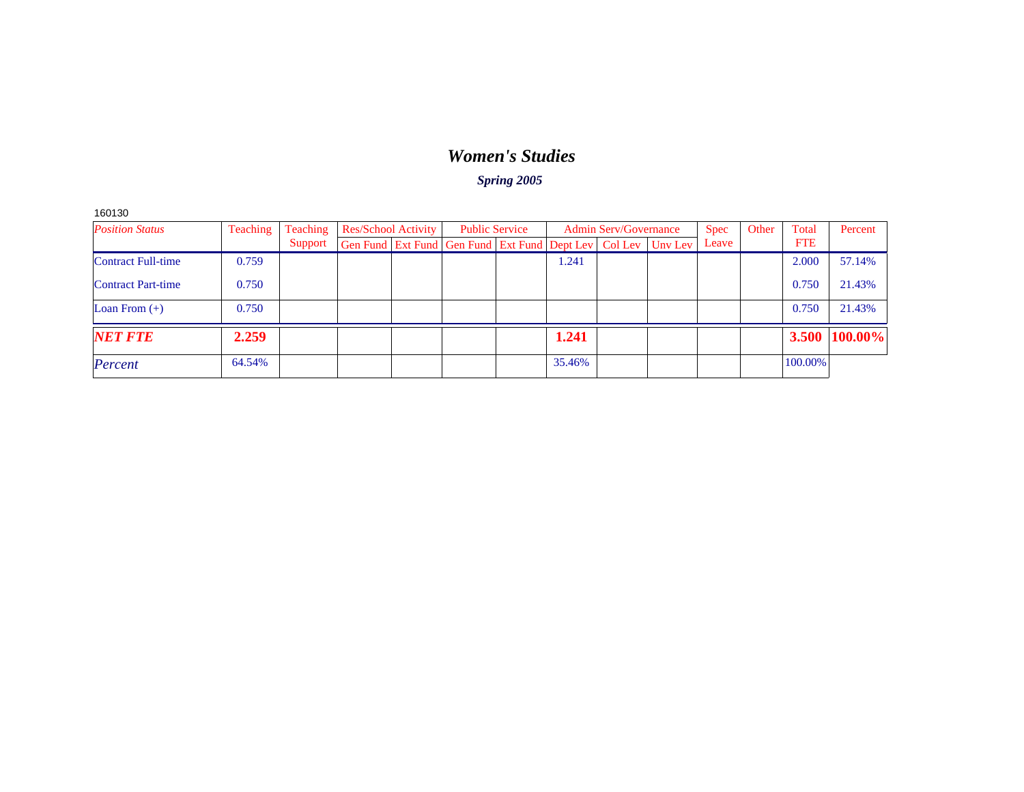### *Women's Studies*

*Spring 2005*

160130

| <b>Position Status</b>    | Teaching | Teaching | <b>Res/School Activity</b>                                               |  | <b>Public Service</b> |        | <b>Admin Serv/Governance</b> | <b>Spec</b> | Other | Total      | Percent       |
|---------------------------|----------|----------|--------------------------------------------------------------------------|--|-----------------------|--------|------------------------------|-------------|-------|------------|---------------|
|                           |          | Support  | Gen Fund   Ext Fund   Gen Fund   Ext Fund   Dept Lev   Col Lev   Unv Lev |  |                       |        |                              | Leave       |       | <b>FTE</b> |               |
| Contract Full-time        | 0.759    |          |                                                                          |  |                       | 1.241  |                              |             |       | 2.000      | 57.14%        |
| <b>Contract Part-time</b> | 0.750    |          |                                                                          |  |                       |        |                              |             |       | 0.750      | 21.43%        |
| Loan From $(+)$           | 0.750    |          |                                                                          |  |                       |        |                              |             |       | 0.750      | 21.43%        |
| <b>NET FTE</b>            | 2.259    |          |                                                                          |  |                       | 1.241  |                              |             |       |            | 3.500 100.00% |
| Percent                   | 64.54%   |          |                                                                          |  |                       | 35.46% |                              |             |       | 100.00%    |               |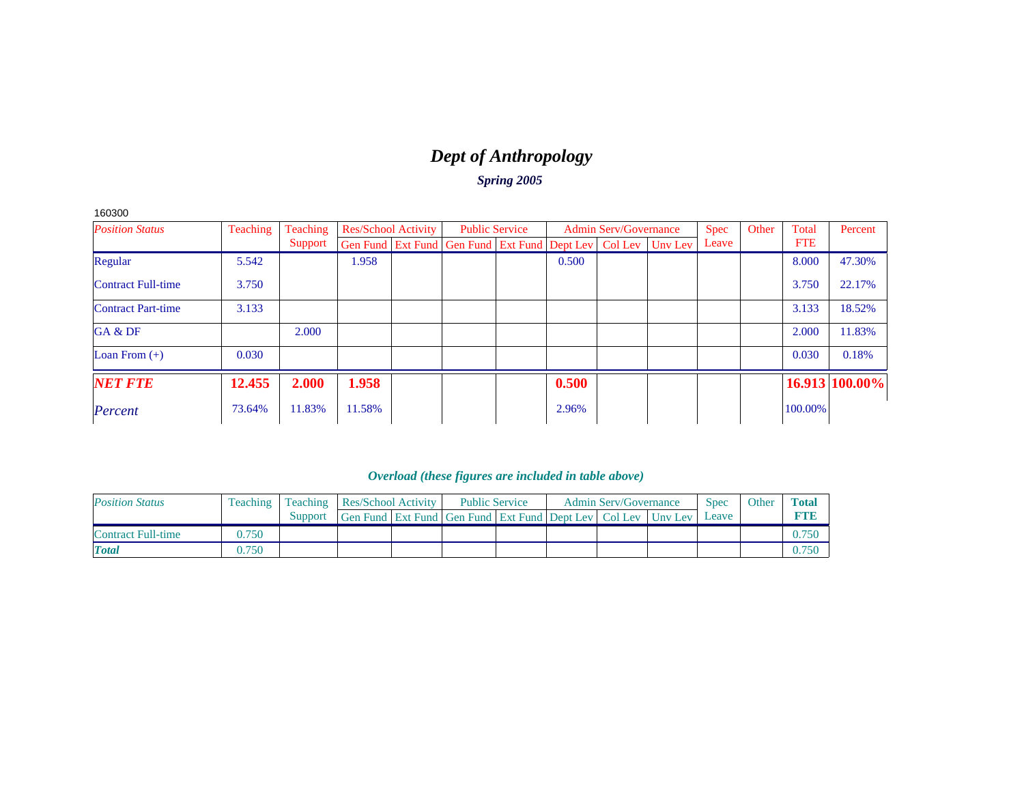# *Dept of Anthropology*

*Spring 2005*

160300

| <b>Position Status</b>    | Teaching | Teaching | <b>Res/School Activity</b>                                               | <b>Public Service</b> |       | <b>Admin Serv/Governance</b> | <b>Spec</b> | Other | Total      | Percent        |
|---------------------------|----------|----------|--------------------------------------------------------------------------|-----------------------|-------|------------------------------|-------------|-------|------------|----------------|
|                           |          | Support  | Gen Fund   Ext Fund   Gen Fund   Ext Fund   Dept Lev   Col Lev   Unv Lev |                       |       |                              | Leave       |       | <b>FTE</b> |                |
| Regular                   | 5.542    |          | 1.958                                                                    |                       | 0.500 |                              |             |       | 8.000      | 47.30%         |
| <b>Contract Full-time</b> | 3.750    |          |                                                                          |                       |       |                              |             |       | 3.750      | 22.17%         |
| <b>Contract Part-time</b> | 3.133    |          |                                                                          |                       |       |                              |             |       | 3.133      | 18.52%         |
| GA & DF                   |          | 2.000    |                                                                          |                       |       |                              |             |       | 2.000      | 11.83%         |
| Loan From $(+)$           | 0.030    |          |                                                                          |                       |       |                              |             |       | 0.030      | 0.18%          |
| <b>NET FTE</b>            | 12.455   | 2.000    | 1.958                                                                    |                       | 0.500 |                              |             |       |            | 16.913 100.00% |
| Percent                   | 73.64%   | 11.83%   | 11.58%                                                                   |                       | 2.96% |                              |             |       | 100.00%    |                |

| <b>Position Status</b> |       | Teaching   Teaching   Res/School Activity |                                                                          | <b>Public Service</b> |  | <b>Admin Serv/Governance</b> | <b>Spec</b> | Other | Total |
|------------------------|-------|-------------------------------------------|--------------------------------------------------------------------------|-----------------------|--|------------------------------|-------------|-------|-------|
|                        |       | Support                                   | Gen Fund   Ext Fund   Gen Fund   Ext Fund   Dept Lev   Col Lev   Uny Lev |                       |  |                              | Leave       |       | ете   |
| Contract Full-time     | 9.750 |                                           |                                                                          |                       |  |                              |             |       |       |
| <b>Total</b>           | 0.750 |                                           |                                                                          |                       |  |                              |             |       |       |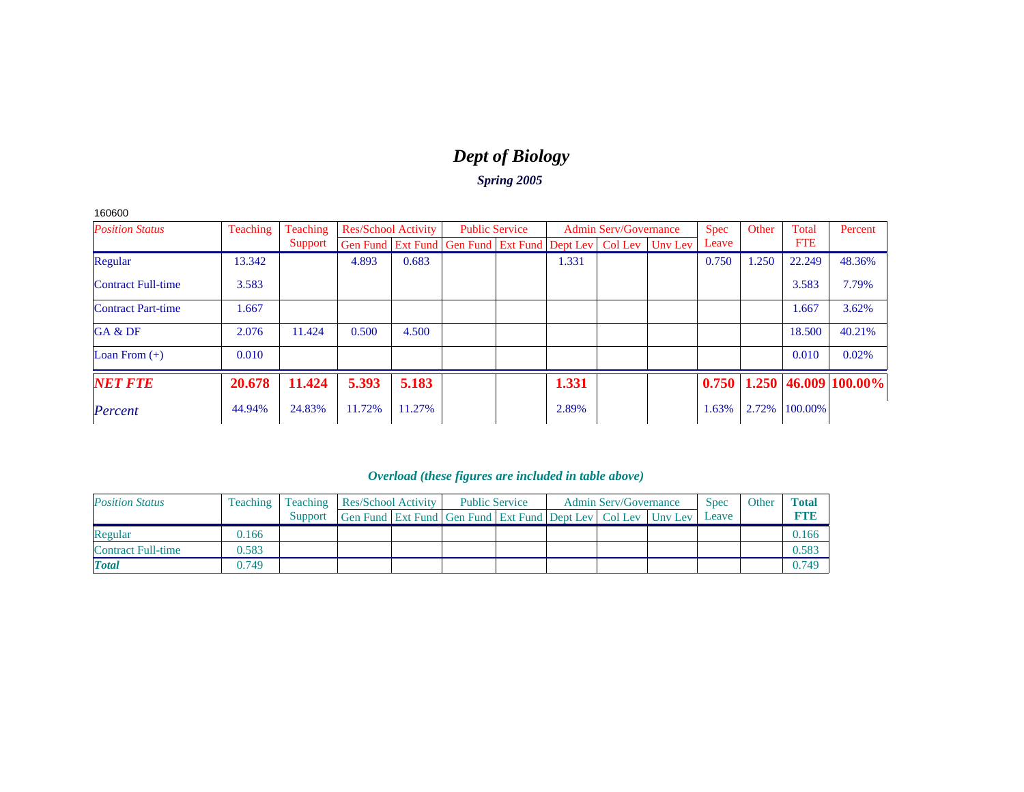# *Dept of Biology*

*Spring 2005*

| 160600 |
|--------|
|--------|

| <b>Position Status</b>    | Teaching | Teaching | <b>Res/School Activity</b> |        |                                                                          | <b>Public Service</b> |       | <b>Admin Serv/Governance</b> | <b>Spec</b> | Other | Total      | Percent                    |
|---------------------------|----------|----------|----------------------------|--------|--------------------------------------------------------------------------|-----------------------|-------|------------------------------|-------------|-------|------------|----------------------------|
|                           |          | Support  |                            |        | Gen Fund   Ext Fund   Gen Fund   Ext Fund   Dept Lev   Col Lev   Unv Lev |                       |       |                              | Leave       |       | <b>FTE</b> |                            |
| Regular                   | 13.342   |          | 4.893                      | 0.683  |                                                                          |                       | 1.331 |                              | 0.750       | 1.250 | 22.249     | 48.36%                     |
| <b>Contract Full-time</b> | 3.583    |          |                            |        |                                                                          |                       |       |                              |             |       | 3.583      | 7.79%                      |
| <b>Contract Part-time</b> | 1.667    |          |                            |        |                                                                          |                       |       |                              |             |       | 1.667      | 3.62%                      |
| GA & DF                   | 2.076    | 11.424   | 0.500                      | 4.500  |                                                                          |                       |       |                              |             |       | 18.500     | 40.21%                     |
| Loan From $(+)$           | 0.010    |          |                            |        |                                                                          |                       |       |                              |             |       | 0.010      | 0.02%                      |
| <b>NET FTE</b>            | 20.678   | 11.424   | 5.393                      | 5.183  |                                                                          |                       | 1.331 |                              | 0.750       |       |            | $1.250  46.009  100.00\% $ |
| Percent                   | 44.94%   | 24.83%   | 11.72%                     | 11.27% |                                                                          |                       | 2.89% |                              | 1.63%       | 2.72% | 100.00%    |                            |

| <b>Position Status</b>    | <b>Teaching</b> |         | Teaching   Res/School Activity                                   | <b>Public Service</b> |  | <b>Admin Serv/Governance</b> | <b>Spec</b> | Other | Total       |
|---------------------------|-----------------|---------|------------------------------------------------------------------|-----------------------|--|------------------------------|-------------|-------|-------------|
|                           |                 | Support | Gen Fund Ext Fund Gen Fund Ext Fund Dept Lev   Col Lev   Unv Lev |                       |  |                              | Leave       |       | <b>RTIB</b> |
| Regular                   | 0.166           |         |                                                                  |                       |  |                              |             |       | 0.166       |
| <b>Contract Full-time</b> | 0.583           |         |                                                                  |                       |  |                              |             |       | 0.583       |
| <b>Total</b>              | 0.749           |         |                                                                  |                       |  |                              |             |       | 0.749       |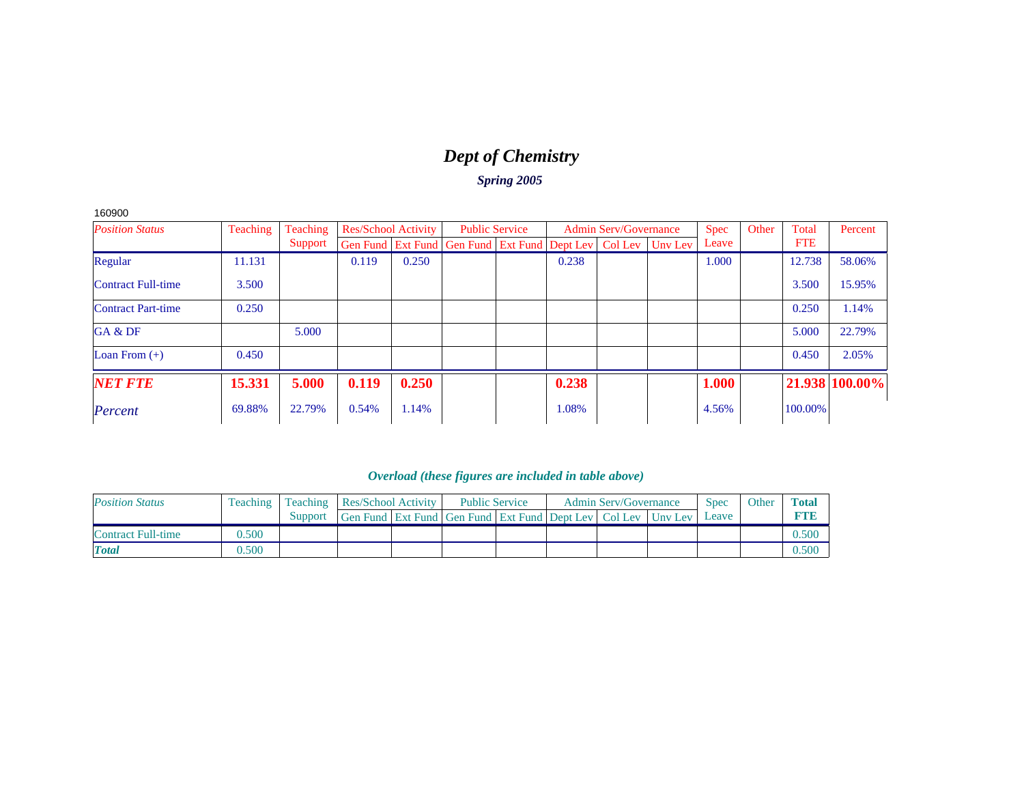# *Dept of Chemistry*

*Spring 2005*

| 160900 |
|--------|
|--------|

| <b>Position Status</b>    | Teaching | Teaching | <b>Res/School Activity</b> |       | <b>Public Service</b>                                          |       | <b>Admin Serv/Governance</b> |         | <b>Spec</b> | Other | Total      | Percent        |
|---------------------------|----------|----------|----------------------------|-------|----------------------------------------------------------------|-------|------------------------------|---------|-------------|-------|------------|----------------|
|                           |          | Support  |                            |       | Gen Fund   Ext Fund   Gen Fund   Ext Fund   Dept Lev   Col Lev |       |                              | Unv Lev | Leave       |       | <b>FTE</b> |                |
| Regular                   | 11.131   |          | 0.119                      | 0.250 |                                                                | 0.238 |                              |         | 1.000       |       | 12.738     | 58.06%         |
| <b>Contract Full-time</b> | 3.500    |          |                            |       |                                                                |       |                              |         |             |       | 3.500      | 15.95%         |
| <b>Contract Part-time</b> | 0.250    |          |                            |       |                                                                |       |                              |         |             |       | 0.250      | 1.14%          |
| GA & DF                   |          | 5.000    |                            |       |                                                                |       |                              |         |             |       | 5.000      | 22.79%         |
| Loan From $(+)$           | 0.450    |          |                            |       |                                                                |       |                              |         |             |       | 0.450      | 2.05%          |
| <b>NET FTE</b>            | 15.331   | 5.000    | 0.119                      | 0.250 |                                                                | 0.238 |                              |         | 1.000       |       |            | 21.938 100.00% |
| Percent                   | 69.88%   | 22.79%   | 0.54%                      | 1.14% |                                                                | 1.08% |                              |         | 4.56%       |       | 100.00%    |                |

| <b>Position Status</b> |       | Teaching   Teaching   Res/School Activity |                                                              | <b>Public Service</b> |  | <b>Admin Serv/Governance</b> | <b>Spec</b> | Other | <b>Total</b> |
|------------------------|-------|-------------------------------------------|--------------------------------------------------------------|-----------------------|--|------------------------------|-------------|-------|--------------|
|                        |       | Support                                   | Gen Fund Ext Fund Gen Fund Ext Fund Dept Lev Col Lev Unv Lev |                       |  |                              | Leave       |       | ете          |
| Contract Full-time     | 0.500 |                                           |                                                              |                       |  |                              |             |       | 0.500        |
| <b>Total</b>           | 0.500 |                                           |                                                              |                       |  |                              |             |       | 0.500        |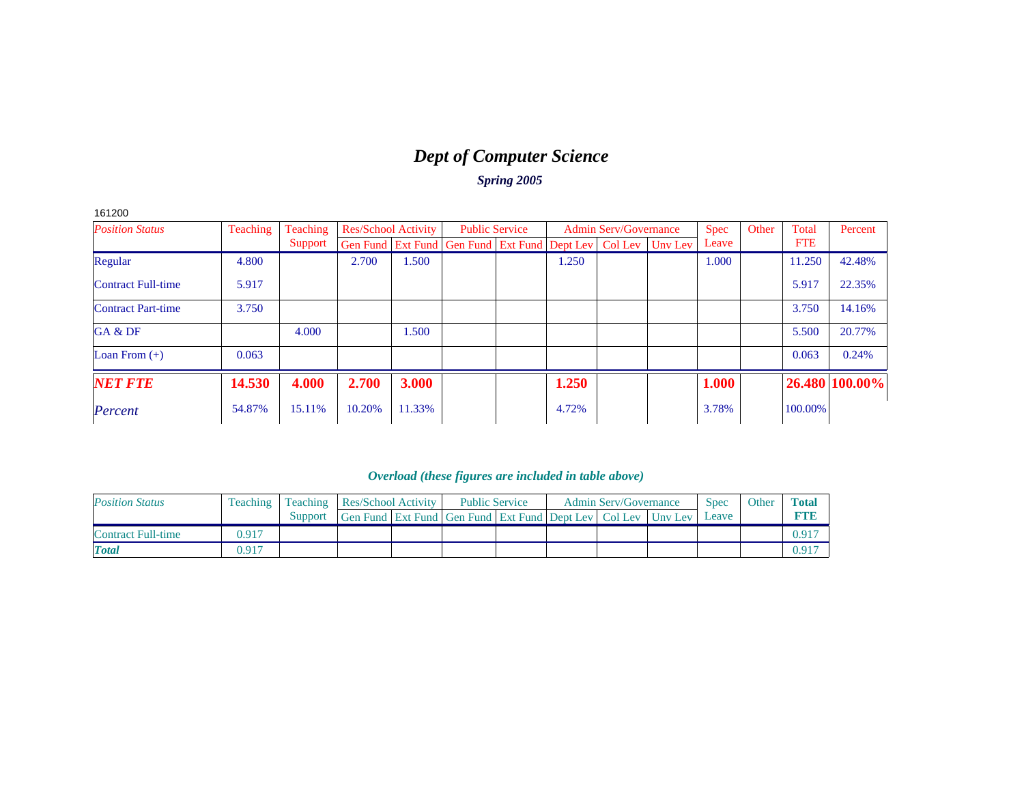### *Dept of Computer Science Spring 2005*

161200

| <b>Position Status</b>    | Teaching | Teaching | <b>Res/School Activity</b> |        | <b>Public Service</b>                                                    |       | <b>Admin Serv/Governance</b> | <b>Spec</b> | Other | Total      | Percent        |
|---------------------------|----------|----------|----------------------------|--------|--------------------------------------------------------------------------|-------|------------------------------|-------------|-------|------------|----------------|
|                           |          | Support  |                            |        | Gen Fund   Ext Fund   Gen Fund   Ext Fund   Dept Lev   Col Lev   Unv Lev |       |                              | Leave       |       | <b>FTE</b> |                |
| Regular                   | 4.800    |          | 2.700                      | 1.500  |                                                                          | 1.250 |                              | 1.000       |       | 11.250     | 42.48%         |
| <b>Contract Full-time</b> | 5.917    |          |                            |        |                                                                          |       |                              |             |       | 5.917      | 22.35%         |
| <b>Contract Part-time</b> | 3.750    |          |                            |        |                                                                          |       |                              |             |       | 3.750      | 14.16%         |
| GA & DF                   |          | 4.000    |                            | 1.500  |                                                                          |       |                              |             |       | 5.500      | 20.77%         |
| Loan From $(+)$           | 0.063    |          |                            |        |                                                                          |       |                              |             |       | 0.063      | 0.24%          |
| <b>NET FTE</b>            | 14.530   | 4.000    | 2.700                      | 3.000  |                                                                          | 1.250 |                              | 1.000       |       |            | 26.480 100.00% |
| Percent                   | 54.87%   | 15.11%   | 10.20%                     | 11.33% |                                                                          | 4.72% |                              | 3.78%       |       | 100.00%    |                |

| <b>Position Status</b> |       |         | Teaching   Teaching   Res/School Activity                    |  | <b>Public Service</b> |  | <b>Admin Serv/Governance</b> | <b>Spec</b> | Other | <b>Total</b> |
|------------------------|-------|---------|--------------------------------------------------------------|--|-----------------------|--|------------------------------|-------------|-------|--------------|
|                        |       | Support | Gen Fund Ext Fund Gen Fund Ext Fund Dept Lev Col Lev Unv Lev |  |                       |  |                              | Leave       |       |              |
| Contract Full-time     | 0.917 |         |                                                              |  |                       |  |                              |             |       |              |
| <b>Total</b>           | 0.917 |         |                                                              |  |                       |  |                              |             |       | 0.91′        |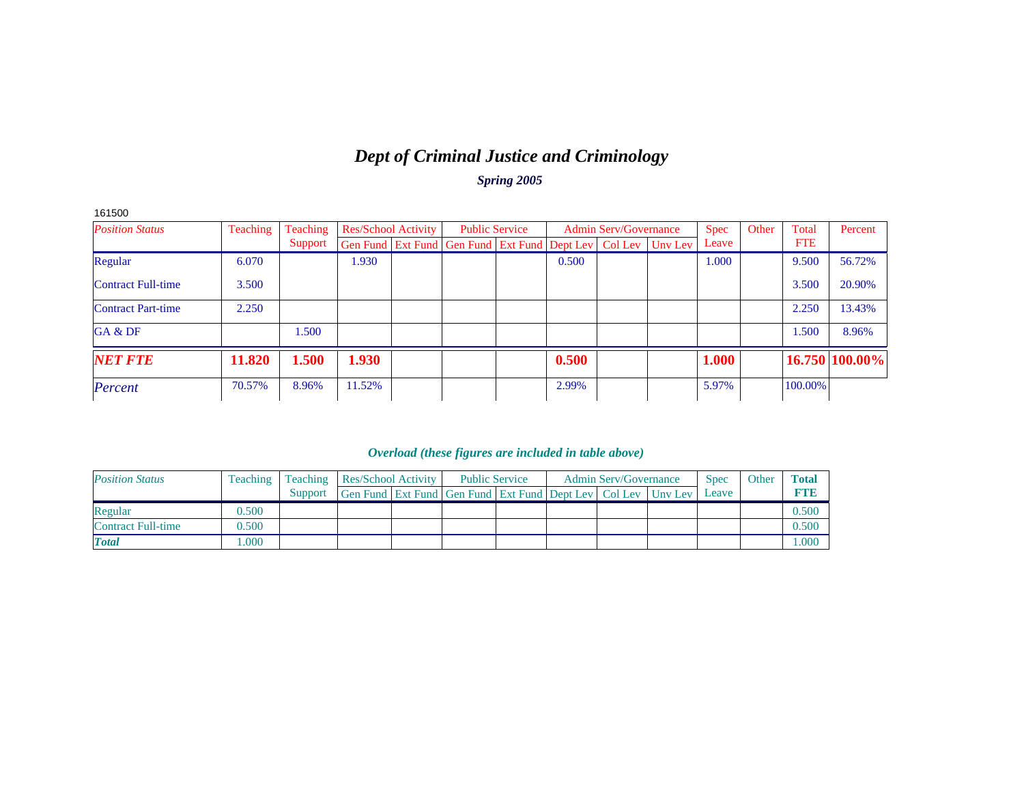### *Dept of Criminal Justice and Criminology Spring 2005*

| 161500                    |          |          |        |                            |                                                                          |                       |       |                              |             |       |            |                |
|---------------------------|----------|----------|--------|----------------------------|--------------------------------------------------------------------------|-----------------------|-------|------------------------------|-------------|-------|------------|----------------|
| <b>Position Status</b>    | Teaching | Teaching |        | <b>Res/School Activity</b> |                                                                          | <b>Public Service</b> |       | <b>Admin Serv/Governance</b> | <b>Spec</b> | Other | Total      | Percent        |
|                           |          | Support  |        |                            | Gen Fund   Ext Fund   Gen Fund   Ext Fund   Dept Lev   Col Lev   Unv Lev |                       |       |                              | Leave       |       | <b>FTE</b> |                |
| Regular                   | 6.070    |          | 1.930  |                            |                                                                          |                       | 0.500 |                              | 1.000       |       | 9.500      | 56.72%         |
| Contract Full-time        | 3.500    |          |        |                            |                                                                          |                       |       |                              |             |       | 3.500      | 20.90%         |
| <b>Contract Part-time</b> | 2.250    |          |        |                            |                                                                          |                       |       |                              |             |       | 2.250      | 13.43%         |
| GA & DF                   |          | 1.500    |        |                            |                                                                          |                       |       |                              |             |       | 1.500      | 8.96%          |
| <b>NET FTE</b>            | 11.820   | 1.500    | 1.930  |                            |                                                                          |                       | 0.500 |                              | 1.000       |       |            | 16.750 100.00% |
| Percent                   | 70.57%   | 8.96%    | 11.52% |                            |                                                                          |                       | 2.99% |                              | 5.97%       |       | 100.00%    |                |

| <b>Position Status</b>    | Teaching | Teaching | Res/School Activity                                                      |  | <b>Public Service</b> |  | <b>Admin Serv/Governance</b> | <b>Spec</b> | Other | <b>Total</b> |
|---------------------------|----------|----------|--------------------------------------------------------------------------|--|-----------------------|--|------------------------------|-------------|-------|--------------|
|                           |          | Support  | Gen Fund   Ext Fund   Gen Fund   Ext Fund   Dept Lev   Col Lev   Unv Lev |  |                       |  |                              | Leave       |       | FTF          |
| Regular                   | 0.500    |          |                                                                          |  |                       |  |                              |             |       | 0.500        |
| <b>Contract Full-time</b> | 0.500    |          |                                                                          |  |                       |  |                              |             |       | 0.500        |
| <b>Total</b>              | .000     |          |                                                                          |  |                       |  |                              |             |       | .000         |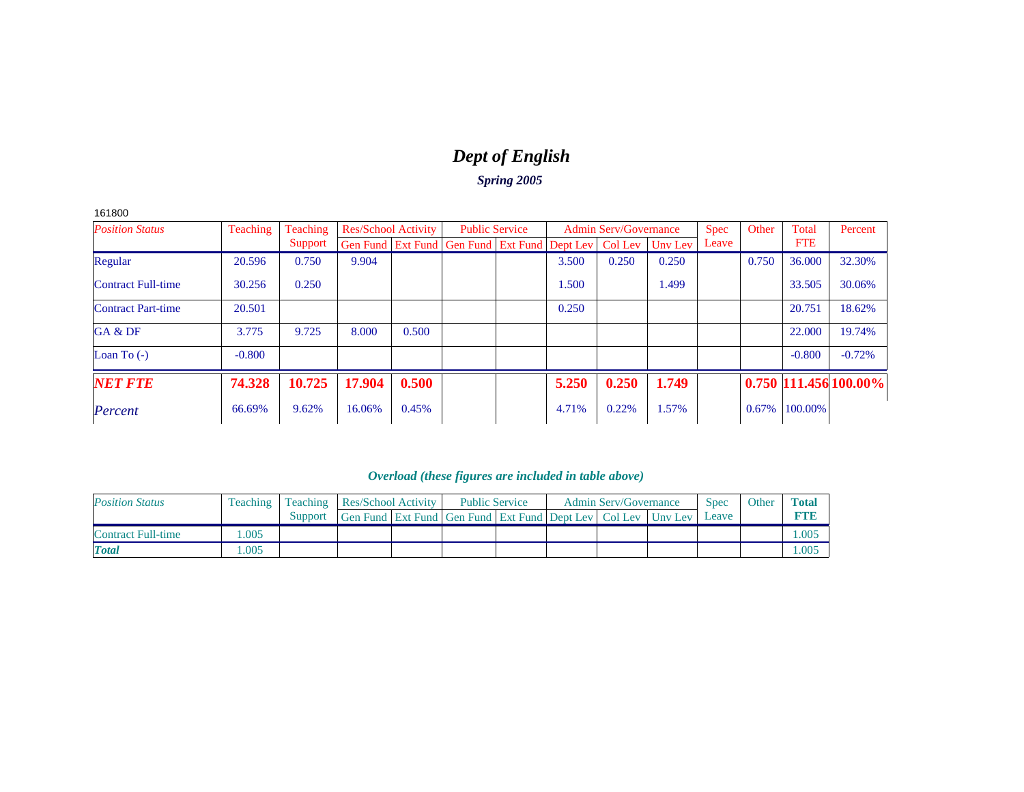# *Dept of English*

*Spring 2005*

161800

| <b>Position Status</b>    | Teaching | Teaching | <b>Res/School Activity</b> |       | <b>Public Service</b>                                          |       | <b>Admin Serv/Governance</b> |         | <b>Spec</b> | Other | Total      | Percent                 |
|---------------------------|----------|----------|----------------------------|-------|----------------------------------------------------------------|-------|------------------------------|---------|-------------|-------|------------|-------------------------|
|                           |          | Support  |                            |       | Gen Fund   Ext Fund   Gen Fund   Ext Fund   Dept Lev   Col Lev |       |                              | Unv Lev | Leave       |       | <b>FTE</b> |                         |
| Regular                   | 20.596   | 0.750    | 9.904                      |       |                                                                | 3.500 | 0.250                        | 0.250   |             | 0.750 | 36,000     | 32.30%                  |
| <b>Contract Full-time</b> | 30.256   | 0.250    |                            |       |                                                                | 1.500 |                              | 1.499   |             |       | 33.505     | 30.06%                  |
| <b>Contract Part-time</b> | 20.501   |          |                            |       |                                                                | 0.250 |                              |         |             |       | 20.751     | 18.62%                  |
| GA & DF                   | 3.775    | 9.725    | 8.000                      | 0.500 |                                                                |       |                              |         |             |       | 22,000     | 19.74%                  |
| Loan To $(-)$             | $-0.800$ |          |                            |       |                                                                |       |                              |         |             |       | $-0.800$   | $-0.72%$                |
| <b>NET FTE</b>            | 74.328   | 10.725   | 17.904                     | 0.500 |                                                                | 5.250 | 0.250                        | 1.749   |             |       |            | $0.750$ 111.456 100.00% |
| Percent                   | 66.69%   | 9.62%    | 16.06%                     | 0.45% |                                                                | 4.71% | 0.22%                        | 1.57%   |             | 0.67% | 100.00%    |                         |

| <b>Position Status</b> |      |         | Teaching   Teaching   Res/School Activity                        |  | <b>Public Service</b> |  | <b>Admin Serv/Governance</b> | <b>Spec</b> | Other | <b>Total</b> |
|------------------------|------|---------|------------------------------------------------------------------|--|-----------------------|--|------------------------------|-------------|-------|--------------|
|                        |      | Support | Gen Fund Ext Fund Gen Fund Ext Fund Dept Lev   Col Lev   Unv Lev |  |                       |  |                              | Leave       |       | FTF          |
| Contract Full-time     | .005 |         |                                                                  |  |                       |  |                              |             |       | L.005        |
| <b>Total</b>           | .005 |         |                                                                  |  |                       |  |                              |             |       | L.OO5        |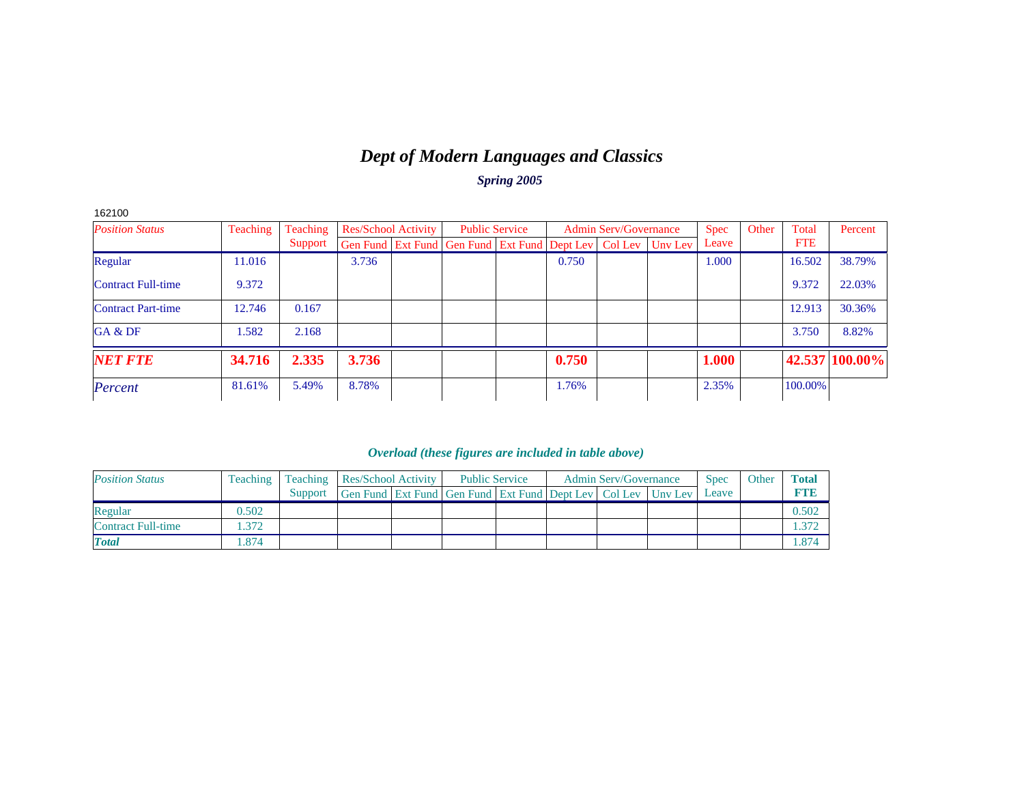### *Dept of Modern Languages and Classics Spring 2005*

| 162100                    |          |          |                            |  |                                                                          |       |                              |             |       |            |                |
|---------------------------|----------|----------|----------------------------|--|--------------------------------------------------------------------------|-------|------------------------------|-------------|-------|------------|----------------|
| <b>Position Status</b>    | Teaching | Teaching | <b>Res/School Activity</b> |  | <b>Public Service</b>                                                    |       | <b>Admin Serv/Governance</b> | <b>Spec</b> | Other | Total      | Percent        |
|                           |          | Support  |                            |  | Gen Fund   Ext Fund   Gen Fund   Ext Fund   Dept Lev   Col Lev   Unv Lev |       |                              | Leave       |       | <b>FTE</b> |                |
| Regular                   | 11.016   |          | 3.736                      |  |                                                                          | 0.750 |                              | 1.000       |       | 16.502     | 38.79%         |
| Contract Full-time        | 9.372    |          |                            |  |                                                                          |       |                              |             |       | 9.372      | 22.03%         |
| <b>Contract Part-time</b> | 12.746   | 0.167    |                            |  |                                                                          |       |                              |             |       | 12.913     | 30.36%         |
| GA & DF                   | 1.582    | 2.168    |                            |  |                                                                          |       |                              |             |       | 3.750      | 8.82%          |
| <b>NET FTE</b>            | 34.716   | 2.335    | 3.736                      |  |                                                                          | 0.750 |                              | 1.000       |       |            | 42.537 100.00% |
| Percent                   | 81.61%   | 5.49%    | 8.78%                      |  |                                                                          | 1.76% |                              | 2.35%       |       | 100.00%    |                |

| <b>Position Status</b>    | Teaching | Teaching | Res/School Activity                                              |  | <b>Public Service</b> |  | <b>Admin Serv/Governance</b> | <b>Spec</b> | Other | <b>Total</b> |
|---------------------------|----------|----------|------------------------------------------------------------------|--|-----------------------|--|------------------------------|-------------|-------|--------------|
|                           |          | Support  | Gen Fund Ext Fund Gen Fund Ext Fund Dept Lev   Col Lev   Unv Lev |  |                       |  |                              | Leave       |       | FTF          |
| Regular                   | 0.502    |          |                                                                  |  |                       |  |                              |             |       | 0.502        |
| <b>Contract Full-time</b> | .372     |          |                                                                  |  |                       |  |                              |             |       | .372         |
| <b>Total</b>              | .874     |          |                                                                  |  |                       |  |                              |             |       | .874         |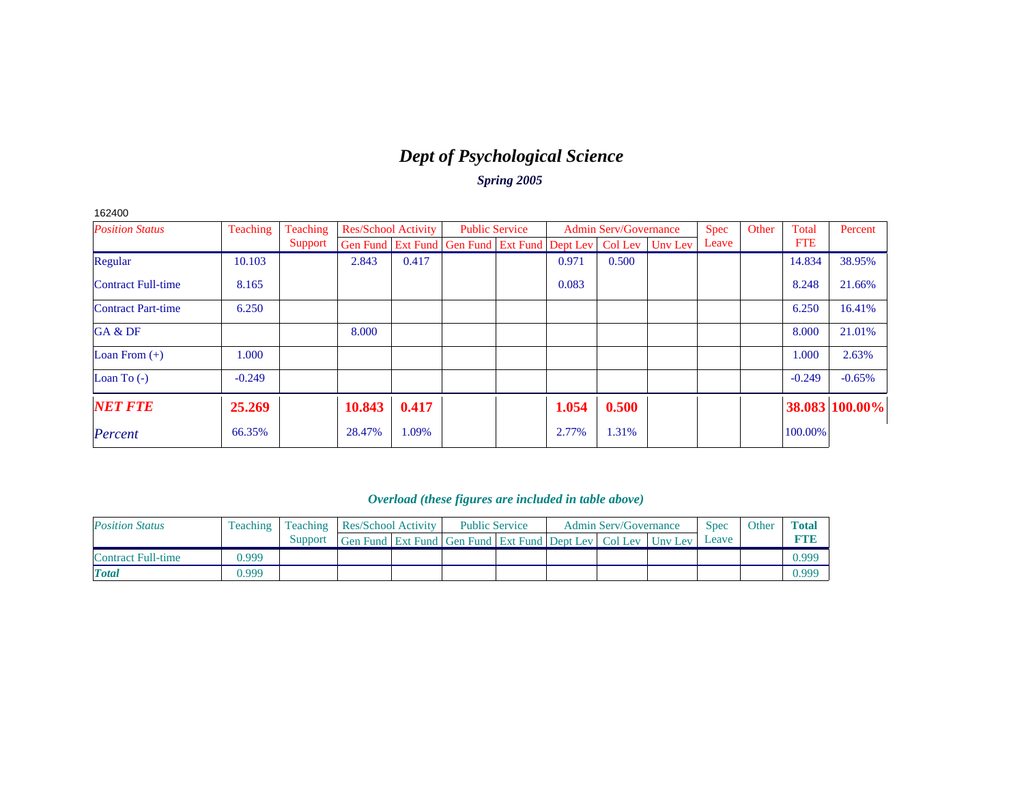# *Dept of Psychological Science*

*Spring 2005*

| 162400                    |          |          |                            |       |                                                                |       |                              |         |       |       |            |                |
|---------------------------|----------|----------|----------------------------|-------|----------------------------------------------------------------|-------|------------------------------|---------|-------|-------|------------|----------------|
| <b>Position Status</b>    | Teaching | Teaching | <b>Res/School Activity</b> |       | <b>Public Service</b>                                          |       | <b>Admin Serv/Governance</b> |         | Spec  | Other | Total      | Percent        |
|                           |          | Support  |                            |       | Gen Fund   Ext Fund   Gen Fund   Ext Fund   Dept Lev   Col Lev |       |                              | Unv Lev | Leave |       | <b>FTE</b> |                |
| Regular                   | 10.103   |          | 2.843                      | 0.417 |                                                                | 0.971 | 0.500                        |         |       |       | 14.834     | 38.95%         |
| <b>Contract Full-time</b> | 8.165    |          |                            |       |                                                                | 0.083 |                              |         |       |       | 8.248      | 21.66%         |
| <b>Contract Part-time</b> | 6.250    |          |                            |       |                                                                |       |                              |         |       |       | 6.250      | 16.41%         |
| GA & DF                   |          |          | 8.000                      |       |                                                                |       |                              |         |       |       | 8.000      | 21.01%         |
| Loan From $(+)$           | 1.000    |          |                            |       |                                                                |       |                              |         |       |       | 1.000      | 2.63%          |
| Loan To $(-)$             | $-0.249$ |          |                            |       |                                                                |       |                              |         |       |       | $-0.249$   | $-0.65%$       |
| <b>NET FTE</b>            | 25.269   |          | 10.843                     | 0.417 |                                                                | 1.054 | 0.500                        |         |       |       |            | 38.083 100.00% |
| Percent                   | 66.35%   |          | 28.47%                     | 1.09% |                                                                | 2.77% | 1.31%                        |         |       |       | 100.00%    |                |

| <b>Position Status</b> | Teaching |         | <b>Teaching Res/School Activity</b>                              |  | <b>Public Service</b> |  | <b>Admin Serv/Governance</b> | <b>Spec</b> | Other | <b>Total</b> |
|------------------------|----------|---------|------------------------------------------------------------------|--|-----------------------|--|------------------------------|-------------|-------|--------------|
|                        |          | Support | Gen Fund Ext Fund Gen Fund Ext Fund Dept Lev   Col Lev   Uny Lev |  |                       |  |                              | Leave       |       |              |
| Contract Full-time     | 0.999    |         |                                                                  |  |                       |  |                              |             |       | 0.999        |
| <b>T</b> otal          | 0.999    |         |                                                                  |  |                       |  |                              |             |       | 0.999        |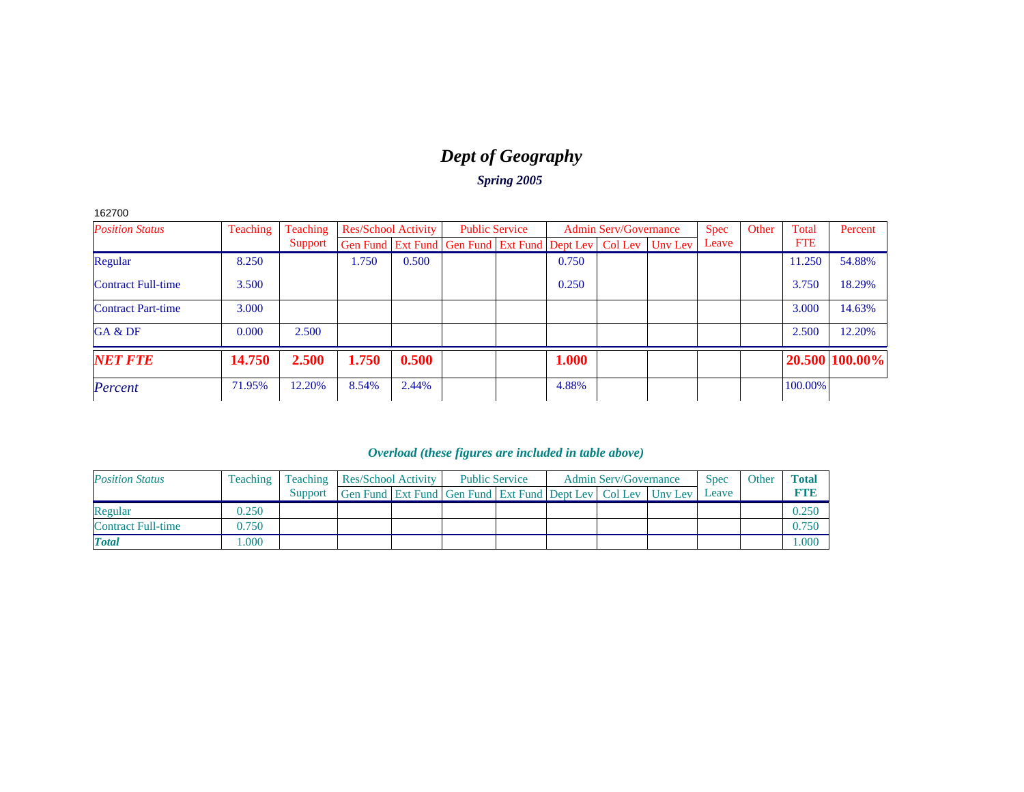# *Dept of Geography*

*Spring 2005*

| <b>Position Status</b>    | <b>Teaching</b> | Teaching | Res/School Activity |       |                                                                          | <b>Public Service</b> |       | <b>Admin Serv/Governance</b> | <b>Spec</b> | Other | Total      | Percent        |
|---------------------------|-----------------|----------|---------------------|-------|--------------------------------------------------------------------------|-----------------------|-------|------------------------------|-------------|-------|------------|----------------|
|                           |                 | Support  |                     |       | Gen Fund   Ext Fund   Gen Fund   Ext Fund   Dept Lev   Col Lev   Unv Lev |                       |       |                              | Leave       |       | <b>FTE</b> |                |
| Regular                   | 8.250           |          | l.750               | 0.500 |                                                                          |                       | 0.750 |                              |             |       | 11.250     | 54.88%         |
| <b>Contract Full-time</b> | 3.500           |          |                     |       |                                                                          |                       | 0.250 |                              |             |       | 3.750      | 18.29%         |
| <b>Contract Part-time</b> | 3.000           |          |                     |       |                                                                          |                       |       |                              |             |       | 3.000      | 14.63%         |
| GA & DF                   | 0.000           | 2.500    |                     |       |                                                                          |                       |       |                              |             |       | 2.500      | 12.20%         |
| <b>NET FTE</b>            | 14.750          | 2.500    | 1.750               | 0.500 |                                                                          |                       | 1.000 |                              |             |       |            | 20.500 100.00% |
| Percent                   | 71.95%          | 12.20%   | 8.54%               | 2.44% |                                                                          |                       | 4.88% |                              |             |       | 100.00%    |                |

| <b>Position Status</b>    | <b>Teaching</b> |         | <b>Teaching Res/School Activity</b>                          |  | <b>Public Service</b> |  | <b>Admin Serv/Governance</b> | <b>Spec</b> | Other | <b>Total</b> |
|---------------------------|-----------------|---------|--------------------------------------------------------------|--|-----------------------|--|------------------------------|-------------|-------|--------------|
|                           |                 | Support | Gen Fund Ext Fund Gen Fund Ext Fund Dept Lev Col Lev Unv Lev |  |                       |  |                              | Leave       |       | <b>D'AND</b> |
| Regular                   | 0.250           |         |                                                              |  |                       |  |                              |             |       | 0.250        |
| <b>Contract Full-time</b> | 0.750           |         |                                                              |  |                       |  |                              |             |       | 0.750        |
| <b>Total</b>              | .000            |         |                                                              |  |                       |  |                              |             |       | .000         |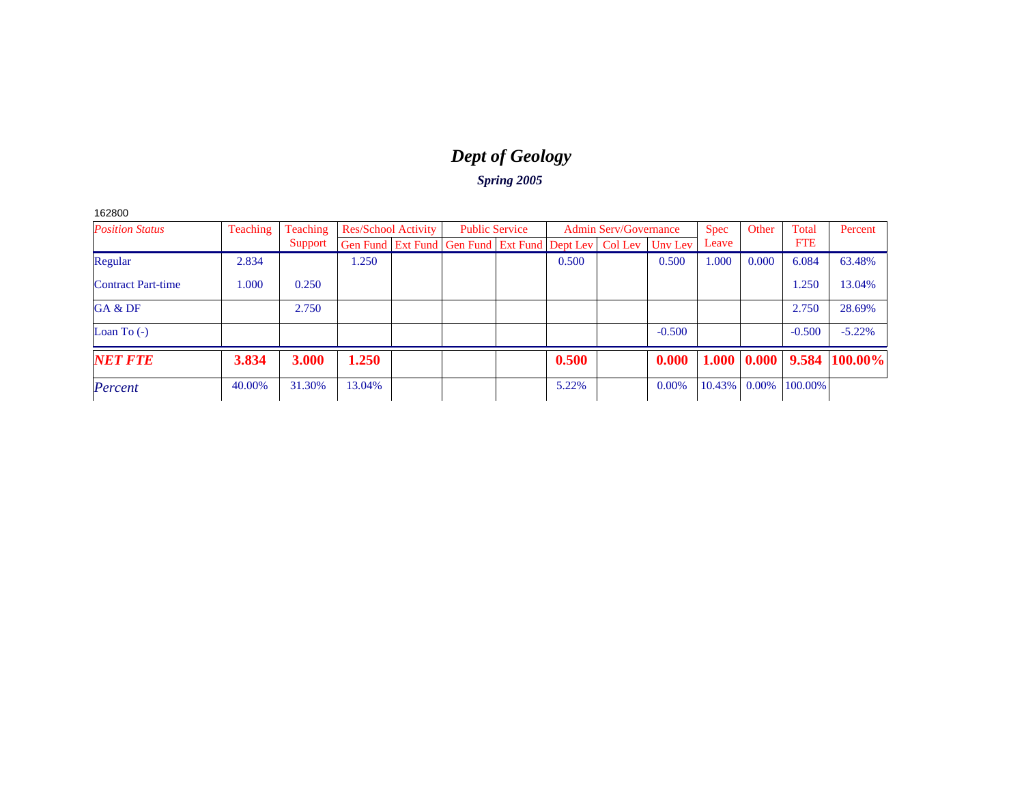# *Dept of Geology*

### *Spring 2005*

162800

| <b>Position Status</b>    | Teaching | Teaching |        | <b>Res/School Activity</b> | <b>Public Service</b>                                          |       | <b>Admin Serv/Governance</b> |          | <b>Spec</b> | Other    | Total      | Percent                                     |
|---------------------------|----------|----------|--------|----------------------------|----------------------------------------------------------------|-------|------------------------------|----------|-------------|----------|------------|---------------------------------------------|
|                           |          | Support  |        |                            | Gen Fund   Ext Fund   Gen Fund   Ext Fund   Dept Lev   Col Lev |       |                              | Unv Lev  | Leave       |          | <b>FTE</b> |                                             |
| Regular                   | 2.834    |          | .250   |                            |                                                                | 0.500 |                              | 0.500    | 1.000       | 0.000    | 6.084      | 63.48%                                      |
| <b>Contract Part-time</b> | 1.000    | 0.250    |        |                            |                                                                |       |                              |          |             |          | 1.250      | 13.04%                                      |
| GA & DF                   |          | 2.750    |        |                            |                                                                |       |                              |          |             |          | 2.750      | 28.69%                                      |
| Loan To $(-)$             |          |          |        |                            |                                                                |       |                              | $-0.500$ |             |          | $-0.500$   | $-5.22\%$                                   |
| <b>NET FTE</b>            | 3.834    | 3.000    | 1.250  |                            |                                                                | 0.500 |                              | 0.000    |             |          |            | $1.000 \mid 0.000 \mid 9.584 \mid 100.00\%$ |
| Percent                   | 40.00%   | 31.30%   | 13.04% |                            |                                                                | 5.22% |                              | 0.00%    | 10.43%      | $0.00\%$ | 100.00%    |                                             |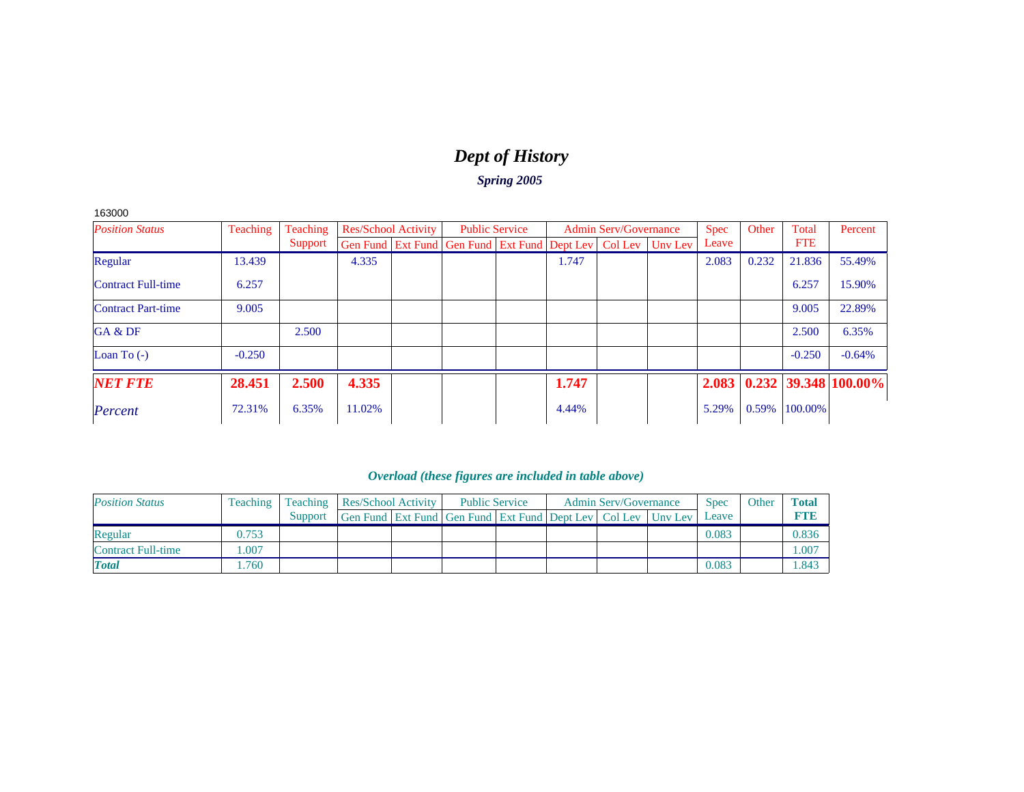# *Dept of History*

*Spring 2005*

163000

| <b>Position Status</b>    | <b>Teaching</b> | Teaching |        | <b>Res/School Activity</b> | <b>Public Service</b>                                                    |       | <b>Admin Serv/Governance</b> | <b>Spec</b> | Other | Total      | Percent                |
|---------------------------|-----------------|----------|--------|----------------------------|--------------------------------------------------------------------------|-------|------------------------------|-------------|-------|------------|------------------------|
|                           |                 | Support  |        |                            | Gen Fund   Ext Fund   Gen Fund   Ext Fund   Dept Lev   Col Lev   Unv Lev |       |                              | Leave       |       | <b>FTE</b> |                        |
| Regular                   | 13.439          |          | 4.335  |                            |                                                                          | 1.747 |                              | 2.083       | 0.232 | 21.836     | 55.49%                 |
| <b>Contract Full-time</b> | 6.257           |          |        |                            |                                                                          |       |                              |             |       | 6.257      | 15.90%                 |
| <b>Contract Part-time</b> | 9.005           |          |        |                            |                                                                          |       |                              |             |       | 9.005      | 22.89%                 |
| GA & DF                   |                 | 2.500    |        |                            |                                                                          |       |                              |             |       | 2.500      | 6.35%                  |
| Loan To $(-)$             | $-0.250$        |          |        |                            |                                                                          |       |                              |             |       | $-0.250$   | $-0.64%$               |
| <b>NET FTE</b>            | 28.451          | 2.500    | 4.335  |                            |                                                                          | 1.747 |                              | 2.083       |       |            | $0.232$ 39.348 100.00% |
| Percent                   | 72.31%          | 6.35%    | 11.02% |                            |                                                                          | 4.44% |                              | 5.29%       | 0.59% | 100.00%    |                        |

| <b>Position Status</b>    | <b>Teaching</b> |         |                                                              | Teaching   Res/School Activity |  | <b>Public Service</b> | <b>Admin Serv/Governance</b> | <b>Spec</b> | Other | Total       |
|---------------------------|-----------------|---------|--------------------------------------------------------------|--------------------------------|--|-----------------------|------------------------------|-------------|-------|-------------|
|                           |                 | Support | Gen Fund Ext Fund Gen Fund Ext Fund Dept Lev Col Lev Unv Lev |                                |  |                       |                              | Leave       |       | <b>RTIB</b> |
| Regular                   | 0.753           |         |                                                              |                                |  |                       |                              | 0.083       |       | 0.836       |
| <b>Contract Full-time</b> | .007            |         |                                                              |                                |  |                       |                              |             |       | 1.007       |
| <b>Total</b>              | .760            |         |                                                              |                                |  |                       |                              | 0.083       |       | 1.843       |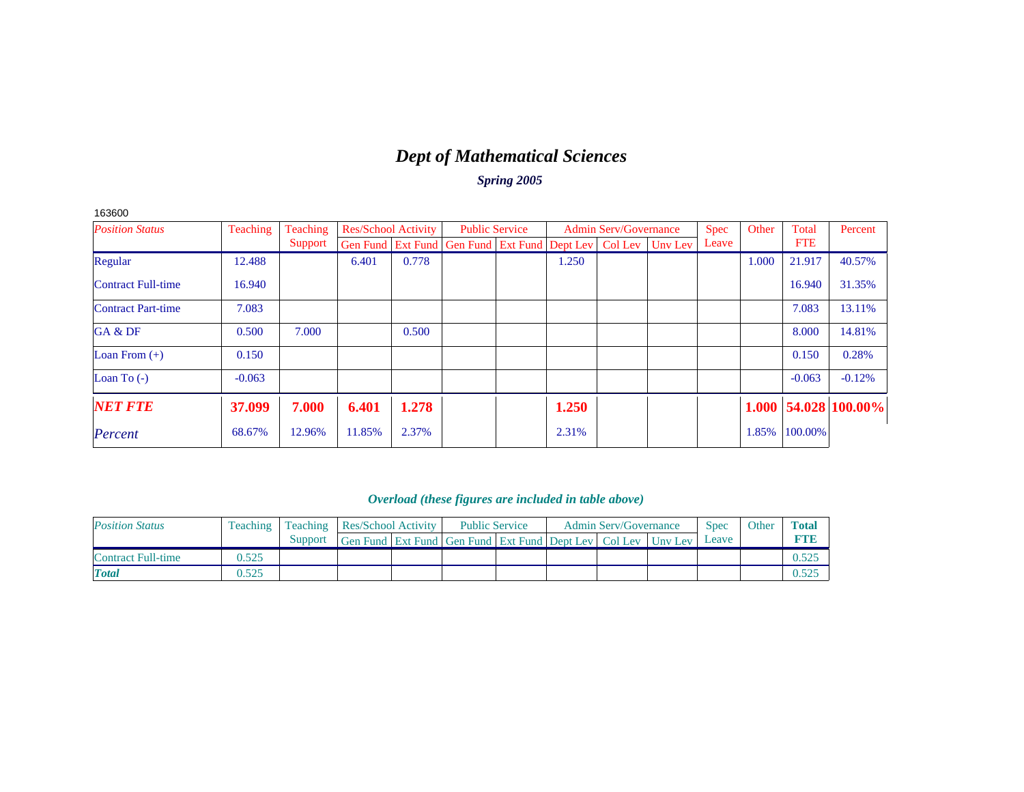# *Dept of Mathematical Sciences*

*Spring 2005*

| <b>Position Status</b>    | Teaching | Teaching |        | <b>Res/School Activity</b> | <b>Public Service</b>                                                    |       | <b>Admin Serv/Governance</b> | <b>Spec</b> | Other | Total      | Percent                    |
|---------------------------|----------|----------|--------|----------------------------|--------------------------------------------------------------------------|-------|------------------------------|-------------|-------|------------|----------------------------|
|                           |          | Support  |        |                            | Gen Fund   Ext Fund   Gen Fund   Ext Fund   Dept Lev   Col Lev   Unv Lev |       |                              | Leave       |       | <b>FTE</b> |                            |
| Regular                   | 12.488   |          | 6.401  | 0.778                      |                                                                          | 1.250 |                              |             | 1.000 | 21.917     | 40.57%                     |
| <b>Contract Full-time</b> | 16.940   |          |        |                            |                                                                          |       |                              |             |       | 16.940     | 31.35%                     |
| <b>Contract Part-time</b> | 7.083    |          |        |                            |                                                                          |       |                              |             |       | 7.083      | 13.11%                     |
| GA & DF                   | 0.500    | 7.000    |        | 0.500                      |                                                                          |       |                              |             |       | 8.000      | 14.81%                     |
| Loan From $(+)$           | 0.150    |          |        |                            |                                                                          |       |                              |             |       | 0.150      | 0.28%                      |
| Loan To $(-)$             | $-0.063$ |          |        |                            |                                                                          |       |                              |             |       | $-0.063$   | $-0.12%$                   |
| <b>NET FTE</b>            | 37.099   | 7.000    | 6.401  | 1.278                      |                                                                          | 1.250 |                              |             |       |            | $1.000$   54.028   100.00% |
| Percent                   | 68.67%   | 12.96%   | 11.85% | 2.37%                      |                                                                          | 2.31% |                              |             | 1.85% | 100.00%    |                            |

### *Overload (these figures are included in table above)*

| <b>Position Status</b> | Teaching |         |                                                                  | <b>Teaching Res/School Activity</b> |  | <b>Public Service</b> | <b>Admin Serv/Governance</b> | <b>Spec</b> | Other | <b>Total</b> |
|------------------------|----------|---------|------------------------------------------------------------------|-------------------------------------|--|-----------------------|------------------------------|-------------|-------|--------------|
|                        |          | Support | Gen Fund Ext Fund Gen Fund Ext Fund Dept Lev   Col Lev   Uny Lev |                                     |  |                       |                              | Leave       |       |              |
| Contract Full-time     | 0.525    |         |                                                                  |                                     |  |                       |                              |             |       |              |
| <b>T</b> otal          | 0.525    |         |                                                                  |                                     |  |                       |                              |             |       |              |

163600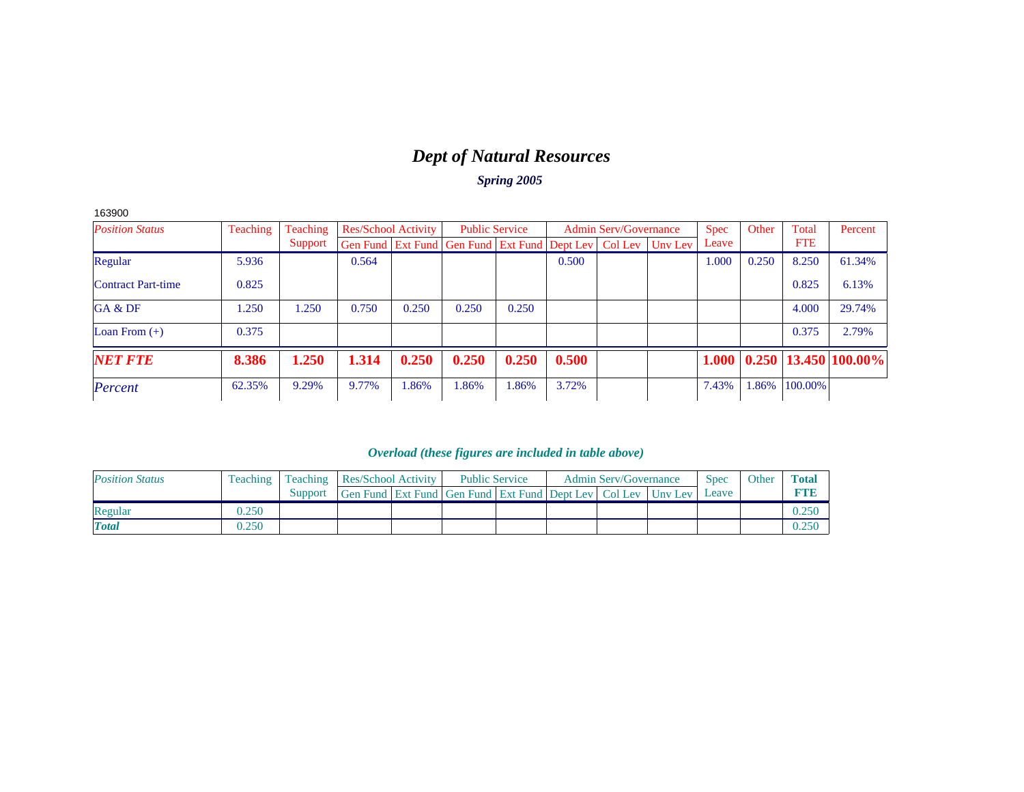# *Dept of Natural Resources*

*Spring 2005*

| 163900                    |                 |          |       |                            |                                                                |                       |       |                              |         |             |       |            |                            |
|---------------------------|-----------------|----------|-------|----------------------------|----------------------------------------------------------------|-----------------------|-------|------------------------------|---------|-------------|-------|------------|----------------------------|
| <b>Position Status</b>    | <b>Teaching</b> | Teaching |       | <b>Res/School Activity</b> |                                                                | <b>Public Service</b> |       | <b>Admin Serv/Governance</b> |         | <b>Spec</b> | Other | Total      | Percent                    |
|                           |                 | Support  |       |                            | Gen Fund   Ext Fund   Gen Fund   Ext Fund   Dept Lev   Col Lev |                       |       |                              | Unv Lev | Leave       |       | <b>FTE</b> |                            |
| Regular                   | 5.936           |          | 0.564 |                            |                                                                |                       | 0.500 |                              |         | 1.000       | 0.250 | 8.250      | 61.34%                     |
| <b>Contract Part-time</b> | 0.825           |          |       |                            |                                                                |                       |       |                              |         |             |       | 0.825      | 6.13%                      |
| GA & DF                   | 1.250           | 1.250    | 0.750 | 0.250                      | 0.250                                                          | 0.250                 |       |                              |         |             |       | 4.000      | 29.74%                     |
| Loan From $(+)$           | 0.375           |          |       |                            |                                                                |                       |       |                              |         |             |       | 0.375      | 2.79%                      |
| <b>NET FTE</b>            | 8.386           | 1.250    | 1.314 | 0.250                      | 0.250                                                          | 0.250                 | 0.500 |                              |         | 1.000       |       |            | $0.250$   13.450   100.00% |
| Percent                   | 62.35%          | 9.29%    | 9.77% | 1.86%                      | 1.86%                                                          | 1.86%                 | 3.72% |                              |         | 7.43%       | 1.86% | 100.00%    |                            |

| <b>Position Status</b> |       |         |                                                                          | Teaching   Teaching   Res/School Activity |  | <b>Public Service</b> | <b>Admin Serv/Governance</b> | <b>Spec</b> | Other | <b>Total</b> |
|------------------------|-------|---------|--------------------------------------------------------------------------|-------------------------------------------|--|-----------------------|------------------------------|-------------|-------|--------------|
|                        |       | Support | Gen Fund   Ext Fund   Gen Fund   Ext Fund   Dept Lev   Col Lev   Unv Lev |                                           |  |                       |                              | Leave       |       |              |
| Regular                | 0.250 |         |                                                                          |                                           |  |                       |                              |             |       |              |
| <b>Total</b>           | 0.250 |         |                                                                          |                                           |  |                       |                              |             |       |              |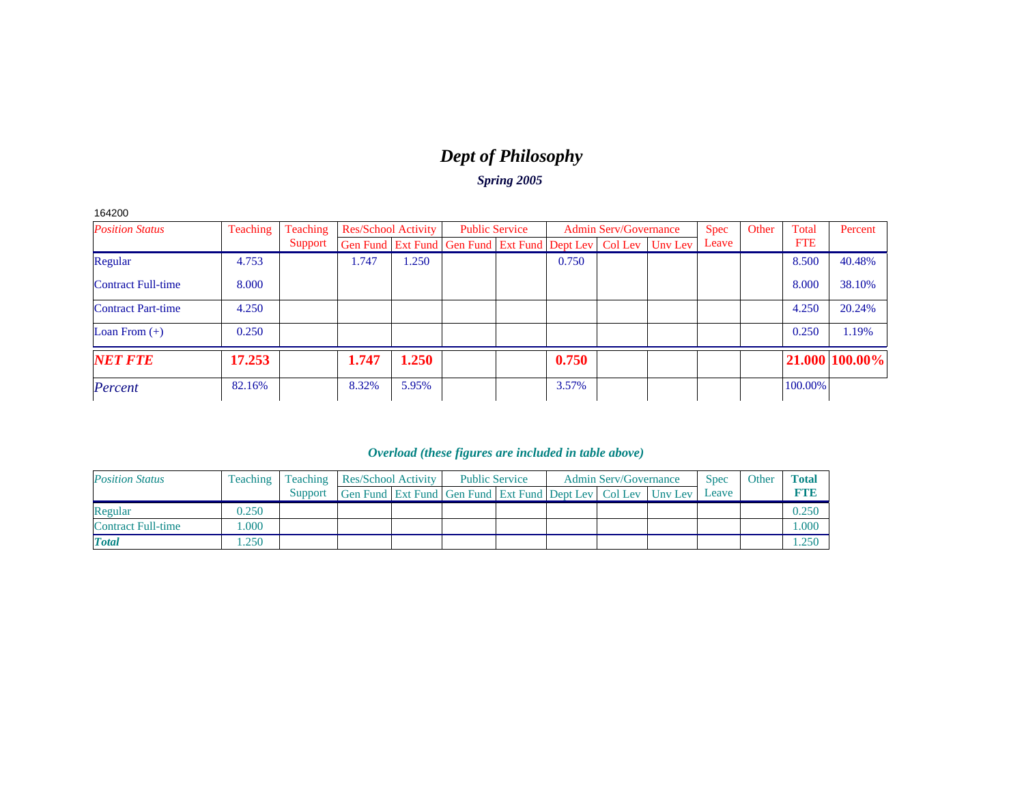# *Dept of Philosophy*

*Spring 2005*

| 42C<br>Υ |
|----------|
|----------|

| <b>Position Status</b>    | Teaching | <b>Teaching</b> | <b>Res/School Activity</b> |       | <b>Public Service</b>                                        |       | <b>Admin Serv/Governance</b> | <b>Spec</b> | Other | Total      | Percent        |
|---------------------------|----------|-----------------|----------------------------|-------|--------------------------------------------------------------|-------|------------------------------|-------------|-------|------------|----------------|
|                           |          | Support         |                            |       | Gen Fund Ext Fund Gen Fund Ext Fund Dept Lev Col Lev Unv Lev |       |                              | Leave       |       | <b>FTE</b> |                |
| Regular                   | 4.753    |                 | 1.747                      | 1.250 |                                                              | 0.750 |                              |             |       | 8.500      | 40.48%         |
| <b>Contract Full-time</b> | 8.000    |                 |                            |       |                                                              |       |                              |             |       | 8.000      | 38.10%         |
| <b>Contract Part-time</b> | 4.250    |                 |                            |       |                                                              |       |                              |             |       | 4.250      | 20.24%         |
| Loan From $(+)$           | 0.250    |                 |                            |       |                                                              |       |                              |             |       | 0.250      | 1.19%          |
| <b>NET FTE</b>            | 17.253   |                 | 1.747                      | 1.250 |                                                              | 0.750 |                              |             |       |            | 21.000 100.00% |
| Percent                   | 82.16%   |                 | 8.32%                      | 5.95% |                                                              | 3.57% |                              |             |       | 100.00%    |                |

| <b>Position Status</b>    | <b>Teaching</b> |         |                                                              | <b>Teaching</b>   Res/School Activity |  | <b>Public Service</b> | <b>Admin Serv/Governance</b> | <b>Spec</b> | Other | <b>Total</b> |
|---------------------------|-----------------|---------|--------------------------------------------------------------|---------------------------------------|--|-----------------------|------------------------------|-------------|-------|--------------|
|                           |                 | Support | Gen Fund Ext Fund Gen Fund Ext Fund Dept Lev Col Lev Uny Lev |                                       |  |                       |                              | Leave       |       | <b>RTIB</b>  |
| Regular                   | 0.250           |         |                                                              |                                       |  |                       |                              |             |       | 0.25C        |
| <b>Contract Full-time</b> | .000            |         |                                                              |                                       |  |                       |                              |             |       | 000.         |
| <b>Total</b>              | .250            |         |                                                              |                                       |  |                       |                              |             |       | 1.250        |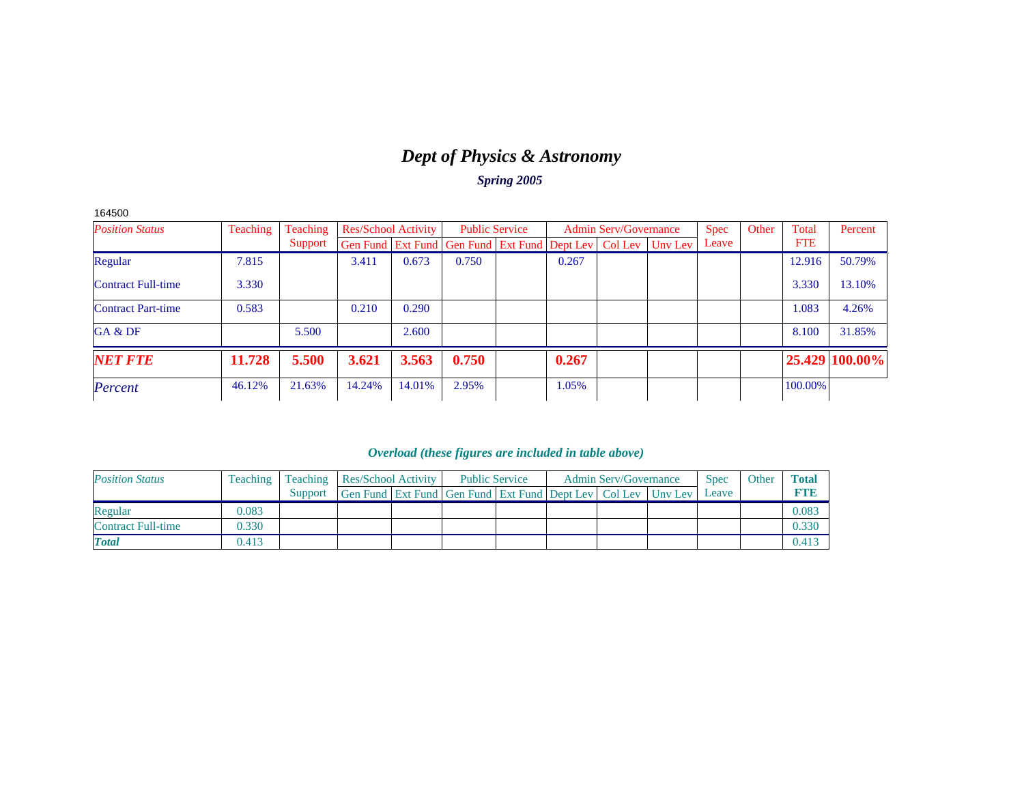# *Dept of Physics & Astronomy*

*Spring 2005*

| 164500                    |          |          |        |                            |                                                                |       |                              |         |       |       |            |                |
|---------------------------|----------|----------|--------|----------------------------|----------------------------------------------------------------|-------|------------------------------|---------|-------|-------|------------|----------------|
| <b>Position Status</b>    | Teaching | Teaching |        | <b>Res/School Activity</b> | <b>Public Service</b>                                          |       | <b>Admin Serv/Governance</b> |         | Spec  | Other | Total      | Percent        |
|                           |          | Support  |        |                            | Gen Fund   Ext Fund   Gen Fund   Ext Fund   Dept Lev   Col Lev |       |                              | Unv Lev | Leave |       | <b>FTE</b> |                |
| Regular                   | 7.815    |          | 3.411  | 0.673                      | 0.750                                                          | 0.267 |                              |         |       |       | 12.916     | 50.79%         |
| <b>Contract Full-time</b> | 3.330    |          |        |                            |                                                                |       |                              |         |       |       | 3.330      | 13.10%         |
| <b>Contract Part-time</b> | 0.583    |          | 0.210  | 0.290                      |                                                                |       |                              |         |       |       | 1.083      | 4.26%          |
| GA & DF                   |          | 5.500    |        | 2.600                      |                                                                |       |                              |         |       |       | 8.100      | 31.85%         |
| <b>NET FTE</b>            | 11.728   | 5.500    | 3.621  | 3.563                      | 0.750                                                          | 0.267 |                              |         |       |       |            | 25.429 100.00% |
| Percent                   | 46.12%   | 21.63%   | 14.24% | 14.01%                     | 2.95%                                                          | 1.05% |                              |         |       |       | 100.00%    |                |

| <b>Position Status</b>    | <b>Teaching</b> |         |                                                                  | <b>Teaching Res/School Activity</b> |  | <b>Public Service</b> | <b>Admin Serv/Governance</b> | <b>Spec</b> | Other | <b>Total</b> |
|---------------------------|-----------------|---------|------------------------------------------------------------------|-------------------------------------|--|-----------------------|------------------------------|-------------|-------|--------------|
|                           |                 | Support | Gen Fund Ext Fund Gen Fund Ext Fund Dept Lev   Col Lev   Unv Lev |                                     |  |                       |                              | Leave       |       | <b>RTVB</b>  |
| Regular                   | 0.083           |         |                                                                  |                                     |  |                       |                              |             |       | 0.083        |
| <b>Contract Full-time</b> | 0.330           |         |                                                                  |                                     |  |                       |                              |             |       | 0.330        |
| <b>Total</b>              | 0.413           |         |                                                                  |                                     |  |                       |                              |             |       | 0.413        |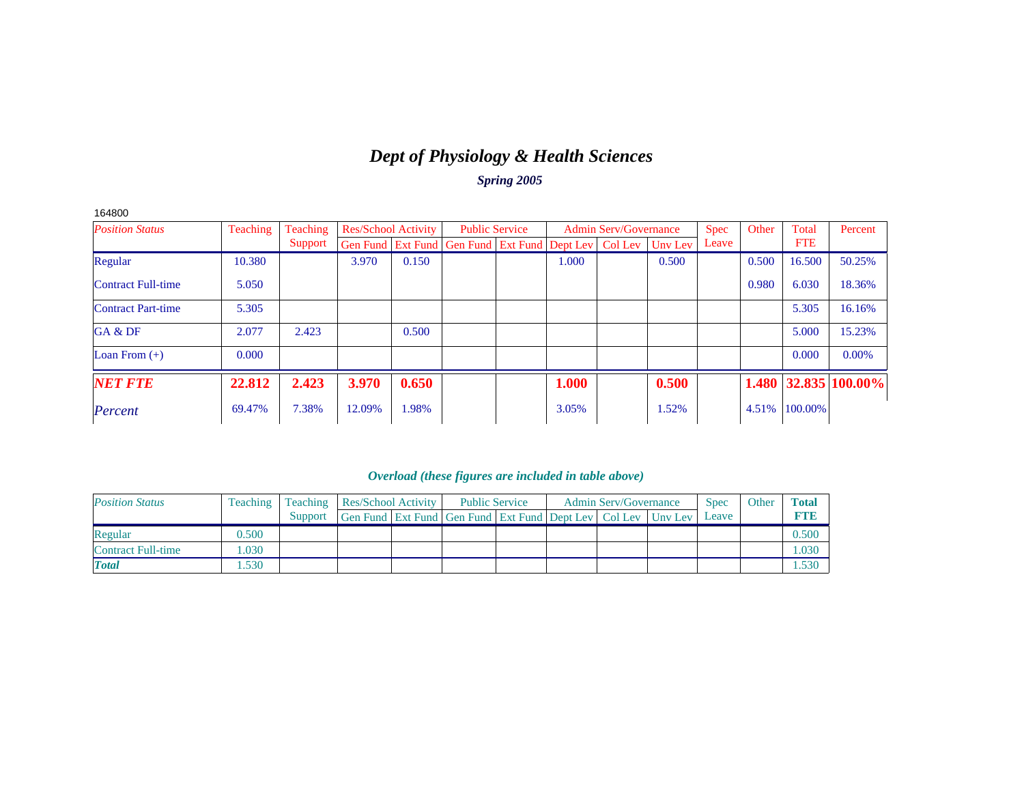# *Dept of Physiology & Health Sciences*

*Spring 2005*

| 164800                    |          |          |                            |       |                                                                |       |                              |         |             |       |            |                            |
|---------------------------|----------|----------|----------------------------|-------|----------------------------------------------------------------|-------|------------------------------|---------|-------------|-------|------------|----------------------------|
| <b>Position Status</b>    | Teaching | Teaching | <b>Res/School Activity</b> |       | <b>Public Service</b>                                          |       | <b>Admin Serv/Governance</b> |         | <b>Spec</b> | Other | Total      | Percent                    |
|                           |          | Support  |                            |       | Gen Fund   Ext Fund   Gen Fund   Ext Fund   Dept Lev   Col Lev |       |                              | Unv Lev | Leave       |       | <b>FTE</b> |                            |
| Regular                   | 10.380   |          | 3.970                      | 0.150 |                                                                | 1.000 |                              | 0.500   |             | 0.500 | 16.500     | 50.25%                     |
| <b>Contract Full-time</b> | 5.050    |          |                            |       |                                                                |       |                              |         |             | 0.980 | 6.030      | 18.36%                     |
| <b>Contract Part-time</b> | 5.305    |          |                            |       |                                                                |       |                              |         |             |       | 5.305      | 16.16%                     |
| GA & DF                   | 2.077    | 2.423    |                            | 0.500 |                                                                |       |                              |         |             |       | 5.000      | 15.23%                     |
| Loan From $(+)$           | 0.000    |          |                            |       |                                                                |       |                              |         |             |       | 0.000      | 0.00%                      |
| <b>NET FTE</b>            | 22.812   | 2.423    | 3.970                      | 0.650 |                                                                | 1.000 |                              | 0.500   |             |       |            | $1.480$   32.835   100.00% |
| Percent                   | 69.47%   | 7.38%    | 12.09%                     | 1.98% |                                                                | 3.05% |                              | 1.52%   |             | 4.51% | 100.00%    |                            |

| <b>Position Status</b>    | <b>Teaching</b> |         |                                                              | Teaching   Res/School Activity |  | <b>Public Service</b> | <b>Admin Serv/Governance</b> | <b>Spec</b> | Other | Total      |
|---------------------------|-----------------|---------|--------------------------------------------------------------|--------------------------------|--|-----------------------|------------------------------|-------------|-------|------------|
|                           |                 | Support | Gen Fund Ext Fund Gen Fund Ext Fund Dept Lev Col Lev Unv Lev |                                |  |                       |                              | Leave       |       | <b>FTE</b> |
| Regular                   | 0.500           |         |                                                              |                                |  |                       |                              |             |       | 0.500      |
| <b>Contract Full-time</b> | .030            |         |                                                              |                                |  |                       |                              |             |       | 1.030      |
| <b>Total</b>              | .530            |         |                                                              |                                |  |                       |                              |             |       | 1.530      |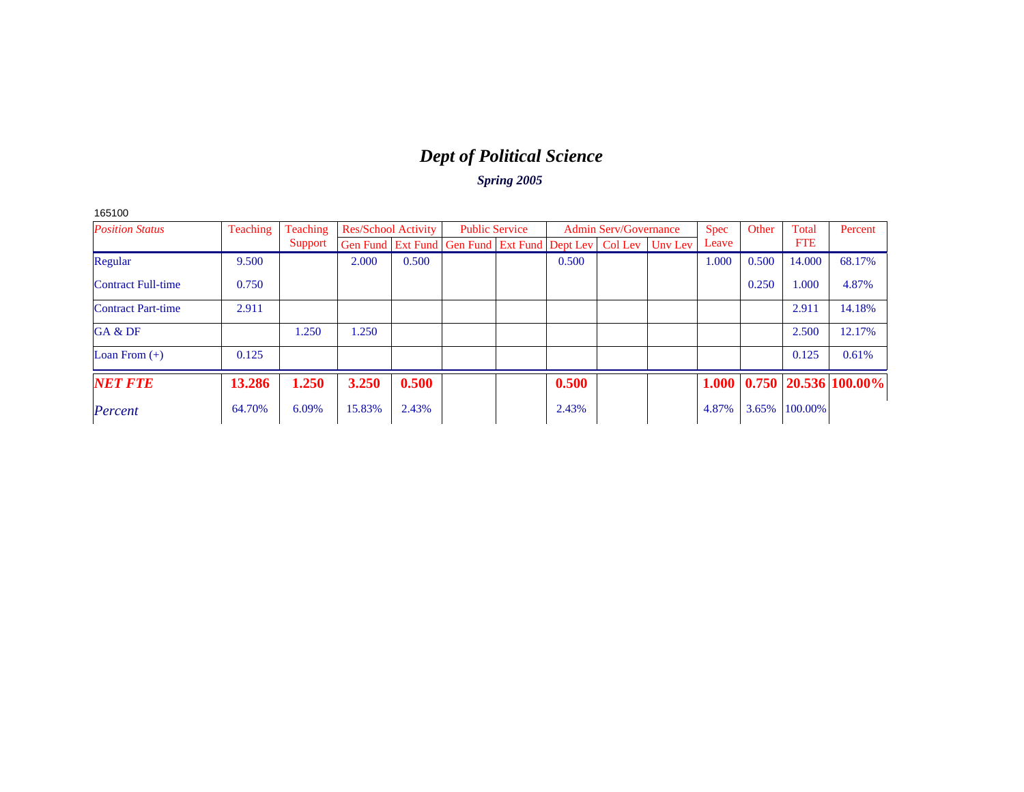# *Dept of Political Science*

| 551.<br>κ<br>C |  |
|----------------|--|
|----------------|--|

| <b>Position Status</b>    | Teaching | Teaching | <b>Res/School Activity</b> |       | <b>Public Service</b>                                                    |       | <b>Admin Serv/Governance</b> | Spec  | Other | Total      | Percent                    |
|---------------------------|----------|----------|----------------------------|-------|--------------------------------------------------------------------------|-------|------------------------------|-------|-------|------------|----------------------------|
|                           |          | Support  |                            |       | Gen Fund   Ext Fund   Gen Fund   Ext Fund   Dept Lev   Col Lev   Unv Lev |       |                              | Leave |       | <b>FTE</b> |                            |
| Regular                   | 9.500    |          | 2.000                      | 0.500 |                                                                          | 0.500 |                              | 1.000 | 0.500 | 14.000     | 68.17%                     |
| <b>Contract Full-time</b> | 0.750    |          |                            |       |                                                                          |       |                              |       | 0.250 | 1.000      | 4.87%                      |
| <b>Contract Part-time</b> | 2.911    |          |                            |       |                                                                          |       |                              |       |       | 2.911      | 14.18%                     |
| GA & DF                   |          | 1.250    | .250                       |       |                                                                          |       |                              |       |       | 2.500      | 12.17%                     |
| Loan From $(+)$           | 0.125    |          |                            |       |                                                                          |       |                              |       |       | 0.125      | 0.61%                      |
| <b>NET FTE</b>            | 13.286   | 1.250    | 3.250                      | 0.500 |                                                                          | 0.500 |                              | 1.000 |       |            | $0.750$   20.536   100.00% |
| Percent                   | 64.70%   | 6.09%    | 15.83%                     | 2.43% |                                                                          | 2.43% |                              | 4.87% | 3.65% | 100.00%    |                            |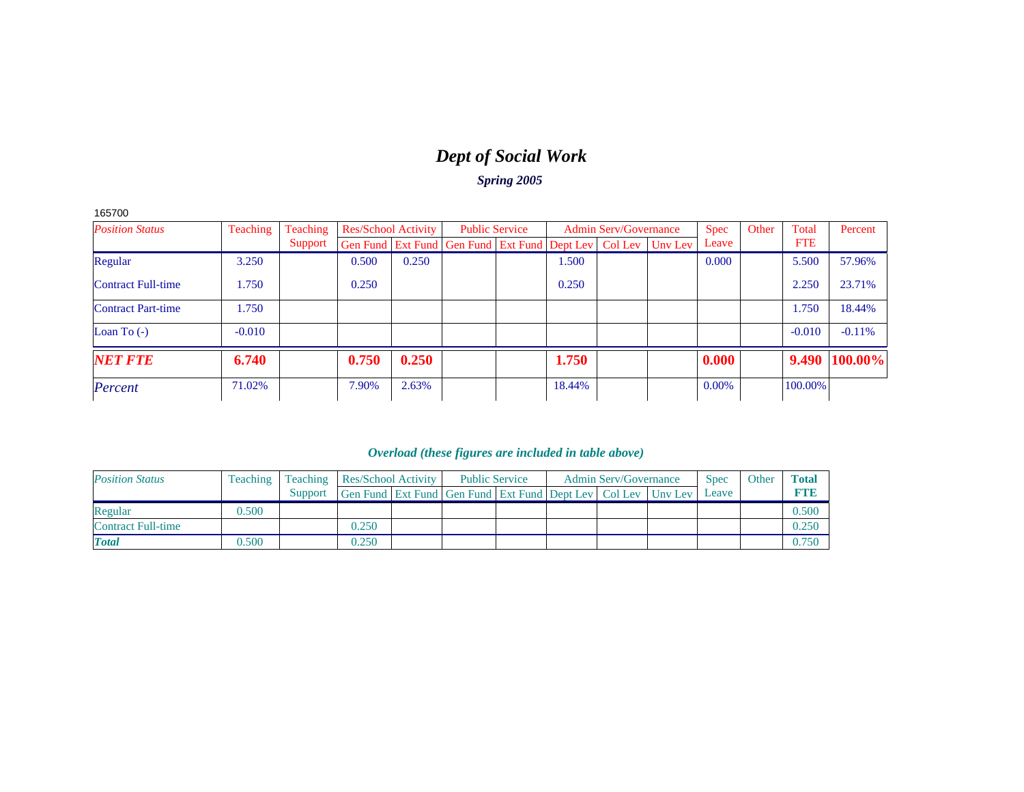### *Dept of Social Work Spring 2005*

165700

| <b>Position Status</b>    | Teaching | Teaching | <b>Res/School Activity</b>                                               |       | <b>Public Service</b> |        | <b>Admin Serv/Governance</b> | <b>Spec</b> | Other | Total      | Percent       |
|---------------------------|----------|----------|--------------------------------------------------------------------------|-------|-----------------------|--------|------------------------------|-------------|-------|------------|---------------|
|                           |          | Support  | Gen Fund   Ext Fund   Gen Fund   Ext Fund   Dept Lev   Col Lev   Unv Lev |       |                       |        |                              | Leave       |       | <b>FTE</b> |               |
| Regular                   | 3.250    |          | 0.500                                                                    | 0.250 |                       | 1.500  |                              | 0.000       |       | 5.500      | 57.96%        |
| <b>Contract Full-time</b> | 1.750    |          | 0.250                                                                    |       |                       | 0.250  |                              |             |       | 2.250      | 23.71%        |
| <b>Contract Part-time</b> | 1.750    |          |                                                                          |       |                       |        |                              |             |       | 1.750      | 18.44%        |
| Loan To $(-)$             | $-0.010$ |          |                                                                          |       |                       |        |                              |             |       | $-0.010$   | $-0.11%$      |
| <b>NET FTE</b>            | 6.740    |          | 0.750                                                                    | 0.250 |                       | 1.750  |                              | 0.000       |       |            | 9.490 100.00% |
| Percent                   | 71.02%   |          | 7.90%                                                                    | 2.63% |                       | 18.44% |                              | 0.00%       |       | 100.00%    |               |

| <b>Position Status</b>    | <b>Teaching</b> |         | <b>Teaching Res/School Activity</b>                                      | <b>Public Service</b> |  | <b>Admin Serv/Governance</b> | <b>Spec</b> | Other | <b>Total</b> |
|---------------------------|-----------------|---------|--------------------------------------------------------------------------|-----------------------|--|------------------------------|-------------|-------|--------------|
|                           |                 | Support | Gen Fund   Ext Fund   Gen Fund   Ext Fund   Dept Lev   Col Lev   Unv Lev |                       |  |                              | Leave       |       | <b>RTIB</b>  |
| Regular                   | 0.500           |         |                                                                          |                       |  |                              |             |       | 0.500        |
| <b>Contract Full-time</b> |                 |         | 0.250                                                                    |                       |  |                              |             |       | 0.250        |
| <b>Total</b>              | 0.500           |         | 0.250                                                                    |                       |  |                              |             |       | 0.750        |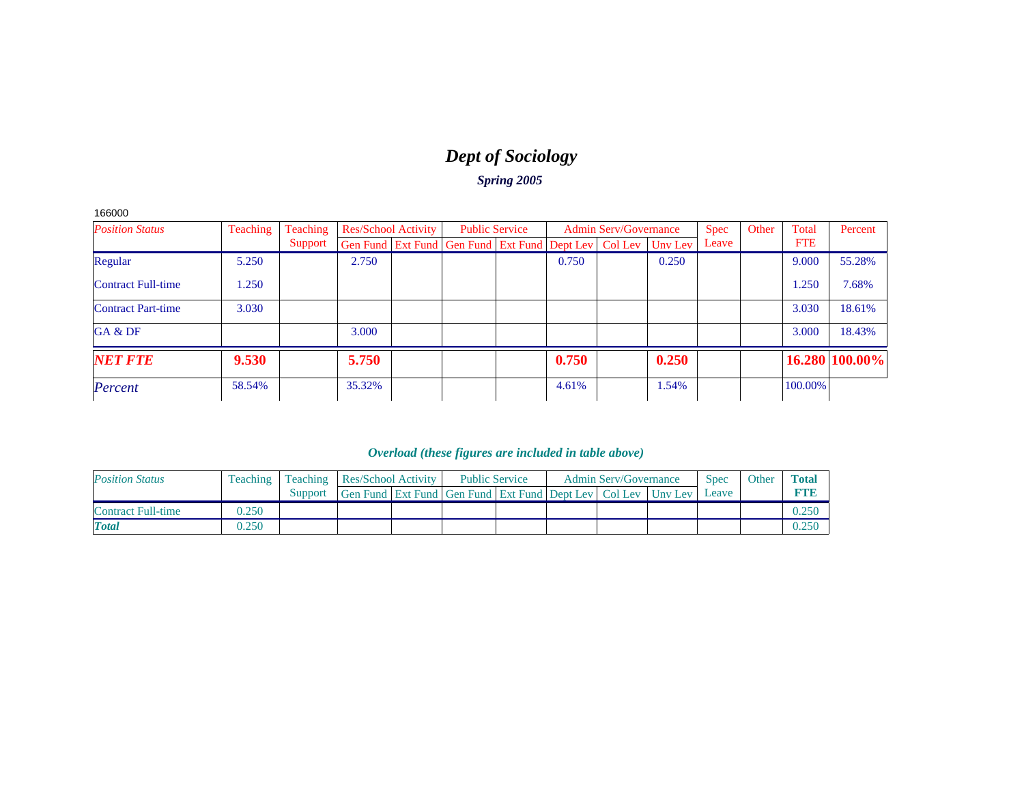# *Dept of Sociology*

*Spring 2005*

166000

| <b>Position Status</b>    | Teaching | Teaching |        | <b>Res/School Activity</b> |                                                      | <b>Public Service</b> |       | <b>Admin Serv/Governance</b> |         | <b>Spec</b> | Other | Total      | Percent        |
|---------------------------|----------|----------|--------|----------------------------|------------------------------------------------------|-----------------------|-------|------------------------------|---------|-------------|-------|------------|----------------|
|                           |          | Support  |        |                            | Gen Fund Ext Fund Gen Fund Ext Fund Dept Lev Col Lev |                       |       |                              | Unv Lev | Leave       |       | <b>FTE</b> |                |
| Regular                   | 5.250    |          | 2.750  |                            |                                                      |                       | 0.750 |                              | 0.250   |             |       | 9.000      | 55.28%         |
| <b>Contract Full-time</b> | 1.250    |          |        |                            |                                                      |                       |       |                              |         |             |       | 1.250      | 7.68%          |
| <b>Contract Part-time</b> | 3.030    |          |        |                            |                                                      |                       |       |                              |         |             |       | 3.030      | 18.61%         |
| GA & DF                   |          |          | 3.000  |                            |                                                      |                       |       |                              |         |             |       | 3.000      | 18.43%         |
| <b>NET FTE</b>            | 9.530    |          | 5.750  |                            |                                                      |                       | 0.750 |                              | 0.250   |             |       |            | 16.280 100.00% |
| Percent                   | 58.54%   |          | 35.32% |                            |                                                      |                       | 4.61% |                              | 1.54%   |             |       | 100.00%    |                |

| <b>Position Status</b>    | <b>Teaching</b> |         |                                                              | Teaching Res/School Activity |  | <b>Public Service</b> | <b>Admin Serv/Governance</b> | <b>Spec</b> | Other | <b>Total</b> |
|---------------------------|-----------------|---------|--------------------------------------------------------------|------------------------------|--|-----------------------|------------------------------|-------------|-------|--------------|
|                           |                 | Support | Gen Fund Ext Fund Gen Fund Ext Fund Dept Lev Col Lev Unv Lev |                              |  |                       |                              | Leave       |       |              |
| <b>Contract Full-time</b> | 0.250           |         |                                                              |                              |  |                       |                              |             |       |              |
| <b>Total</b>              | 0.250           |         |                                                              |                              |  |                       |                              |             |       |              |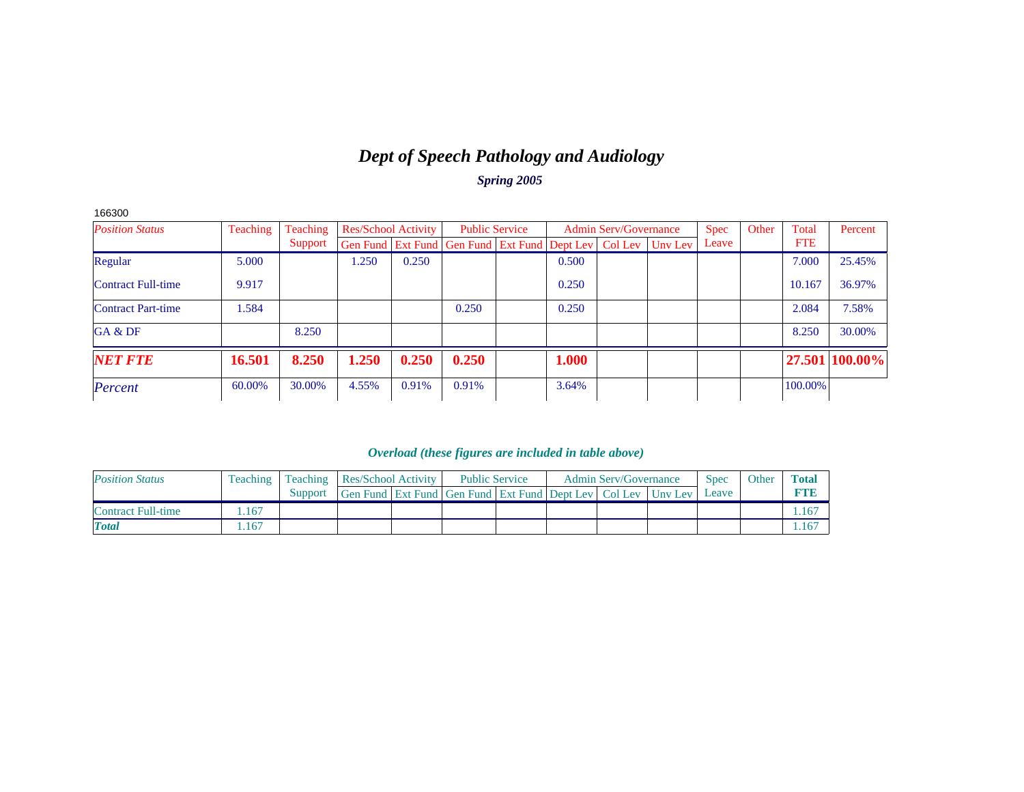### *Dept of Speech Pathology and Audiology Spring 2005*

| 166300                    |          |                 |       |                            |                                                                          |       |                              |             |       |            |                |
|---------------------------|----------|-----------------|-------|----------------------------|--------------------------------------------------------------------------|-------|------------------------------|-------------|-------|------------|----------------|
| <b>Position Status</b>    | Teaching | <b>Teaching</b> |       | <b>Res/School Activity</b> | <b>Public Service</b>                                                    |       | <b>Admin Serv/Governance</b> | <b>Spec</b> | Other | Total      | Percent        |
|                           |          | Support         |       |                            | Gen Fund   Ext Fund   Gen Fund   Ext Fund   Dept Lev   Col Lev   Unv Lev |       |                              | Leave       |       | <b>FTE</b> |                |
| Regular                   | 5.000    |                 | 1.250 | 0.250                      |                                                                          | 0.500 |                              |             |       | 7.000      | 25.45%         |
| Contract Full-time        | 9.917    |                 |       |                            |                                                                          | 0.250 |                              |             |       | 10.167     | 36.97%         |
| <b>Contract Part-time</b> | 1.584    |                 |       |                            | 0.250                                                                    | 0.250 |                              |             |       | 2.084      | 7.58%          |
| GA & DF                   |          | 8.250           |       |                            |                                                                          |       |                              |             |       | 8.250      | 30.00%         |
| <b>NET FTE</b>            | 16.501   | 8.250           | 1.250 | 0.250                      | 0.250                                                                    | 1.000 |                              |             |       |            | 27.501 100.00% |
| Percent                   | 60.00%   | 30.00%          | 4.55% | 0.91%                      | 0.91%                                                                    | 3.64% |                              |             |       | 100.00%    |                |

| <b>Position Status</b> | Teaching |         |                                                              | <b>Teaching Res/School Activity</b> |  | <b>Public Service</b> | <b>Admin Serv/Governance</b> | <b>Spec</b> | Other | Total |
|------------------------|----------|---------|--------------------------------------------------------------|-------------------------------------|--|-----------------------|------------------------------|-------------|-------|-------|
|                        |          | Support | Gen Fund Ext Fund Gen Fund Ext Fund Dept Lev Col Lev Unv Lev |                                     |  |                       |                              | Leave       |       |       |
| Contract Full-time     | .167     |         |                                                              |                                     |  |                       |                              |             |       |       |
| <b>Total</b>           | .167     |         |                                                              |                                     |  |                       |                              |             |       |       |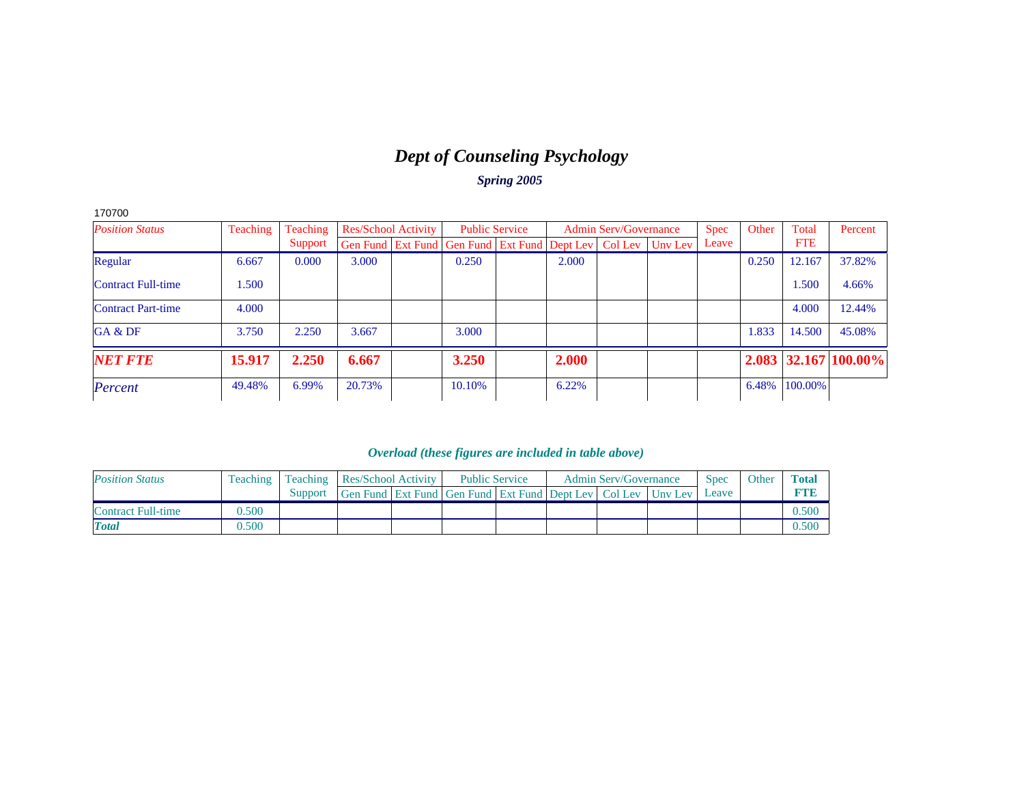# *Dept of Counseling Psychology*

*Spring 2005*

| 170700                    |          |          |        |                            |                                                                  |       |                              |             |       |            |                            |
|---------------------------|----------|----------|--------|----------------------------|------------------------------------------------------------------|-------|------------------------------|-------------|-------|------------|----------------------------|
| <b>Position Status</b>    | Teaching | Teaching |        | <b>Res/School Activity</b> | <b>Public Service</b>                                            |       | <b>Admin Serv/Governance</b> | <b>Spec</b> | Other | Total      | Percent                    |
|                           |          | Support  |        |                            | Gen Fund Ext Fund Gen Fund Ext Fund Dept Lev   Col Lev   Unv Lev |       |                              | Leave       |       | <b>FTE</b> |                            |
| Regular                   | 6.667    | 0.000    | 3.000  |                            | 0.250                                                            | 2.000 |                              |             | 0.250 | 12.167     | 37.82%                     |
| <b>Contract Full-time</b> | 1.500    |          |        |                            |                                                                  |       |                              |             |       | 1.500      | 4.66%                      |
| Contract Part-time        | 4.000    |          |        |                            |                                                                  |       |                              |             |       | 4.000      | 12.44%                     |
| GA & DF                   | 3.750    | 2.250    | 3.667  |                            | 3.000                                                            |       |                              |             | 1.833 | 14.500     | 45.08%                     |
| <b>NET FTE</b>            | 15.917   | 2.250    | 6.667  |                            | 3.250                                                            | 2.000 |                              |             |       |            | $2.083$   32.167   100.00% |
| Percent                   | 49.48%   | 6.99%    | 20.73% |                            | 10.10%                                                           | 6.22% |                              |             | 6.48% | 100.00%    |                            |

| <b>Position Status</b>    | Teaching |         |                                                              | <b>Teaching Res/School Activity</b> |  | <b>Public Service</b> | <b>Admin Serv/Governance</b> | <b>Spec</b> | Other | Total |
|---------------------------|----------|---------|--------------------------------------------------------------|-------------------------------------|--|-----------------------|------------------------------|-------------|-------|-------|
|                           |          | Support | Gen Fund Ext Fund Gen Fund Ext Fund Dept Lev Col Lev Unv Lev |                                     |  |                       |                              | Leave       |       |       |
| <b>Contract Full-time</b> | 0.500    |         |                                                              |                                     |  |                       |                              |             |       | 0.500 |
| <b>Total</b>              | 0.500    |         |                                                              |                                     |  |                       |                              |             |       | 0.500 |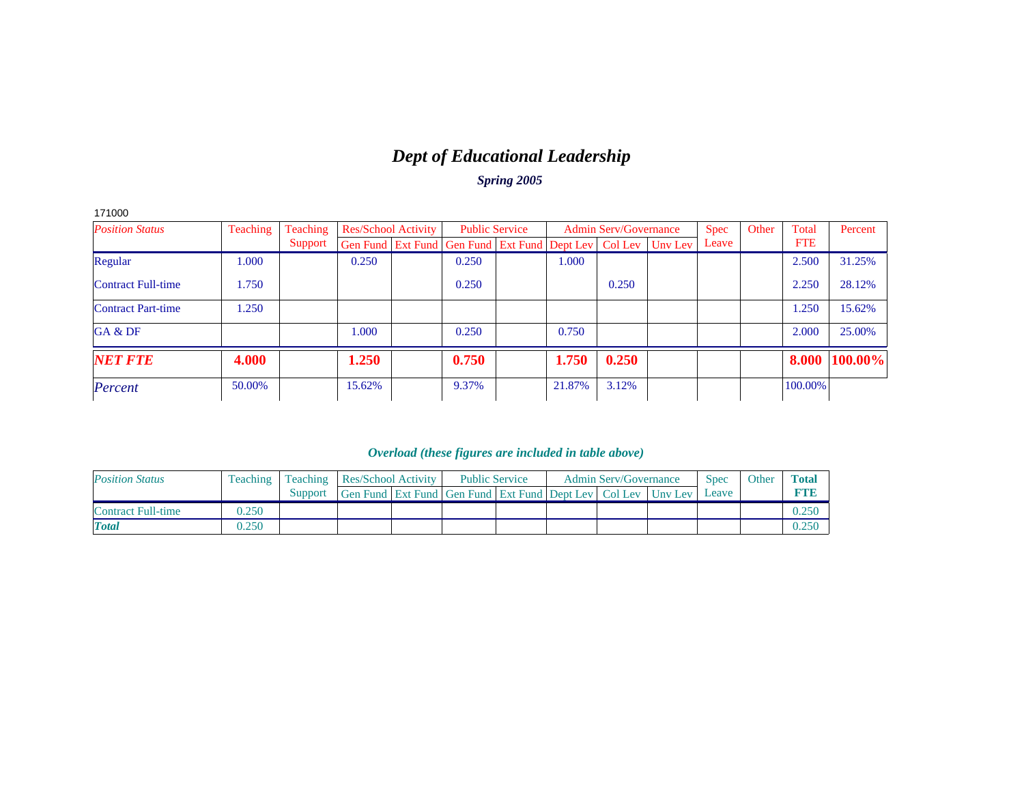# *Dept of Educational Leadership*

*Spring 2005*

| 171000                    |          |          |        |                            |                                                                          |        |                              |       |       |            |         |
|---------------------------|----------|----------|--------|----------------------------|--------------------------------------------------------------------------|--------|------------------------------|-------|-------|------------|---------|
| <b>Position Status</b>    | Teaching | Teaching |        | <b>Res/School Activity</b> | <b>Public Service</b>                                                    |        | <b>Admin Serv/Governance</b> | Spec  | Other | Total      | Percent |
|                           |          | Support  |        |                            | Gen Fund   Ext Fund   Gen Fund   Ext Fund   Dept Lev   Col Lev   Unv Lev |        |                              | Leave |       | <b>FTE</b> |         |
| Regular                   | 1.000    |          | 0.250  |                            | 0.250                                                                    | 1.000  |                              |       |       | 2.500      | 31.25%  |
| <b>Contract Full-time</b> | 1.750    |          |        |                            | 0.250                                                                    |        | 0.250                        |       |       | 2.250      | 28.12%  |
| <b>Contract Part-time</b> | 1.250    |          |        |                            |                                                                          |        |                              |       |       | 1.250      | 15.62%  |
| GA & DF                   |          |          | 1.000  |                            | 0.250                                                                    | 0.750  |                              |       |       | 2.000      | 25.00%  |
| <b>NET FTE</b>            | 4.000    |          | 1.250  |                            | 0.750                                                                    | 1.750  | 0.250                        |       |       | 8.000      | 100.00% |
| Percent                   | 50.00%   |          | 15.62% |                            | 9.37%                                                                    | 21.87% | 3.12%                        |       |       | 100.00%    |         |

| <b>Position Status</b>    |       | <b>Teaching</b> Teaching |                                                                  | <b>Res/School Activity</b> |  | <b>Public Service</b> | <b>Admin Serv/Governance</b> | Spec  | Other | <b>Total</b> |
|---------------------------|-------|--------------------------|------------------------------------------------------------------|----------------------------|--|-----------------------|------------------------------|-------|-------|--------------|
|                           |       | Support                  | Gen Fund Ext Fund Gen Fund Ext Fund Dept Lev   Col Lev   Unv Lev |                            |  |                       |                              | Leave |       |              |
| <b>Contract Full-time</b> | 0.250 |                          |                                                                  |                            |  |                       |                              |       |       |              |
| <b>Total</b>              | 0.250 |                          |                                                                  |                            |  |                       |                              |       |       |              |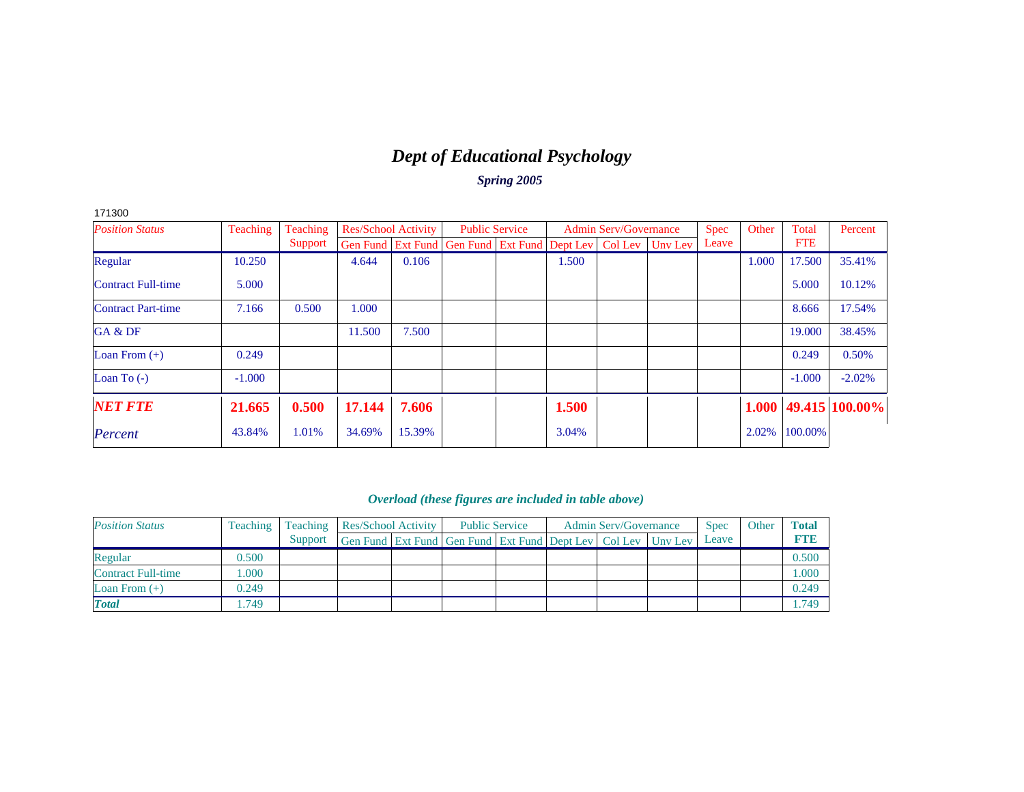# *Dept of Educational Psychology*

*Spring 2005*

| 171300                    |          |          |                            |        |                                                                  |       |                              |             |       |            |                            |
|---------------------------|----------|----------|----------------------------|--------|------------------------------------------------------------------|-------|------------------------------|-------------|-------|------------|----------------------------|
| <b>Position Status</b>    | Teaching | Teaching | <b>Res/School Activity</b> |        | <b>Public Service</b>                                            |       | <b>Admin Serv/Governance</b> | <b>Spec</b> | Other | Total      | Percent                    |
|                           |          | Support  |                            |        | Gen Fund Ext Fund Gen Fund Ext Fund Dept Lev   Col Lev   Unv Lev |       |                              | Leave       |       | <b>FTE</b> |                            |
| Regular                   | 10.250   |          | 4.644                      | 0.106  |                                                                  | 1.500 |                              |             | 1.000 | 17.500     | 35.41%                     |
| <b>Contract Full-time</b> | 5.000    |          |                            |        |                                                                  |       |                              |             |       | 5.000      | 10.12%                     |
| <b>Contract Part-time</b> | 7.166    | 0.500    | 1.000                      |        |                                                                  |       |                              |             |       | 8.666      | 17.54%                     |
| GA & DF                   |          |          | 11.500                     | 7.500  |                                                                  |       |                              |             |       | 19.000     | 38.45%                     |
| Loan From $(+)$           | 0.249    |          |                            |        |                                                                  |       |                              |             |       | 0.249      | 0.50%                      |
| Loan To $(-)$             | $-1.000$ |          |                            |        |                                                                  |       |                              |             |       | $-1.000$   | $-2.02%$                   |
| <b>NET FTE</b>            | 21.665   | 0.500    | 17.144                     | 7.606  |                                                                  | 1.500 |                              |             |       |            | $1.000  49.415  100.00\% $ |
| Percent                   | 43.84%   | 1.01%    | 34.69%                     | 15.39% |                                                                  | 3.04% |                              |             | 2.02% | 100.00%    |                            |

| <b>Position Status</b> | Teaching | Teaching | <b>Res/School Activity</b>                                       | <b>Public Service</b> |  | <b>Admin Serv/Governance</b> | <b>Spec</b> | Other | <b>Total</b> |
|------------------------|----------|----------|------------------------------------------------------------------|-----------------------|--|------------------------------|-------------|-------|--------------|
|                        |          | Support  | Gen Fund Ext Fund Gen Fund Ext Fund Dept Lev   Col Lev   Unv Lev |                       |  |                              | Leave       |       | <b>FTE</b>   |
| Regular                | 0.500    |          |                                                                  |                       |  |                              |             |       | 0.500        |
| Contract Full-time     | 000.1    |          |                                                                  |                       |  |                              |             |       | .000         |
| Loan From $(+)$        | 0.249    |          |                                                                  |                       |  |                              |             |       | 0.249        |
| <b>Total</b>           | .749     |          |                                                                  |                       |  |                              |             |       | 749ء         |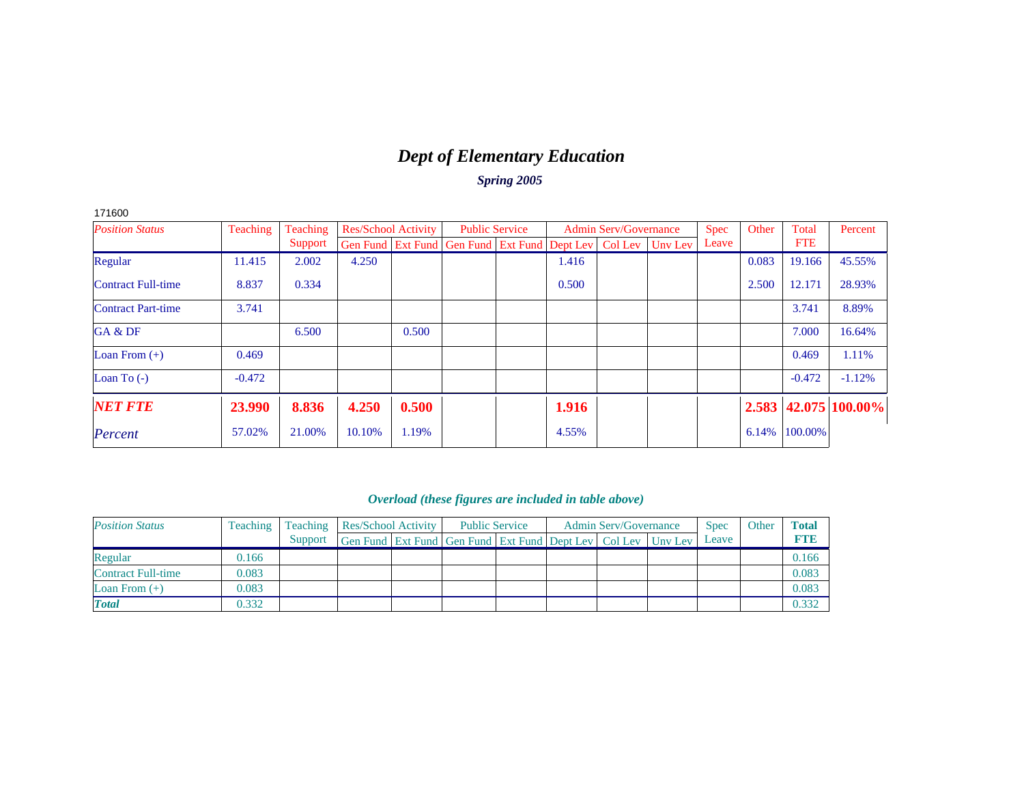# *Dept of Elementary Education*

*Spring 2005*

| 171600                    |          |          |                            |       |                                                                |       |                              |         |             |       |            |                      |
|---------------------------|----------|----------|----------------------------|-------|----------------------------------------------------------------|-------|------------------------------|---------|-------------|-------|------------|----------------------|
| <b>Position Status</b>    | Teaching | Teaching | <b>Res/School Activity</b> |       | <b>Public Service</b>                                          |       | <b>Admin Serv/Governance</b> |         | <b>Spec</b> | Other | Total      | Percent              |
|                           |          | Support  |                            |       | Gen Fund   Ext Fund   Gen Fund   Ext Fund   Dept Lev   Col Lev |       |                              | Unv Lev | Leave       |       | <b>FTE</b> |                      |
| Regular                   | 11.415   | 2.002    | 4.250                      |       |                                                                | 1.416 |                              |         |             | 0.083 | 19.166     | 45.55%               |
| <b>Contract Full-time</b> | 8.837    | 0.334    |                            |       |                                                                | 0.500 |                              |         |             | 2.500 | 12.171     | 28.93%               |
| <b>Contract Part-time</b> | 3.741    |          |                            |       |                                                                |       |                              |         |             |       | 3.741      | 8.89%                |
| GA & DF                   |          | 6.500    |                            | 0.500 |                                                                |       |                              |         |             |       | 7.000      | 16.64%               |
| Loan From $(+)$           | 0.469    |          |                            |       |                                                                |       |                              |         |             |       | 0.469      | 1.11%                |
| Loan To $(-)$             | $-0.472$ |          |                            |       |                                                                |       |                              |         |             |       | $-0.472$   | $-1.12%$             |
| <b>NET FTE</b>            | 23.990   | 8.836    | 4.250                      | 0.500 |                                                                | 1.916 |                              |         |             |       |            | 2.583 42.075 100.00% |
| Percent                   | 57.02%   | 21.00%   | 10.10%                     | 1.19% |                                                                | 4.55% |                              |         |             | 6.14% | 100.00%    |                      |

| <b>Position Status</b> | Teaching | Teaching | Res/School Activity                                          | <b>Public Service</b> |  | <b>Admin Serv/Governance</b> | <b>Spec</b> | Other | <b>Total</b> |
|------------------------|----------|----------|--------------------------------------------------------------|-----------------------|--|------------------------------|-------------|-------|--------------|
|                        |          | Support  | Gen Fund Ext Fund Gen Fund Ext Fund Dept Lev Col Lev Unv Lev |                       |  |                              | Leave       |       | <b>FTE</b>   |
| Regular                | 0.166    |          |                                                              |                       |  |                              |             |       | 0.166        |
| Contract Full-time     | 0.083    |          |                                                              |                       |  |                              |             |       | 0.083        |
| Loan From $(+)$        | 0.083    |          |                                                              |                       |  |                              |             |       | 0.083        |
| <b>Total</b>           | 0.332    |          |                                                              |                       |  |                              |             |       | 0.332        |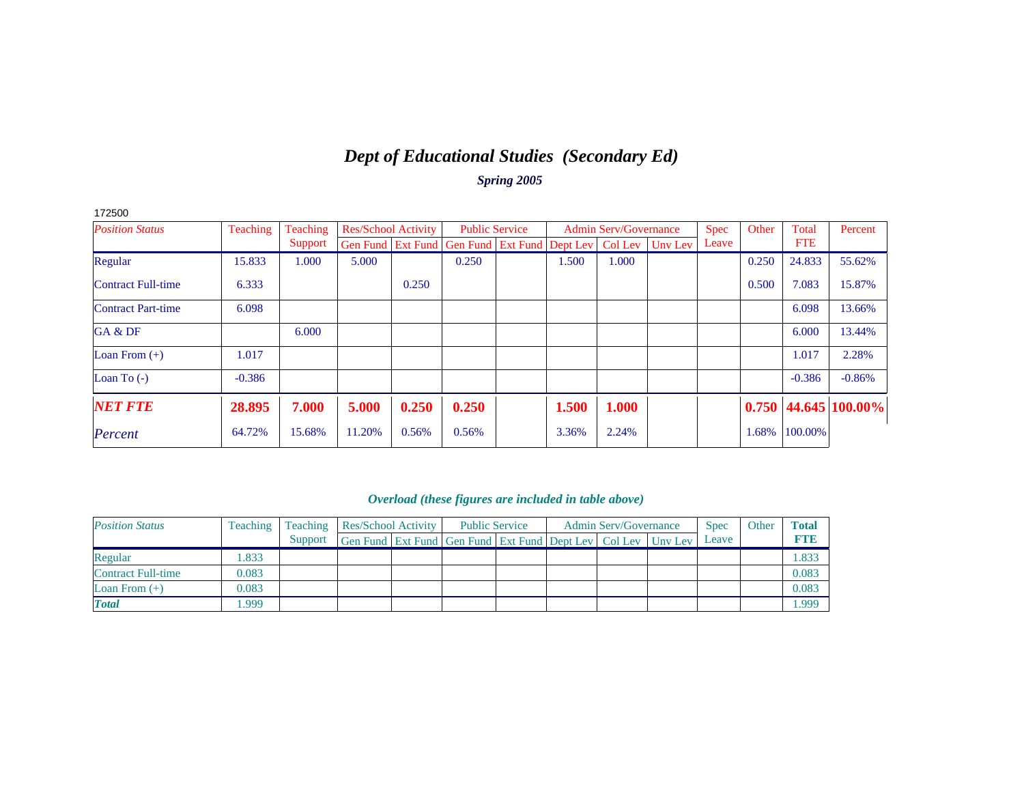### *Dept of Educational Studies (Secondary Ed) Spring 2005*

| 172500                    |          |          |                            |       |                                              |       |                              |         |       |       |            |                     |
|---------------------------|----------|----------|----------------------------|-------|----------------------------------------------|-------|------------------------------|---------|-------|-------|------------|---------------------|
| <b>Position Status</b>    | Teaching | Teaching | <b>Res/School Activity</b> |       | <b>Public Service</b>                        |       | <b>Admin Serv/Governance</b> |         | Spec  | Other | Total      | Percent             |
|                           |          | Support  |                            |       | Gen Fund Ext Fund Gen Fund Ext Fund Dept Lev |       | Col Lev                      | Unv Lev | Leave |       | <b>FTE</b> |                     |
| Regular                   | 15.833   | 1.000    | 5.000                      |       | 0.250                                        | 1.500 | 1.000                        |         |       | 0.250 | 24.833     | 55.62%              |
| <b>Contract Full-time</b> | 6.333    |          |                            | 0.250 |                                              |       |                              |         |       | 0.500 | 7.083      | 15.87%              |
| <b>Contract Part-time</b> | 6.098    |          |                            |       |                                              |       |                              |         |       |       | 6.098      | 13.66%              |
| GA & DF                   |          | 6.000    |                            |       |                                              |       |                              |         |       |       | 6.000      | 13.44%              |
| Loan From $(+)$           | 1.017    |          |                            |       |                                              |       |                              |         |       |       | 1.017      | 2.28%               |
| Loan To $(-)$             | $-0.386$ |          |                            |       |                                              |       |                              |         |       |       | $-0.386$   | $-0.86%$            |
| <b>NET FTE</b>            | 28.895   | 7.000    | 5.000                      | 0.250 | 0.250                                        | 1.500 | 1.000                        |         |       | 0.750 |            | $ 44.645 100.00\% $ |
| Percent                   | 64.72%   | 15.68%   | 11.20%                     | 0.56% | 0.56%                                        | 3.36% | 2.24%                        |         |       | 1.68% | 100.00%    |                     |

| <b>Position Status</b> | Teaching | Teaching | Res/School Activity                                              | <b>Public Service</b> |  | <b>Admin Serv/Governance</b> | <b>Spec</b> | Other | <b>Total</b> |
|------------------------|----------|----------|------------------------------------------------------------------|-----------------------|--|------------------------------|-------------|-------|--------------|
|                        |          | Support  | Gen Fund Ext Fund Gen Fund Ext Fund Dept Lev   Col Lev   Unv Lev |                       |  |                              | Leave       |       | <b>FTE</b>   |
| Regular                | .833     |          |                                                                  |                       |  |                              |             |       | .833         |
| Contract Full-time     | 0.083    |          |                                                                  |                       |  |                              |             |       | 0.083        |
| Loan From $(+)$        | 0.083    |          |                                                                  |                       |  |                              |             |       | 0.083        |
| <b>Total</b>           | .999     |          |                                                                  |                       |  |                              |             |       | .999         |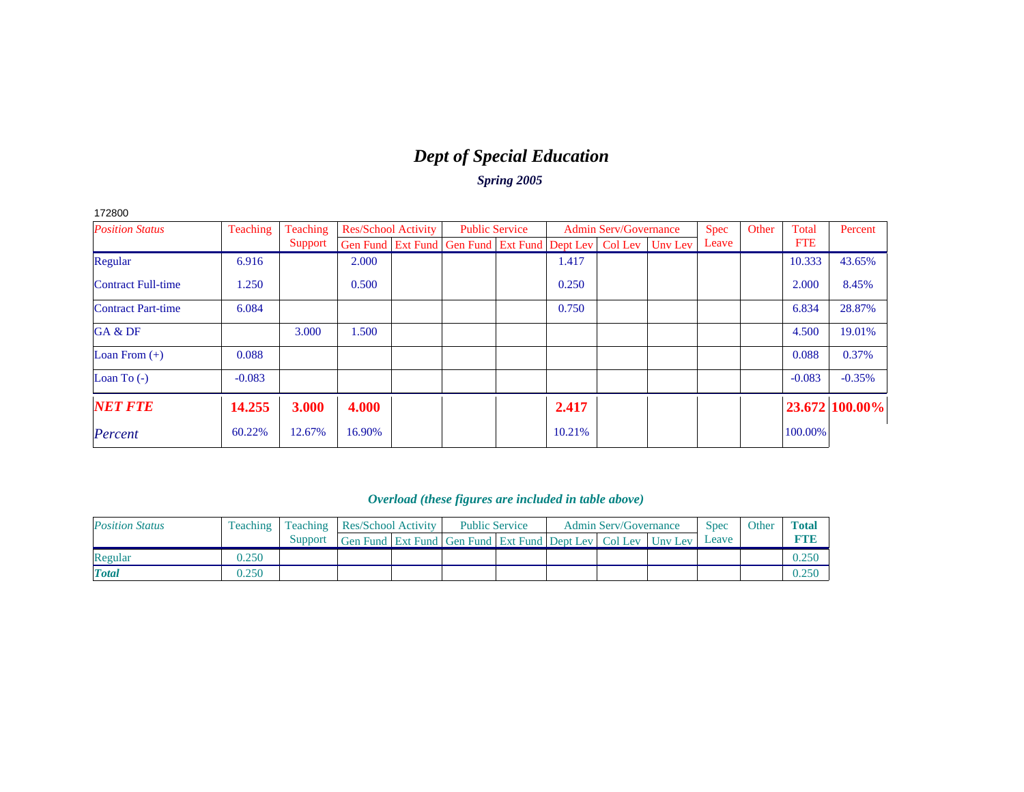# *Dept of Special Education*

*Spring 2005*

|--|--|

| <b>Position Status</b>    | Teaching | Teaching | <b>Res/School Activity</b> |                                                                  | <b>Public Service</b> |        | <b>Admin Serv/Governance</b> | <b>Spec</b> | Other | Total      | Percent        |
|---------------------------|----------|----------|----------------------------|------------------------------------------------------------------|-----------------------|--------|------------------------------|-------------|-------|------------|----------------|
|                           |          | Support  |                            | Gen Fund Ext Fund Gen Fund Ext Fund Dept Lev   Col Lev   Unv Lev |                       |        |                              | Leave       |       | <b>FTE</b> |                |
| Regular                   | 6.916    |          | 2.000                      |                                                                  |                       | 1.417  |                              |             |       | 10.333     | 43.65%         |
| <b>Contract Full-time</b> | 1.250    |          | 0.500                      |                                                                  |                       | 0.250  |                              |             |       | 2.000      | 8.45%          |
| <b>Contract Part-time</b> | 6.084    |          |                            |                                                                  |                       | 0.750  |                              |             |       | 6.834      | 28.87%         |
| GA & DF                   |          | 3.000    | .500                       |                                                                  |                       |        |                              |             |       | 4.500      | 19.01%         |
| Loan From $(+)$           | 0.088    |          |                            |                                                                  |                       |        |                              |             |       | 0.088      | 0.37%          |
| Loan To $(-)$             | $-0.083$ |          |                            |                                                                  |                       |        |                              |             |       | $-0.083$   | $-0.35%$       |
| <b>NET FTE</b>            | 14.255   | 3.000    | 4.000                      |                                                                  |                       | 2.417  |                              |             |       |            | 23.672 100.00% |
| Percent                   | 60.22%   | 12.67%   | 16.90%                     |                                                                  |                       | 10.21% |                              |             |       | 100.00%    |                |

| <b>Position Status</b> | Teaching | Teaching | <b>Res/School Activity</b>                                   |  | <b>Public Service</b> |  | <b>Admin Serv/Governance</b> | <b>Spec</b> | Other | <b>Total</b> |
|------------------------|----------|----------|--------------------------------------------------------------|--|-----------------------|--|------------------------------|-------------|-------|--------------|
|                        |          | Support  | Gen Fund Ext Fund Gen Fund Ext Fund Dept Lev Col Lev Uny Lev |  |                       |  |                              | Leave       |       | <b>RTH</b>   |
| Regular                | 0.250    |          |                                                              |  |                       |  |                              |             |       | 0.250        |
| <b>Total</b>           | 0.250    |          |                                                              |  |                       |  |                              |             |       | J.25C        |